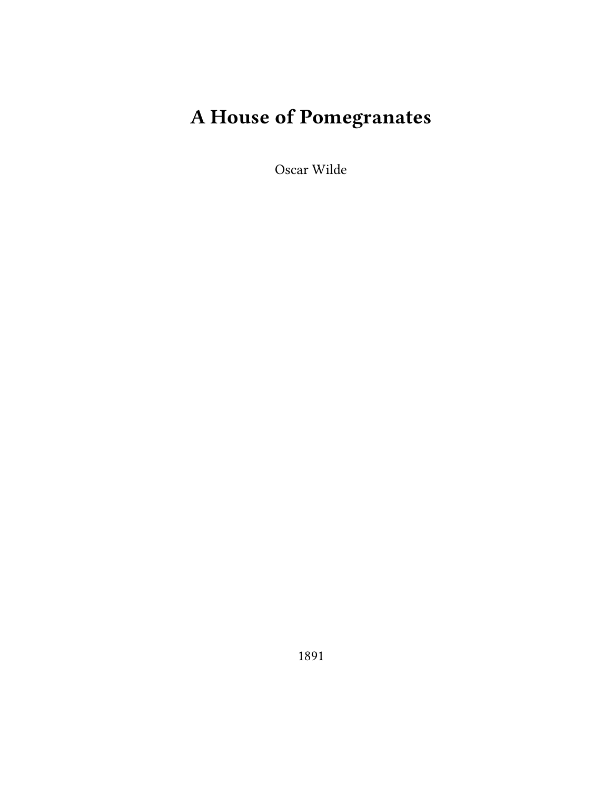# **A House of Pomegranates**

Oscar Wilde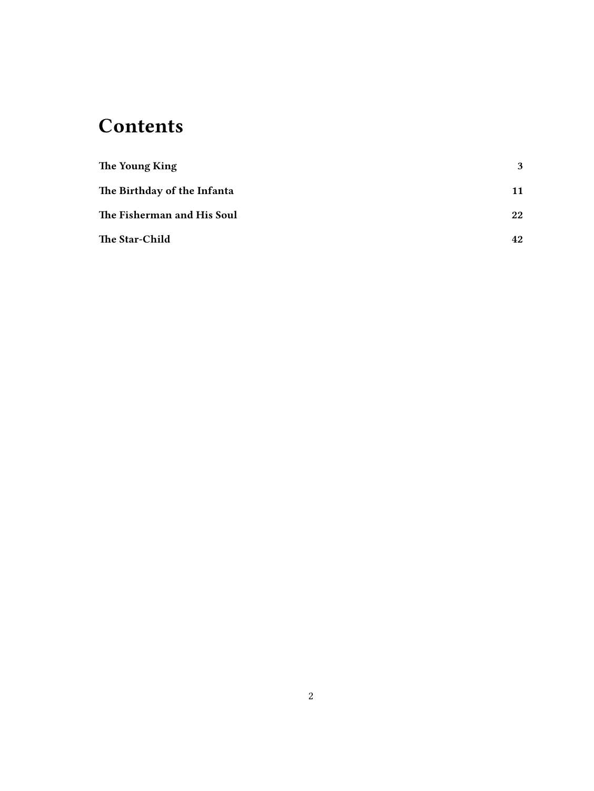# **Contents**

| The Young King              | 3  |
|-----------------------------|----|
| The Birthday of the Infanta | 11 |
| The Fisherman and His Soul  | 22 |
| The Star-Child              | 42 |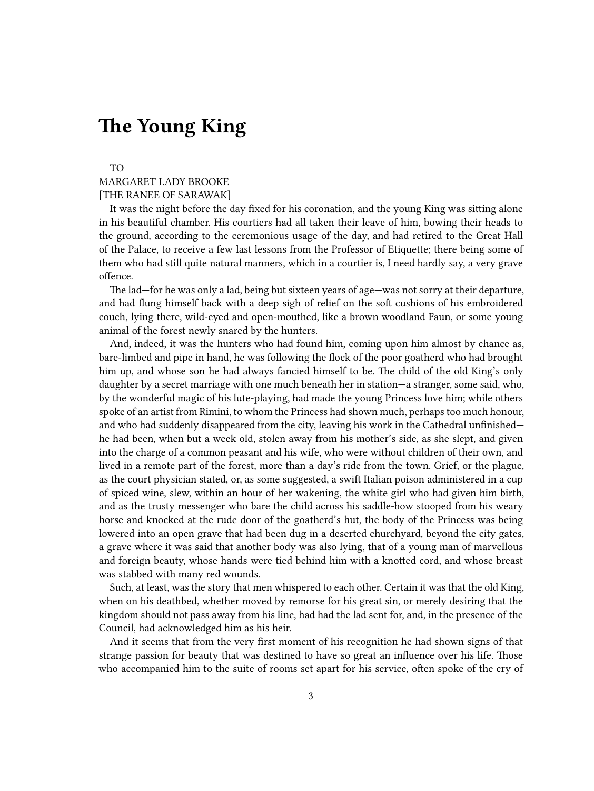### <span id="page-2-0"></span>**The Young King**

TO

#### MARGARET LADY BROOKE [THE RANEE OF SARAWAK]

It was the night before the day fixed for his coronation, and the young King was sitting alone in his beautiful chamber. His courtiers had all taken their leave of him, bowing their heads to the ground, according to the ceremonious usage of the day, and had retired to the Great Hall of the Palace, to receive a few last lessons from the Professor of Etiquette; there being some of them who had still quite natural manners, which in a courtier is, I need hardly say, a very grave offence.

The lad—for he was only a lad, being but sixteen years of age—was not sorry at their departure, and had flung himself back with a deep sigh of relief on the soft cushions of his embroidered couch, lying there, wild-eyed and open-mouthed, like a brown woodland Faun, or some young animal of the forest newly snared by the hunters.

And, indeed, it was the hunters who had found him, coming upon him almost by chance as, bare-limbed and pipe in hand, he was following the flock of the poor goatherd who had brought him up, and whose son he had always fancied himself to be. The child of the old King's only daughter by a secret marriage with one much beneath her in station—a stranger, some said, who, by the wonderful magic of his lute-playing, had made the young Princess love him; while others spoke of an artist from Rimini, to whom the Princess had shown much, perhaps too much honour, and who had suddenly disappeared from the city, leaving his work in the Cathedral unfinished he had been, when but a week old, stolen away from his mother's side, as she slept, and given into the charge of a common peasant and his wife, who were without children of their own, and lived in a remote part of the forest, more than a day's ride from the town. Grief, or the plague, as the court physician stated, or, as some suggested, a swift Italian poison administered in a cup of spiced wine, slew, within an hour of her wakening, the white girl who had given him birth, and as the trusty messenger who bare the child across his saddle-bow stooped from his weary horse and knocked at the rude door of the goatherd's hut, the body of the Princess was being lowered into an open grave that had been dug in a deserted churchyard, beyond the city gates, a grave where it was said that another body was also lying, that of a young man of marvellous and foreign beauty, whose hands were tied behind him with a knotted cord, and whose breast was stabbed with many red wounds.

Such, at least, was the story that men whispered to each other. Certain it was that the old King, when on his deathbed, whether moved by remorse for his great sin, or merely desiring that the kingdom should not pass away from his line, had had the lad sent for, and, in the presence of the Council, had acknowledged him as his heir.

And it seems that from the very first moment of his recognition he had shown signs of that strange passion for beauty that was destined to have so great an influence over his life. Those who accompanied him to the suite of rooms set apart for his service, often spoke of the cry of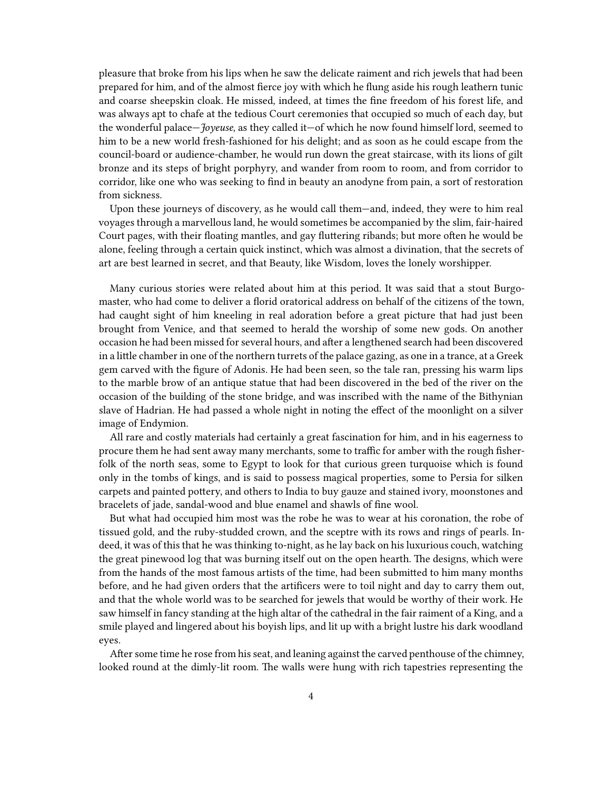pleasure that broke from his lips when he saw the delicate raiment and rich jewels that had been prepared for him, and of the almost fierce joy with which he flung aside his rough leathern tunic and coarse sheepskin cloak. He missed, indeed, at times the fine freedom of his forest life, and was always apt to chafe at the tedious Court ceremonies that occupied so much of each day, but the wonderful palace—*Joyeuse*, as they called it—of which he now found himself lord, seemed to him to be a new world fresh-fashioned for his delight; and as soon as he could escape from the council-board or audience-chamber, he would run down the great staircase, with its lions of gilt bronze and its steps of bright porphyry, and wander from room to room, and from corridor to corridor, like one who was seeking to find in beauty an anodyne from pain, a sort of restoration from sickness.

Upon these journeys of discovery, as he would call them—and, indeed, they were to him real voyages through a marvellous land, he would sometimes be accompanied by the slim, fair-haired Court pages, with their floating mantles, and gay fluttering ribands; but more often he would be alone, feeling through a certain quick instinct, which was almost a divination, that the secrets of art are best learned in secret, and that Beauty, like Wisdom, loves the lonely worshipper.

Many curious stories were related about him at this period. It was said that a stout Burgomaster, who had come to deliver a florid oratorical address on behalf of the citizens of the town, had caught sight of him kneeling in real adoration before a great picture that had just been brought from Venice, and that seemed to herald the worship of some new gods. On another occasion he had been missed for several hours, and after a lengthened search had been discovered in a little chamber in one of the northern turrets of the palace gazing, as one in a trance, at a Greek gem carved with the figure of Adonis. He had been seen, so the tale ran, pressing his warm lips to the marble brow of an antique statue that had been discovered in the bed of the river on the occasion of the building of the stone bridge, and was inscribed with the name of the Bithynian slave of Hadrian. He had passed a whole night in noting the effect of the moonlight on a silver image of Endymion.

All rare and costly materials had certainly a great fascination for him, and in his eagerness to procure them he had sent away many merchants, some to traffic for amber with the rough fisherfolk of the north seas, some to Egypt to look for that curious green turquoise which is found only in the tombs of kings, and is said to possess magical properties, some to Persia for silken carpets and painted pottery, and others to India to buy gauze and stained ivory, moonstones and bracelets of jade, sandal-wood and blue enamel and shawls of fine wool.

But what had occupied him most was the robe he was to wear at his coronation, the robe of tissued gold, and the ruby-studded crown, and the sceptre with its rows and rings of pearls. Indeed, it was of this that he was thinking to-night, as he lay back on his luxurious couch, watching the great pinewood log that was burning itself out on the open hearth. The designs, which were from the hands of the most famous artists of the time, had been submitted to him many months before, and he had given orders that the artificers were to toil night and day to carry them out, and that the whole world was to be searched for jewels that would be worthy of their work. He saw himself in fancy standing at the high altar of the cathedral in the fair raiment of a King, and a smile played and lingered about his boyish lips, and lit up with a bright lustre his dark woodland eyes.

After some time he rose from his seat, and leaning against the carved penthouse of the chimney, looked round at the dimly-lit room. The walls were hung with rich tapestries representing the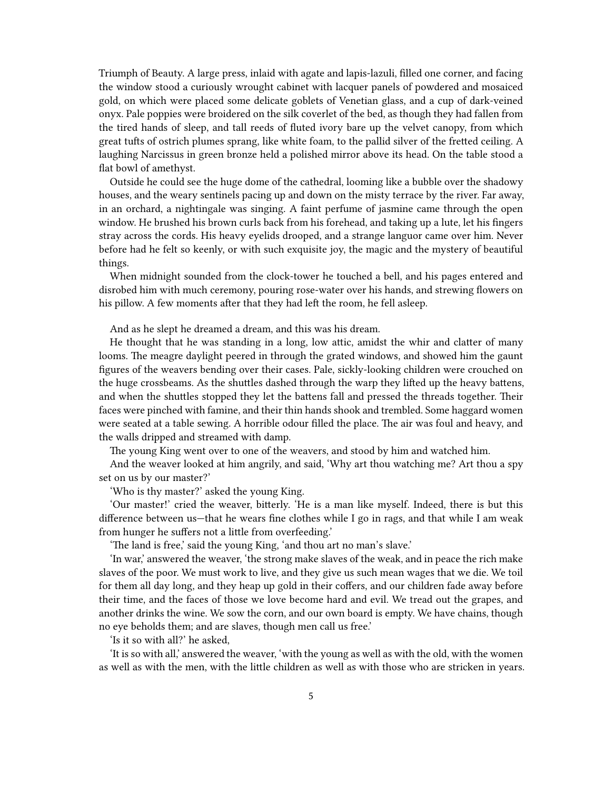Triumph of Beauty. A large press, inlaid with agate and lapis-lazuli, filled one corner, and facing the window stood a curiously wrought cabinet with lacquer panels of powdered and mosaiced gold, on which were placed some delicate goblets of Venetian glass, and a cup of dark-veined onyx. Pale poppies were broidered on the silk coverlet of the bed, as though they had fallen from the tired hands of sleep, and tall reeds of fluted ivory bare up the velvet canopy, from which great tufts of ostrich plumes sprang, like white foam, to the pallid silver of the fretted ceiling. A laughing Narcissus in green bronze held a polished mirror above its head. On the table stood a flat bowl of amethyst.

Outside he could see the huge dome of the cathedral, looming like a bubble over the shadowy houses, and the weary sentinels pacing up and down on the misty terrace by the river. Far away, in an orchard, a nightingale was singing. A faint perfume of jasmine came through the open window. He brushed his brown curls back from his forehead, and taking up a lute, let his fingers stray across the cords. His heavy eyelids drooped, and a strange languor came over him. Never before had he felt so keenly, or with such exquisite joy, the magic and the mystery of beautiful things.

When midnight sounded from the clock-tower he touched a bell, and his pages entered and disrobed him with much ceremony, pouring rose-water over his hands, and strewing flowers on his pillow. A few moments after that they had left the room, he fell asleep.

And as he slept he dreamed a dream, and this was his dream.

He thought that he was standing in a long, low attic, amidst the whir and clatter of many looms. The meagre daylight peered in through the grated windows, and showed him the gaunt figures of the weavers bending over their cases. Pale, sickly-looking children were crouched on the huge crossbeams. As the shuttles dashed through the warp they lifted up the heavy battens, and when the shuttles stopped they let the battens fall and pressed the threads together. Their faces were pinched with famine, and their thin hands shook and trembled. Some haggard women were seated at a table sewing. A horrible odour filled the place. The air was foul and heavy, and the walls dripped and streamed with damp.

The young King went over to one of the weavers, and stood by him and watched him.

And the weaver looked at him angrily, and said, 'Why art thou watching me? Art thou a spy set on us by our master?'

'Who is thy master?' asked the young King.

'Our master!' cried the weaver, bitterly. 'He is a man like myself. Indeed, there is but this difference between us—that he wears fine clothes while I go in rags, and that while I am weak from hunger he suffers not a little from overfeeding.'

'The land is free,' said the young King, 'and thou art no man's slave.'

'In war,' answered the weaver, 'the strong make slaves of the weak, and in peace the rich make slaves of the poor. We must work to live, and they give us such mean wages that we die. We toil for them all day long, and they heap up gold in their coffers, and our children fade away before their time, and the faces of those we love become hard and evil. We tread out the grapes, and another drinks the wine. We sow the corn, and our own board is empty. We have chains, though no eye beholds them; and are slaves, though men call us free.'

'Is it so with all?' he asked,

'It is so with all,' answered the weaver, 'with the young as well as with the old, with the women as well as with the men, with the little children as well as with those who are stricken in years.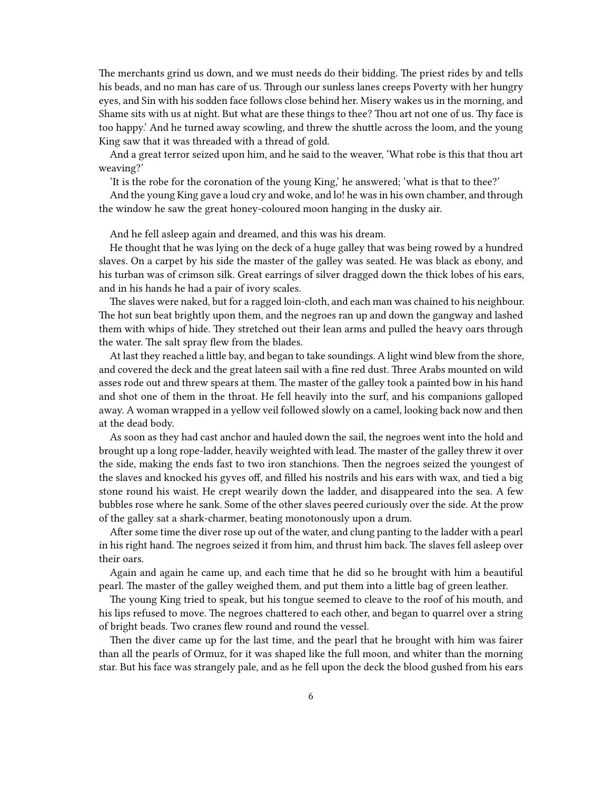The merchants grind us down, and we must needs do their bidding. The priest rides by and tells his beads, and no man has care of us. Through our sunless lanes creeps Poverty with her hungry eyes, and Sin with his sodden face follows close behind her. Misery wakes us in the morning, and Shame sits with us at night. But what are these things to thee? Thou art not one of us. Thy face is too happy.' And he turned away scowling, and threw the shuttle across the loom, and the young King saw that it was threaded with a thread of gold.

And a great terror seized upon him, and he said to the weaver, 'What robe is this that thou art weaving?'

'It is the robe for the coronation of the young King,' he answered; 'what is that to thee?'

And the young King gave a loud cry and woke, and lo! he was in his own chamber, and through the window he saw the great honey-coloured moon hanging in the dusky air.

And he fell asleep again and dreamed, and this was his dream.

He thought that he was lying on the deck of a huge galley that was being rowed by a hundred slaves. On a carpet by his side the master of the galley was seated. He was black as ebony, and his turban was of crimson silk. Great earrings of silver dragged down the thick lobes of his ears, and in his hands he had a pair of ivory scales.

The slaves were naked, but for a ragged loin-cloth, and each man was chained to his neighbour. The hot sun beat brightly upon them, and the negroes ran up and down the gangway and lashed them with whips of hide. They stretched out their lean arms and pulled the heavy oars through the water. The salt spray flew from the blades.

At last they reached a little bay, and began to take soundings. A light wind blew from the shore, and covered the deck and the great lateen sail with a fine red dust. Three Arabs mounted on wild asses rode out and threw spears at them. The master of the galley took a painted bow in his hand and shot one of them in the throat. He fell heavily into the surf, and his companions galloped away. A woman wrapped in a yellow veil followed slowly on a camel, looking back now and then at the dead body.

As soon as they had cast anchor and hauled down the sail, the negroes went into the hold and brought up a long rope-ladder, heavily weighted with lead. The master of the galley threw it over the side, making the ends fast to two iron stanchions. Then the negroes seized the youngest of the slaves and knocked his gyves off, and filled his nostrils and his ears with wax, and tied a big stone round his waist. He crept wearily down the ladder, and disappeared into the sea. A few bubbles rose where he sank. Some of the other slaves peered curiously over the side. At the prow of the galley sat a shark-charmer, beating monotonously upon a drum.

After some time the diver rose up out of the water, and clung panting to the ladder with a pearl in his right hand. The negroes seized it from him, and thrust him back. The slaves fell asleep over their oars.

Again and again he came up, and each time that he did so he brought with him a beautiful pearl. The master of the galley weighed them, and put them into a little bag of green leather.

The young King tried to speak, but his tongue seemed to cleave to the roof of his mouth, and his lips refused to move. The negroes chattered to each other, and began to quarrel over a string of bright beads. Two cranes flew round and round the vessel.

Then the diver came up for the last time, and the pearl that he brought with him was fairer than all the pearls of Ormuz, for it was shaped like the full moon, and whiter than the morning star. But his face was strangely pale, and as he fell upon the deck the blood gushed from his ears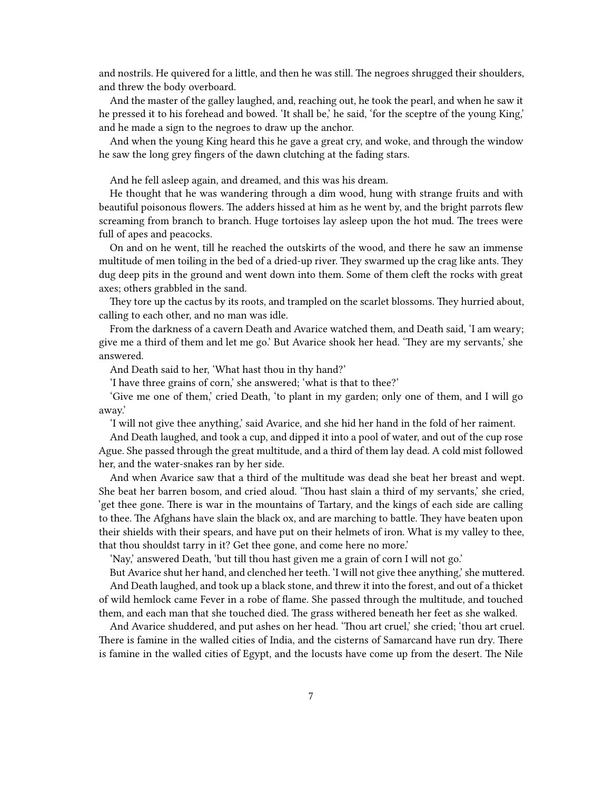and nostrils. He quivered for a little, and then he was still. The negroes shrugged their shoulders, and threw the body overboard.

And the master of the galley laughed, and, reaching out, he took the pearl, and when he saw it he pressed it to his forehead and bowed. 'It shall be,' he said, 'for the sceptre of the young King,' and he made a sign to the negroes to draw up the anchor.

And when the young King heard this he gave a great cry, and woke, and through the window he saw the long grey fingers of the dawn clutching at the fading stars.

And he fell asleep again, and dreamed, and this was his dream.

He thought that he was wandering through a dim wood, hung with strange fruits and with beautiful poisonous flowers. The adders hissed at him as he went by, and the bright parrots flew screaming from branch to branch. Huge tortoises lay asleep upon the hot mud. The trees were full of apes and peacocks.

On and on he went, till he reached the outskirts of the wood, and there he saw an immense multitude of men toiling in the bed of a dried-up river. They swarmed up the crag like ants. They dug deep pits in the ground and went down into them. Some of them cleft the rocks with great axes; others grabbled in the sand.

They tore up the cactus by its roots, and trampled on the scarlet blossoms. They hurried about, calling to each other, and no man was idle.

From the darkness of a cavern Death and Avarice watched them, and Death said, 'I am weary; give me a third of them and let me go.' But Avarice shook her head. 'They are my servants,' she answered.

And Death said to her, 'What hast thou in thy hand?'

'I have three grains of corn,' she answered; 'what is that to thee?'

'Give me one of them,' cried Death, 'to plant in my garden; only one of them, and I will go away.'

'I will not give thee anything,' said Avarice, and she hid her hand in the fold of her raiment.

And Death laughed, and took a cup, and dipped it into a pool of water, and out of the cup rose Ague. She passed through the great multitude, and a third of them lay dead. A cold mist followed her, and the water-snakes ran by her side.

And when Avarice saw that a third of the multitude was dead she beat her breast and wept. She beat her barren bosom, and cried aloud. 'Thou hast slain a third of my servants,' she cried, 'get thee gone. There is war in the mountains of Tartary, and the kings of each side are calling to thee. The Afghans have slain the black ox, and are marching to battle. They have beaten upon their shields with their spears, and have put on their helmets of iron. What is my valley to thee, that thou shouldst tarry in it? Get thee gone, and come here no more.'

'Nay,' answered Death, 'but till thou hast given me a grain of corn I will not go.'

But Avarice shut her hand, and clenched her teeth. 'I will not give thee anything,' she muttered. And Death laughed, and took up a black stone, and threw it into the forest, and out of a thicket of wild hemlock came Fever in a robe of flame. She passed through the multitude, and touched them, and each man that she touched died. The grass withered beneath her feet as she walked.

And Avarice shuddered, and put ashes on her head. 'Thou art cruel,' she cried; 'thou art cruel. There is famine in the walled cities of India, and the cisterns of Samarcand have run dry. There is famine in the walled cities of Egypt, and the locusts have come up from the desert. The Nile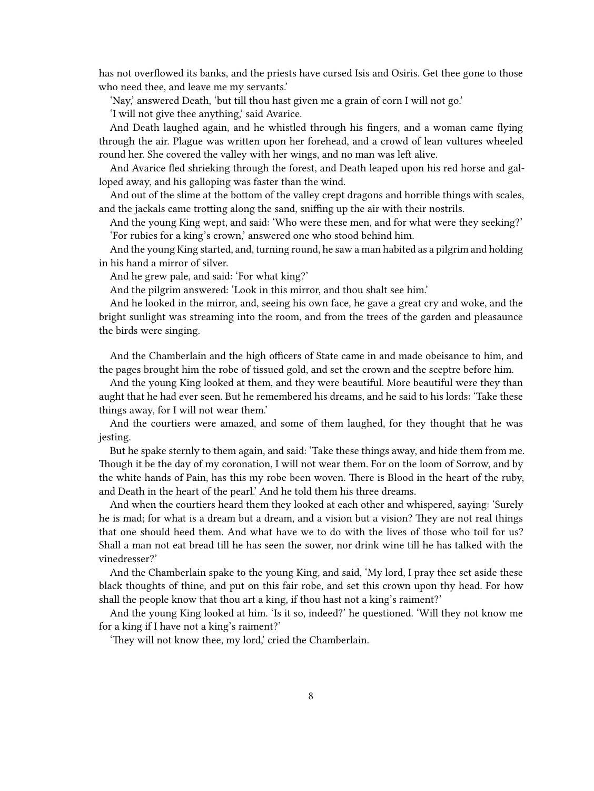has not overflowed its banks, and the priests have cursed Isis and Osiris. Get thee gone to those who need thee, and leave me my servants.'

'Nay,' answered Death, 'but till thou hast given me a grain of corn I will not go.'

'I will not give thee anything,' said Avarice.

And Death laughed again, and he whistled through his fingers, and a woman came flying through the air. Plague was written upon her forehead, and a crowd of lean vultures wheeled round her. She covered the valley with her wings, and no man was left alive.

And Avarice fled shrieking through the forest, and Death leaped upon his red horse and galloped away, and his galloping was faster than the wind.

And out of the slime at the bottom of the valley crept dragons and horrible things with scales, and the jackals came trotting along the sand, sniffing up the air with their nostrils.

And the young King wept, and said: 'Who were these men, and for what were they seeking?' 'For rubies for a king's crown,' answered one who stood behind him.

And the young King started, and, turning round, he saw a man habited as a pilgrim and holding in his hand a mirror of silver.

And he grew pale, and said: 'For what king?'

And the pilgrim answered: 'Look in this mirror, and thou shalt see him.'

And he looked in the mirror, and, seeing his own face, he gave a great cry and woke, and the bright sunlight was streaming into the room, and from the trees of the garden and pleasaunce the birds were singing.

And the Chamberlain and the high officers of State came in and made obeisance to him, and the pages brought him the robe of tissued gold, and set the crown and the sceptre before him.

And the young King looked at them, and they were beautiful. More beautiful were they than aught that he had ever seen. But he remembered his dreams, and he said to his lords: 'Take these things away, for I will not wear them.'

And the courtiers were amazed, and some of them laughed, for they thought that he was jesting.

But he spake sternly to them again, and said: 'Take these things away, and hide them from me. Though it be the day of my coronation, I will not wear them. For on the loom of Sorrow, and by the white hands of Pain, has this my robe been woven. There is Blood in the heart of the ruby, and Death in the heart of the pearl.' And he told them his three dreams.

And when the courtiers heard them they looked at each other and whispered, saying: 'Surely he is mad; for what is a dream but a dream, and a vision but a vision? They are not real things that one should heed them. And what have we to do with the lives of those who toil for us? Shall a man not eat bread till he has seen the sower, nor drink wine till he has talked with the vinedresser?'

And the Chamberlain spake to the young King, and said, 'My lord, I pray thee set aside these black thoughts of thine, and put on this fair robe, and set this crown upon thy head. For how shall the people know that thou art a king, if thou hast not a king's raiment?'

And the young King looked at him. 'Is it so, indeed?' he questioned. 'Will they not know me for a king if I have not a king's raiment?'

'They will not know thee, my lord,' cried the Chamberlain.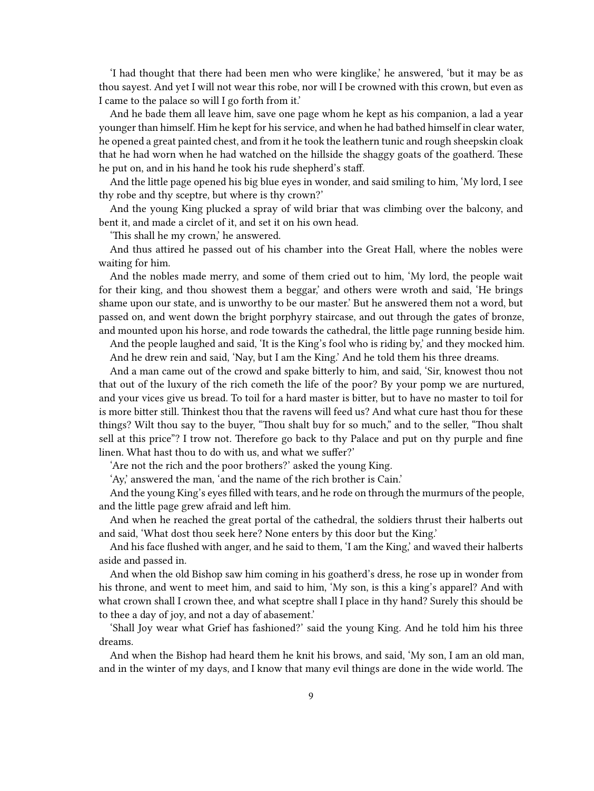'I had thought that there had been men who were kinglike,' he answered, 'but it may be as thou sayest. And yet I will not wear this robe, nor will I be crowned with this crown, but even as I came to the palace so will I go forth from it.'

And he bade them all leave him, save one page whom he kept as his companion, a lad a year younger than himself. Him he kept for his service, and when he had bathed himself in clear water, he opened a great painted chest, and from it he took the leathern tunic and rough sheepskin cloak that he had worn when he had watched on the hillside the shaggy goats of the goatherd. These he put on, and in his hand he took his rude shepherd's staff.

And the little page opened his big blue eyes in wonder, and said smiling to him, 'My lord, I see thy robe and thy sceptre, but where is thy crown?'

And the young King plucked a spray of wild briar that was climbing over the balcony, and bent it, and made a circlet of it, and set it on his own head.

'This shall he my crown,' he answered.

And thus attired he passed out of his chamber into the Great Hall, where the nobles were waiting for him.

And the nobles made merry, and some of them cried out to him, 'My lord, the people wait for their king, and thou showest them a beggar,' and others were wroth and said, 'He brings shame upon our state, and is unworthy to be our master.' But he answered them not a word, but passed on, and went down the bright porphyry staircase, and out through the gates of bronze, and mounted upon his horse, and rode towards the cathedral, the little page running beside him.

And the people laughed and said, 'It is the King's fool who is riding by,' and they mocked him. And he drew rein and said, 'Nay, but I am the King.' And he told them his three dreams.

And a man came out of the crowd and spake bitterly to him, and said, 'Sir, knowest thou not that out of the luxury of the rich cometh the life of the poor? By your pomp we are nurtured, and your vices give us bread. To toil for a hard master is bitter, but to have no master to toil for is more bitter still. Thinkest thou that the ravens will feed us? And what cure hast thou for these things? Wilt thou say to the buyer, "Thou shalt buy for so much," and to the seller, "Thou shalt sell at this price"? I trow not. Therefore go back to thy Palace and put on thy purple and fine linen. What hast thou to do with us, and what we suffer?'

'Are not the rich and the poor brothers?' asked the young King.

'Ay,' answered the man, 'and the name of the rich brother is Cain.'

And the young King's eyes filled with tears, and he rode on through the murmurs of the people, and the little page grew afraid and left him.

And when he reached the great portal of the cathedral, the soldiers thrust their halberts out and said, 'What dost thou seek here? None enters by this door but the King.'

And his face flushed with anger, and he said to them, 'I am the King,' and waved their halberts aside and passed in.

And when the old Bishop saw him coming in his goatherd's dress, he rose up in wonder from his throne, and went to meet him, and said to him, 'My son, is this a king's apparel? And with what crown shall I crown thee, and what sceptre shall I place in thy hand? Surely this should be to thee a day of joy, and not a day of abasement.'

'Shall Joy wear what Grief has fashioned?' said the young King. And he told him his three dreams.

And when the Bishop had heard them he knit his brows, and said, 'My son, I am an old man, and in the winter of my days, and I know that many evil things are done in the wide world. The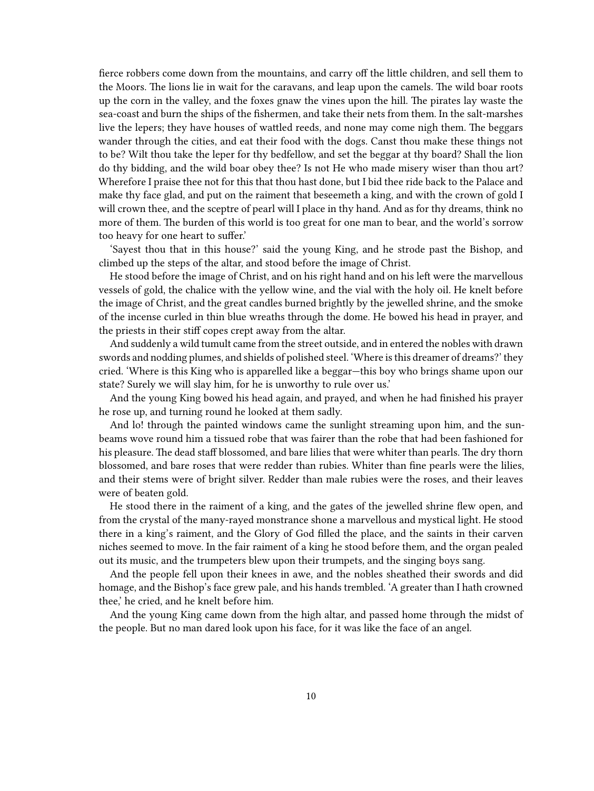fierce robbers come down from the mountains, and carry off the little children, and sell them to the Moors. The lions lie in wait for the caravans, and leap upon the camels. The wild boar roots up the corn in the valley, and the foxes gnaw the vines upon the hill. The pirates lay waste the sea-coast and burn the ships of the fishermen, and take their nets from them. In the salt-marshes live the lepers; they have houses of wattled reeds, and none may come nigh them. The beggars wander through the cities, and eat their food with the dogs. Canst thou make these things not to be? Wilt thou take the leper for thy bedfellow, and set the beggar at thy board? Shall the lion do thy bidding, and the wild boar obey thee? Is not He who made misery wiser than thou art? Wherefore I praise thee not for this that thou hast done, but I bid thee ride back to the Palace and make thy face glad, and put on the raiment that beseemeth a king, and with the crown of gold I will crown thee, and the sceptre of pearl will I place in thy hand. And as for thy dreams, think no more of them. The burden of this world is too great for one man to bear, and the world's sorrow too heavy for one heart to suffer.'

'Sayest thou that in this house?' said the young King, and he strode past the Bishop, and climbed up the steps of the altar, and stood before the image of Christ.

He stood before the image of Christ, and on his right hand and on his left were the marvellous vessels of gold, the chalice with the yellow wine, and the vial with the holy oil. He knelt before the image of Christ, and the great candles burned brightly by the jewelled shrine, and the smoke of the incense curled in thin blue wreaths through the dome. He bowed his head in prayer, and the priests in their stiff copes crept away from the altar.

And suddenly a wild tumult came from the street outside, and in entered the nobles with drawn swords and nodding plumes, and shields of polished steel. 'Where is this dreamer of dreams?' they cried. 'Where is this King who is apparelled like a beggar—this boy who brings shame upon our state? Surely we will slay him, for he is unworthy to rule over us.'

And the young King bowed his head again, and prayed, and when he had finished his prayer he rose up, and turning round he looked at them sadly.

And lo! through the painted windows came the sunlight streaming upon him, and the sunbeams wove round him a tissued robe that was fairer than the robe that had been fashioned for his pleasure. The dead staff blossomed, and bare lilies that were whiter than pearls. The dry thorn blossomed, and bare roses that were redder than rubies. Whiter than fine pearls were the lilies, and their stems were of bright silver. Redder than male rubies were the roses, and their leaves were of beaten gold.

He stood there in the raiment of a king, and the gates of the jewelled shrine flew open, and from the crystal of the many-rayed monstrance shone a marvellous and mystical light. He stood there in a king's raiment, and the Glory of God filled the place, and the saints in their carven niches seemed to move. In the fair raiment of a king he stood before them, and the organ pealed out its music, and the trumpeters blew upon their trumpets, and the singing boys sang.

And the people fell upon their knees in awe, and the nobles sheathed their swords and did homage, and the Bishop's face grew pale, and his hands trembled. 'A greater than I hath crowned thee,' he cried, and he knelt before him.

And the young King came down from the high altar, and passed home through the midst of the people. But no man dared look upon his face, for it was like the face of an angel.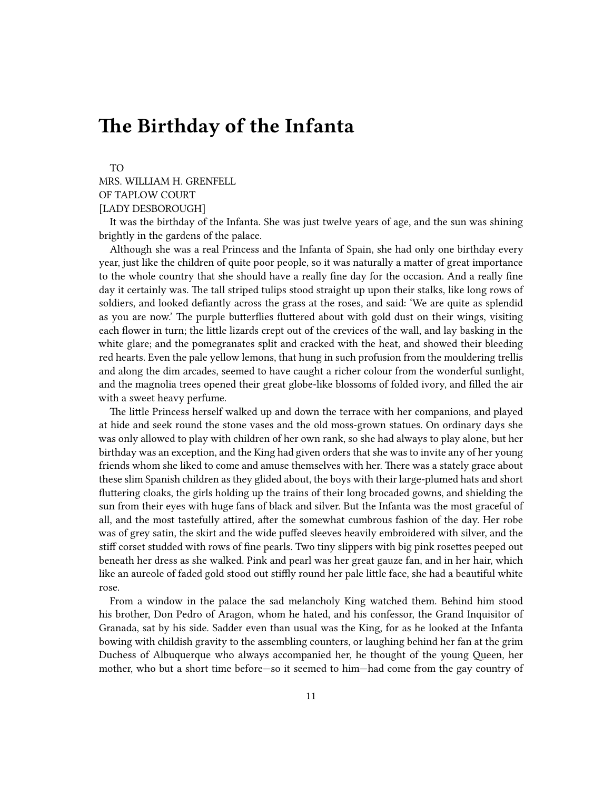## <span id="page-10-0"></span>**The Birthday of the Infanta**

#### TO

### MRS. WILLIAM H. GRENFELL OF TAPLOW COURT [LADY DESBOROUGH]

It was the birthday of the Infanta. She was just twelve years of age, and the sun was shining brightly in the gardens of the palace.

Although she was a real Princess and the Infanta of Spain, she had only one birthday every year, just like the children of quite poor people, so it was naturally a matter of great importance to the whole country that she should have a really fine day for the occasion. And a really fine day it certainly was. The tall striped tulips stood straight up upon their stalks, like long rows of soldiers, and looked defiantly across the grass at the roses, and said: 'We are quite as splendid as you are now.' The purple butterflies fluttered about with gold dust on their wings, visiting each flower in turn; the little lizards crept out of the crevices of the wall, and lay basking in the white glare; and the pomegranates split and cracked with the heat, and showed their bleeding red hearts. Even the pale yellow lemons, that hung in such profusion from the mouldering trellis and along the dim arcades, seemed to have caught a richer colour from the wonderful sunlight, and the magnolia trees opened their great globe-like blossoms of folded ivory, and filled the air with a sweet heavy perfume.

The little Princess herself walked up and down the terrace with her companions, and played at hide and seek round the stone vases and the old moss-grown statues. On ordinary days she was only allowed to play with children of her own rank, so she had always to play alone, but her birthday was an exception, and the King had given orders that she was to invite any of her young friends whom she liked to come and amuse themselves with her. There was a stately grace about these slim Spanish children as they glided about, the boys with their large-plumed hats and short fluttering cloaks, the girls holding up the trains of their long brocaded gowns, and shielding the sun from their eyes with huge fans of black and silver. But the Infanta was the most graceful of all, and the most tastefully attired, after the somewhat cumbrous fashion of the day. Her robe was of grey satin, the skirt and the wide puffed sleeves heavily embroidered with silver, and the stiff corset studded with rows of fine pearls. Two tiny slippers with big pink rosettes peeped out beneath her dress as she walked. Pink and pearl was her great gauze fan, and in her hair, which like an aureole of faded gold stood out stiffly round her pale little face, she had a beautiful white rose.

From a window in the palace the sad melancholy King watched them. Behind him stood his brother, Don Pedro of Aragon, whom he hated, and his confessor, the Grand Inquisitor of Granada, sat by his side. Sadder even than usual was the King, for as he looked at the Infanta bowing with childish gravity to the assembling counters, or laughing behind her fan at the grim Duchess of Albuquerque who always accompanied her, he thought of the young Queen, her mother, who but a short time before—so it seemed to him—had come from the gay country of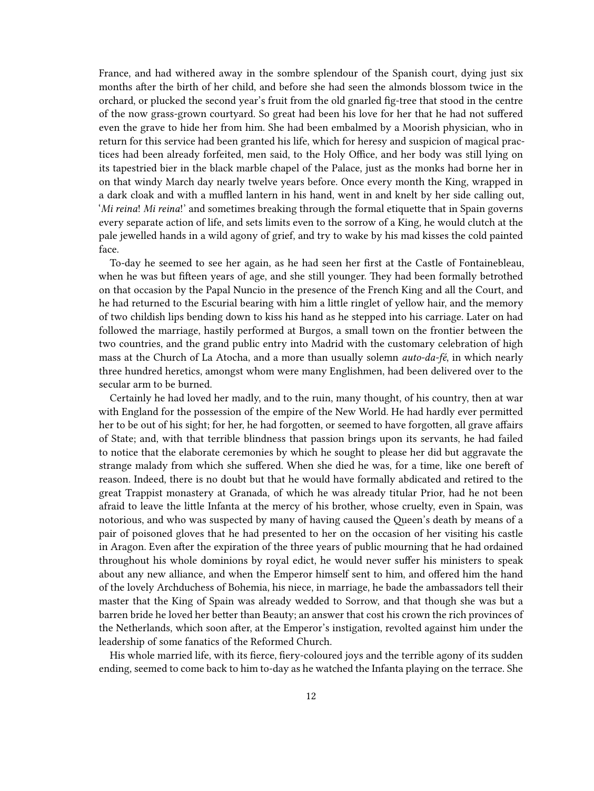France, and had withered away in the sombre splendour of the Spanish court, dying just six months after the birth of her child, and before she had seen the almonds blossom twice in the orchard, or plucked the second year's fruit from the old gnarled fig-tree that stood in the centre of the now grass-grown courtyard. So great had been his love for her that he had not suffered even the grave to hide her from him. She had been embalmed by a Moorish physician, who in return for this service had been granted his life, which for heresy and suspicion of magical practices had been already forfeited, men said, to the Holy Office, and her body was still lying on its tapestried bier in the black marble chapel of the Palace, just as the monks had borne her in on that windy March day nearly twelve years before. Once every month the King, wrapped in a dark cloak and with a muffled lantern in his hand, went in and knelt by her side calling out, '*Mi reina*! *Mi reina*!' and sometimes breaking through the formal etiquette that in Spain governs every separate action of life, and sets limits even to the sorrow of a King, he would clutch at the pale jewelled hands in a wild agony of grief, and try to wake by his mad kisses the cold painted face.

To-day he seemed to see her again, as he had seen her first at the Castle of Fontainebleau, when he was but fifteen years of age, and she still younger. They had been formally betrothed on that occasion by the Papal Nuncio in the presence of the French King and all the Court, and he had returned to the Escurial bearing with him a little ringlet of yellow hair, and the memory of two childish lips bending down to kiss his hand as he stepped into his carriage. Later on had followed the marriage, hastily performed at Burgos, a small town on the frontier between the two countries, and the grand public entry into Madrid with the customary celebration of high mass at the Church of La Atocha, and a more than usually solemn *auto-da-fé*, in which nearly three hundred heretics, amongst whom were many Englishmen, had been delivered over to the secular arm to be burned.

Certainly he had loved her madly, and to the ruin, many thought, of his country, then at war with England for the possession of the empire of the New World. He had hardly ever permitted her to be out of his sight; for her, he had forgotten, or seemed to have forgotten, all grave affairs of State; and, with that terrible blindness that passion brings upon its servants, he had failed to notice that the elaborate ceremonies by which he sought to please her did but aggravate the strange malady from which she suffered. When she died he was, for a time, like one bereft of reason. Indeed, there is no doubt but that he would have formally abdicated and retired to the great Trappist monastery at Granada, of which he was already titular Prior, had he not been afraid to leave the little Infanta at the mercy of his brother, whose cruelty, even in Spain, was notorious, and who was suspected by many of having caused the Queen's death by means of a pair of poisoned gloves that he had presented to her on the occasion of her visiting his castle in Aragon. Even after the expiration of the three years of public mourning that he had ordained throughout his whole dominions by royal edict, he would never suffer his ministers to speak about any new alliance, and when the Emperor himself sent to him, and offered him the hand of the lovely Archduchess of Bohemia, his niece, in marriage, he bade the ambassadors tell their master that the King of Spain was already wedded to Sorrow, and that though she was but a barren bride he loved her better than Beauty; an answer that cost his crown the rich provinces of the Netherlands, which soon after, at the Emperor's instigation, revolted against him under the leadership of some fanatics of the Reformed Church.

His whole married life, with its fierce, fiery-coloured joys and the terrible agony of its sudden ending, seemed to come back to him to-day as he watched the Infanta playing on the terrace. She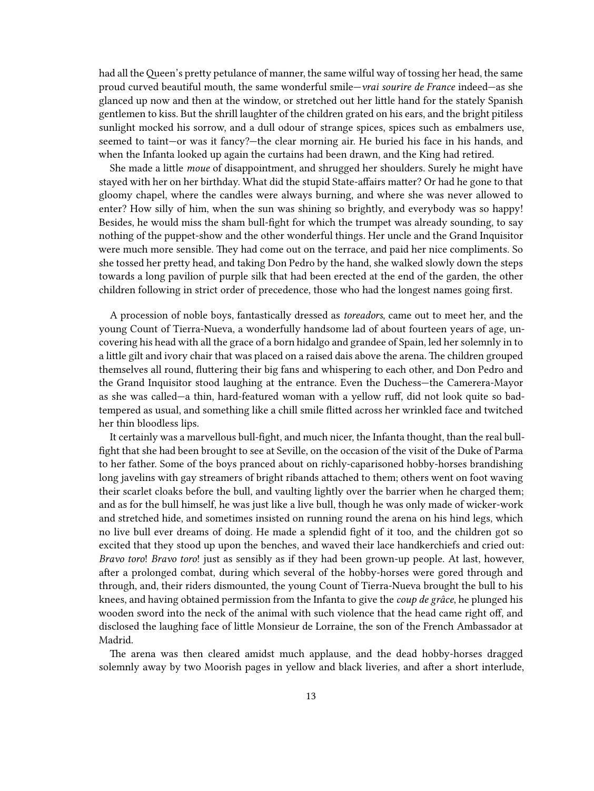had all the Queen's pretty petulance of manner, the same wilful way of tossing her head, the same proud curved beautiful mouth, the same wonderful smile—*vrai sourire de France* indeed—as she glanced up now and then at the window, or stretched out her little hand for the stately Spanish gentlemen to kiss. But the shrill laughter of the children grated on his ears, and the bright pitiless sunlight mocked his sorrow, and a dull odour of strange spices, spices such as embalmers use, seemed to taint—or was it fancy?—the clear morning air. He buried his face in his hands, and when the Infanta looked up again the curtains had been drawn, and the King had retired.

She made a little *moue* of disappointment, and shrugged her shoulders. Surely he might have stayed with her on her birthday. What did the stupid State-affairs matter? Or had he gone to that gloomy chapel, where the candles were always burning, and where she was never allowed to enter? How silly of him, when the sun was shining so brightly, and everybody was so happy! Besides, he would miss the sham bull-fight for which the trumpet was already sounding, to say nothing of the puppet-show and the other wonderful things. Her uncle and the Grand Inquisitor were much more sensible. They had come out on the terrace, and paid her nice compliments. So she tossed her pretty head, and taking Don Pedro by the hand, she walked slowly down the steps towards a long pavilion of purple silk that had been erected at the end of the garden, the other children following in strict order of precedence, those who had the longest names going first.

A procession of noble boys, fantastically dressed as *toreadors*, came out to meet her, and the young Count of Tierra-Nueva, a wonderfully handsome lad of about fourteen years of age, uncovering his head with all the grace of a born hidalgo and grandee of Spain, led her solemnly in to a little gilt and ivory chair that was placed on a raised dais above the arena. The children grouped themselves all round, fluttering their big fans and whispering to each other, and Don Pedro and the Grand Inquisitor stood laughing at the entrance. Even the Duchess—the Camerera-Mayor as she was called—a thin, hard-featured woman with a yellow ruff, did not look quite so badtempered as usual, and something like a chill smile flitted across her wrinkled face and twitched her thin bloodless lips.

It certainly was a marvellous bull-fight, and much nicer, the Infanta thought, than the real bullfight that she had been brought to see at Seville, on the occasion of the visit of the Duke of Parma to her father. Some of the boys pranced about on richly-caparisoned hobby-horses brandishing long javelins with gay streamers of bright ribands attached to them; others went on foot waving their scarlet cloaks before the bull, and vaulting lightly over the barrier when he charged them; and as for the bull himself, he was just like a live bull, though he was only made of wicker-work and stretched hide, and sometimes insisted on running round the arena on his hind legs, which no live bull ever dreams of doing. He made a splendid fight of it too, and the children got so excited that they stood up upon the benches, and waved their lace handkerchiefs and cried out: *Bravo toro*! *Bravo toro*! just as sensibly as if they had been grown-up people. At last, however, after a prolonged combat, during which several of the hobby-horses were gored through and through, and, their riders dismounted, the young Count of Tierra-Nueva brought the bull to his knees, and having obtained permission from the Infanta to give the *coup de grâce*, he plunged his wooden sword into the neck of the animal with such violence that the head came right off, and disclosed the laughing face of little Monsieur de Lorraine, the son of the French Ambassador at Madrid.

The arena was then cleared amidst much applause, and the dead hobby-horses dragged solemnly away by two Moorish pages in yellow and black liveries, and after a short interlude,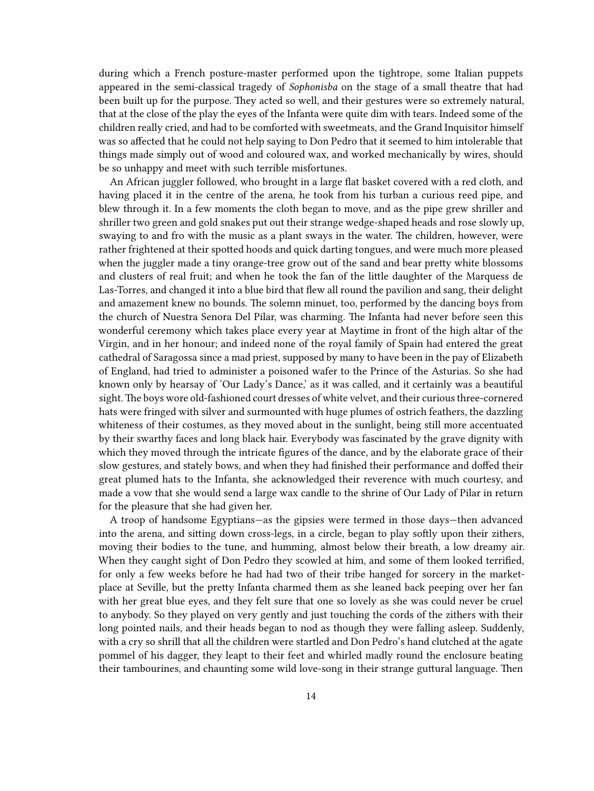during which a French posture-master performed upon the tightrope, some Italian puppets appeared in the semi-classical tragedy of *Sophonisba* on the stage of a small theatre that had been built up for the purpose. They acted so well, and their gestures were so extremely natural, that at the close of the play the eyes of the Infanta were quite dim with tears. Indeed some of the children really cried, and had to be comforted with sweetmeats, and the Grand Inquisitor himself was so affected that he could not help saying to Don Pedro that it seemed to him intolerable that things made simply out of wood and coloured wax, and worked mechanically by wires, should be so unhappy and meet with such terrible misfortunes.

An African juggler followed, who brought in a large flat basket covered with a red cloth, and having placed it in the centre of the arena, he took from his turban a curious reed pipe, and blew through it. In a few moments the cloth began to move, and as the pipe grew shriller and shriller two green and gold snakes put out their strange wedge-shaped heads and rose slowly up, swaying to and fro with the music as a plant sways in the water. The children, however, were rather frightened at their spotted hoods and quick darting tongues, and were much more pleased when the juggler made a tiny orange-tree grow out of the sand and bear pretty white blossoms and clusters of real fruit; and when he took the fan of the little daughter of the Marquess de Las-Torres, and changed it into a blue bird that flew all round the pavilion and sang, their delight and amazement knew no bounds. The solemn minuet, too, performed by the dancing boys from the church of Nuestra Senora Del Pilar, was charming. The Infanta had never before seen this wonderful ceremony which takes place every year at Maytime in front of the high altar of the Virgin, and in her honour; and indeed none of the royal family of Spain had entered the great cathedral of Saragossa since a mad priest, supposed by many to have been in the pay of Elizabeth of England, had tried to administer a poisoned wafer to the Prince of the Asturias. So she had known only by hearsay of 'Our Lady's Dance,' as it was called, and it certainly was a beautiful sight.The boys wore old-fashioned court dresses of white velvet, and their curious three-cornered hats were fringed with silver and surmounted with huge plumes of ostrich feathers, the dazzling whiteness of their costumes, as they moved about in the sunlight, being still more accentuated by their swarthy faces and long black hair. Everybody was fascinated by the grave dignity with which they moved through the intricate figures of the dance, and by the elaborate grace of their slow gestures, and stately bows, and when they had finished their performance and doffed their great plumed hats to the Infanta, she acknowledged their reverence with much courtesy, and made a vow that she would send a large wax candle to the shrine of Our Lady of Pilar in return for the pleasure that she had given her.

A troop of handsome Egyptians—as the gipsies were termed in those days—then advanced into the arena, and sitting down cross-legs, in a circle, began to play softly upon their zithers, moving their bodies to the tune, and humming, almost below their breath, a low dreamy air. When they caught sight of Don Pedro they scowled at him, and some of them looked terrified, for only a few weeks before he had had two of their tribe hanged for sorcery in the marketplace at Seville, but the pretty Infanta charmed them as she leaned back peeping over her fan with her great blue eyes, and they felt sure that one so lovely as she was could never be cruel to anybody. So they played on very gently and just touching the cords of the zithers with their long pointed nails, and their heads began to nod as though they were falling asleep. Suddenly, with a cry so shrill that all the children were startled and Don Pedro's hand clutched at the agate pommel of his dagger, they leapt to their feet and whirled madly round the enclosure beating their tambourines, and chaunting some wild love-song in their strange guttural language. Then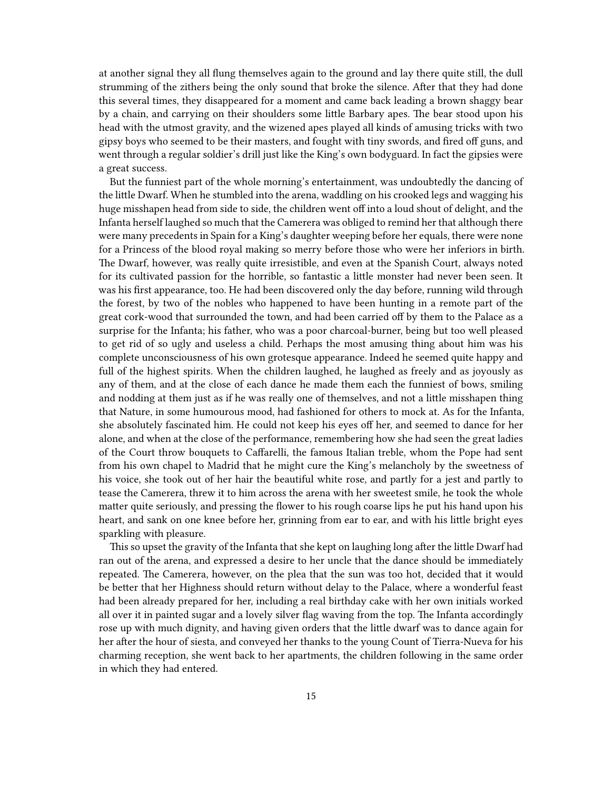at another signal they all flung themselves again to the ground and lay there quite still, the dull strumming of the zithers being the only sound that broke the silence. After that they had done this several times, they disappeared for a moment and came back leading a brown shaggy bear by a chain, and carrying on their shoulders some little Barbary apes. The bear stood upon his head with the utmost gravity, and the wizened apes played all kinds of amusing tricks with two gipsy boys who seemed to be their masters, and fought with tiny swords, and fired off guns, and went through a regular soldier's drill just like the King's own bodyguard. In fact the gipsies were a great success.

But the funniest part of the whole morning's entertainment, was undoubtedly the dancing of the little Dwarf. When he stumbled into the arena, waddling on his crooked legs and wagging his huge misshapen head from side to side, the children went off into a loud shout of delight, and the Infanta herself laughed so much that the Camerera was obliged to remind her that although there were many precedents in Spain for a King's daughter weeping before her equals, there were none for a Princess of the blood royal making so merry before those who were her inferiors in birth. The Dwarf, however, was really quite irresistible, and even at the Spanish Court, always noted for its cultivated passion for the horrible, so fantastic a little monster had never been seen. It was his first appearance, too. He had been discovered only the day before, running wild through the forest, by two of the nobles who happened to have been hunting in a remote part of the great cork-wood that surrounded the town, and had been carried off by them to the Palace as a surprise for the Infanta; his father, who was a poor charcoal-burner, being but too well pleased to get rid of so ugly and useless a child. Perhaps the most amusing thing about him was his complete unconsciousness of his own grotesque appearance. Indeed he seemed quite happy and full of the highest spirits. When the children laughed, he laughed as freely and as joyously as any of them, and at the close of each dance he made them each the funniest of bows, smiling and nodding at them just as if he was really one of themselves, and not a little misshapen thing that Nature, in some humourous mood, had fashioned for others to mock at. As for the Infanta, she absolutely fascinated him. He could not keep his eyes off her, and seemed to dance for her alone, and when at the close of the performance, remembering how she had seen the great ladies of the Court throw bouquets to Caffarelli, the famous Italian treble, whom the Pope had sent from his own chapel to Madrid that he might cure the King's melancholy by the sweetness of his voice, she took out of her hair the beautiful white rose, and partly for a jest and partly to tease the Camerera, threw it to him across the arena with her sweetest smile, he took the whole matter quite seriously, and pressing the flower to his rough coarse lips he put his hand upon his heart, and sank on one knee before her, grinning from ear to ear, and with his little bright eyes sparkling with pleasure.

This so upset the gravity of the Infanta that she kept on laughing long after the little Dwarf had ran out of the arena, and expressed a desire to her uncle that the dance should be immediately repeated. The Camerera, however, on the plea that the sun was too hot, decided that it would be better that her Highness should return without delay to the Palace, where a wonderful feast had been already prepared for her, including a real birthday cake with her own initials worked all over it in painted sugar and a lovely silver flag waving from the top. The Infanta accordingly rose up with much dignity, and having given orders that the little dwarf was to dance again for her after the hour of siesta, and conveyed her thanks to the young Count of Tierra-Nueva for his charming reception, she went back to her apartments, the children following in the same order in which they had entered.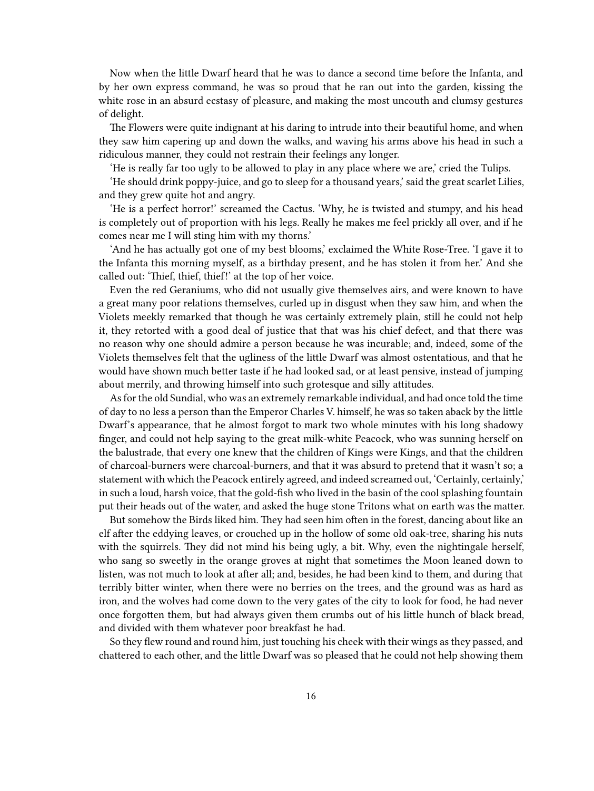Now when the little Dwarf heard that he was to dance a second time before the Infanta, and by her own express command, he was so proud that he ran out into the garden, kissing the white rose in an absurd ecstasy of pleasure, and making the most uncouth and clumsy gestures of delight.

The Flowers were quite indignant at his daring to intrude into their beautiful home, and when they saw him capering up and down the walks, and waving his arms above his head in such a ridiculous manner, they could not restrain their feelings any longer.

'He is really far too ugly to be allowed to play in any place where we are,' cried the Tulips.

'He should drink poppy-juice, and go to sleep for a thousand years,' said the great scarlet Lilies, and they grew quite hot and angry.

'He is a perfect horror!' screamed the Cactus. 'Why, he is twisted and stumpy, and his head is completely out of proportion with his legs. Really he makes me feel prickly all over, and if he comes near me I will sting him with my thorns.'

'And he has actually got one of my best blooms,' exclaimed the White Rose-Tree. 'I gave it to the Infanta this morning myself, as a birthday present, and he has stolen it from her.' And she called out: 'Thief, thief, thief!' at the top of her voice.

Even the red Geraniums, who did not usually give themselves airs, and were known to have a great many poor relations themselves, curled up in disgust when they saw him, and when the Violets meekly remarked that though he was certainly extremely plain, still he could not help it, they retorted with a good deal of justice that that was his chief defect, and that there was no reason why one should admire a person because he was incurable; and, indeed, some of the Violets themselves felt that the ugliness of the little Dwarf was almost ostentatious, and that he would have shown much better taste if he had looked sad, or at least pensive, instead of jumping about merrily, and throwing himself into such grotesque and silly attitudes.

As for the old Sundial, who was an extremely remarkable individual, and had once told the time of day to no less a person than the Emperor Charles V. himself, he was so taken aback by the little Dwarf's appearance, that he almost forgot to mark two whole minutes with his long shadowy finger, and could not help saying to the great milk-white Peacock, who was sunning herself on the balustrade, that every one knew that the children of Kings were Kings, and that the children of charcoal-burners were charcoal-burners, and that it was absurd to pretend that it wasn't so; a statement with which the Peacock entirely agreed, and indeed screamed out, 'Certainly, certainly,' in such a loud, harsh voice, that the gold-fish who lived in the basin of the cool splashing fountain put their heads out of the water, and asked the huge stone Tritons what on earth was the matter.

But somehow the Birds liked him. They had seen him often in the forest, dancing about like an elf after the eddying leaves, or crouched up in the hollow of some old oak-tree, sharing his nuts with the squirrels. They did not mind his being ugly, a bit. Why, even the nightingale herself, who sang so sweetly in the orange groves at night that sometimes the Moon leaned down to listen, was not much to look at after all; and, besides, he had been kind to them, and during that terribly bitter winter, when there were no berries on the trees, and the ground was as hard as iron, and the wolves had come down to the very gates of the city to look for food, he had never once forgotten them, but had always given them crumbs out of his little hunch of black bread, and divided with them whatever poor breakfast he had.

So they flew round and round him, just touching his cheek with their wings as they passed, and chattered to each other, and the little Dwarf was so pleased that he could not help showing them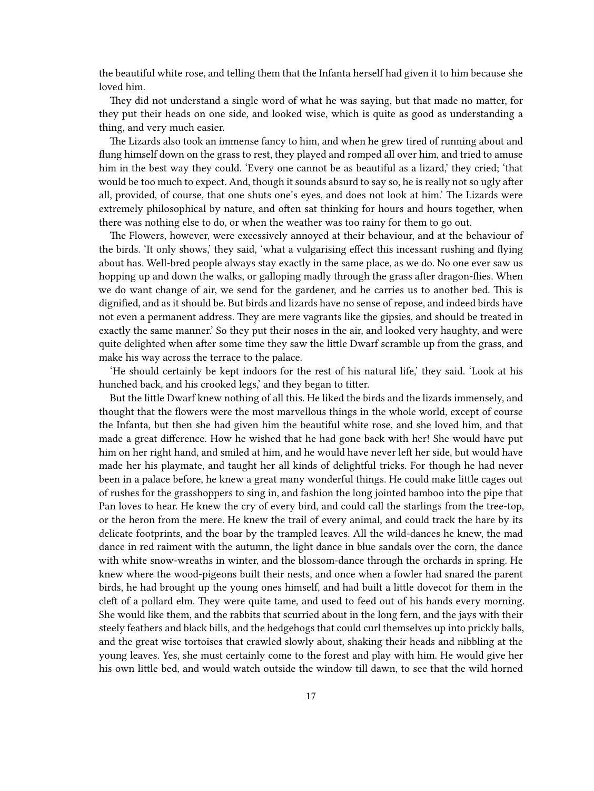the beautiful white rose, and telling them that the Infanta herself had given it to him because she loved him.

They did not understand a single word of what he was saying, but that made no matter, for they put their heads on one side, and looked wise, which is quite as good as understanding a thing, and very much easier.

The Lizards also took an immense fancy to him, and when he grew tired of running about and flung himself down on the grass to rest, they played and romped all over him, and tried to amuse him in the best way they could. 'Every one cannot be as beautiful as a lizard,' they cried; 'that would be too much to expect. And, though it sounds absurd to say so, he is really not so ugly after all, provided, of course, that one shuts one's eyes, and does not look at him.' The Lizards were extremely philosophical by nature, and often sat thinking for hours and hours together, when there was nothing else to do, or when the weather was too rainy for them to go out.

The Flowers, however, were excessively annoyed at their behaviour, and at the behaviour of the birds. 'It only shows,' they said, 'what a vulgarising effect this incessant rushing and flying about has. Well-bred people always stay exactly in the same place, as we do. No one ever saw us hopping up and down the walks, or galloping madly through the grass after dragon-flies. When we do want change of air, we send for the gardener, and he carries us to another bed. This is dignified, and as it should be. But birds and lizards have no sense of repose, and indeed birds have not even a permanent address. They are mere vagrants like the gipsies, and should be treated in exactly the same manner.' So they put their noses in the air, and looked very haughty, and were quite delighted when after some time they saw the little Dwarf scramble up from the grass, and make his way across the terrace to the palace.

'He should certainly be kept indoors for the rest of his natural life,' they said. 'Look at his hunched back, and his crooked legs,' and they began to titter.

But the little Dwarf knew nothing of all this. He liked the birds and the lizards immensely, and thought that the flowers were the most marvellous things in the whole world, except of course the Infanta, but then she had given him the beautiful white rose, and she loved him, and that made a great difference. How he wished that he had gone back with her! She would have put him on her right hand, and smiled at him, and he would have never left her side, but would have made her his playmate, and taught her all kinds of delightful tricks. For though he had never been in a palace before, he knew a great many wonderful things. He could make little cages out of rushes for the grasshoppers to sing in, and fashion the long jointed bamboo into the pipe that Pan loves to hear. He knew the cry of every bird, and could call the starlings from the tree-top, or the heron from the mere. He knew the trail of every animal, and could track the hare by its delicate footprints, and the boar by the trampled leaves. All the wild-dances he knew, the mad dance in red raiment with the autumn, the light dance in blue sandals over the corn, the dance with white snow-wreaths in winter, and the blossom-dance through the orchards in spring. He knew where the wood-pigeons built their nests, and once when a fowler had snared the parent birds, he had brought up the young ones himself, and had built a little dovecot for them in the cleft of a pollard elm. They were quite tame, and used to feed out of his hands every morning. She would like them, and the rabbits that scurried about in the long fern, and the jays with their steely feathers and black bills, and the hedgehogs that could curl themselves up into prickly balls, and the great wise tortoises that crawled slowly about, shaking their heads and nibbling at the young leaves. Yes, she must certainly come to the forest and play with him. He would give her his own little bed, and would watch outside the window till dawn, to see that the wild horned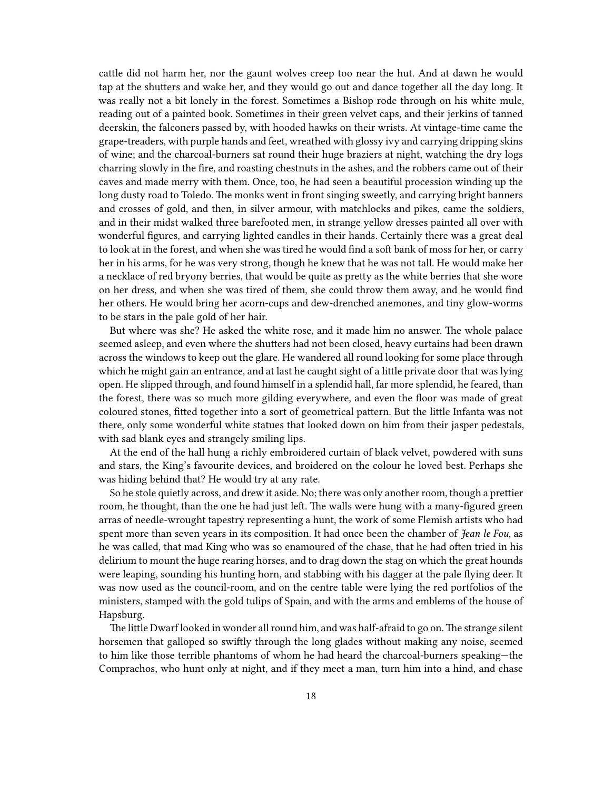cattle did not harm her, nor the gaunt wolves creep too near the hut. And at dawn he would tap at the shutters and wake her, and they would go out and dance together all the day long. It was really not a bit lonely in the forest. Sometimes a Bishop rode through on his white mule, reading out of a painted book. Sometimes in their green velvet caps, and their jerkins of tanned deerskin, the falconers passed by, with hooded hawks on their wrists. At vintage-time came the grape-treaders, with purple hands and feet, wreathed with glossy ivy and carrying dripping skins of wine; and the charcoal-burners sat round their huge braziers at night, watching the dry logs charring slowly in the fire, and roasting chestnuts in the ashes, and the robbers came out of their caves and made merry with them. Once, too, he had seen a beautiful procession winding up the long dusty road to Toledo. The monks went in front singing sweetly, and carrying bright banners and crosses of gold, and then, in silver armour, with matchlocks and pikes, came the soldiers, and in their midst walked three barefooted men, in strange yellow dresses painted all over with wonderful figures, and carrying lighted candles in their hands. Certainly there was a great deal to look at in the forest, and when she was tired he would find a soft bank of moss for her, or carry her in his arms, for he was very strong, though he knew that he was not tall. He would make her a necklace of red bryony berries, that would be quite as pretty as the white berries that she wore on her dress, and when she was tired of them, she could throw them away, and he would find her others. He would bring her acorn-cups and dew-drenched anemones, and tiny glow-worms to be stars in the pale gold of her hair.

But where was she? He asked the white rose, and it made him no answer. The whole palace seemed asleep, and even where the shutters had not been closed, heavy curtains had been drawn across the windows to keep out the glare. He wandered all round looking for some place through which he might gain an entrance, and at last he caught sight of a little private door that was lying open. He slipped through, and found himself in a splendid hall, far more splendid, he feared, than the forest, there was so much more gilding everywhere, and even the floor was made of great coloured stones, fitted together into a sort of geometrical pattern. But the little Infanta was not there, only some wonderful white statues that looked down on him from their jasper pedestals, with sad blank eyes and strangely smiling lips.

At the end of the hall hung a richly embroidered curtain of black velvet, powdered with suns and stars, the King's favourite devices, and broidered on the colour he loved best. Perhaps she was hiding behind that? He would try at any rate.

So he stole quietly across, and drew it aside. No; there was only another room, though a prettier room, he thought, than the one he had just left. The walls were hung with a many-figured green arras of needle-wrought tapestry representing a hunt, the work of some Flemish artists who had spent more than seven years in its composition. It had once been the chamber of *Jean le Fou*, as he was called, that mad King who was so enamoured of the chase, that he had often tried in his delirium to mount the huge rearing horses, and to drag down the stag on which the great hounds were leaping, sounding his hunting horn, and stabbing with his dagger at the pale flying deer. It was now used as the council-room, and on the centre table were lying the red portfolios of the ministers, stamped with the gold tulips of Spain, and with the arms and emblems of the house of Hapsburg.

The little Dwarf looked in wonder all round him, and was half-afraid to go on.The strange silent horsemen that galloped so swiftly through the long glades without making any noise, seemed to him like those terrible phantoms of whom he had heard the charcoal-burners speaking—the Comprachos, who hunt only at night, and if they meet a man, turn him into a hind, and chase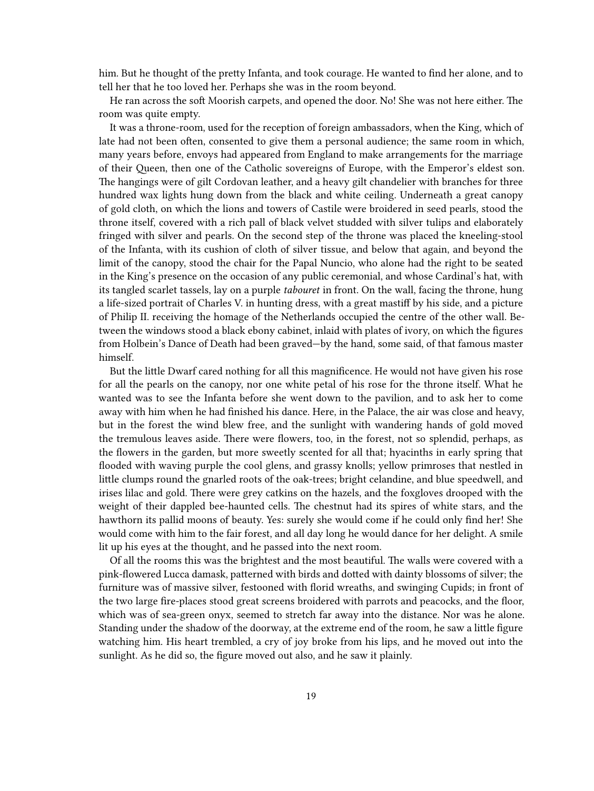him. But he thought of the pretty Infanta, and took courage. He wanted to find her alone, and to tell her that he too loved her. Perhaps she was in the room beyond.

He ran across the soft Moorish carpets, and opened the door. No! She was not here either. The room was quite empty.

It was a throne-room, used for the reception of foreign ambassadors, when the King, which of late had not been often, consented to give them a personal audience; the same room in which, many years before, envoys had appeared from England to make arrangements for the marriage of their Queen, then one of the Catholic sovereigns of Europe, with the Emperor's eldest son. The hangings were of gilt Cordovan leather, and a heavy gilt chandelier with branches for three hundred wax lights hung down from the black and white ceiling. Underneath a great canopy of gold cloth, on which the lions and towers of Castile were broidered in seed pearls, stood the throne itself, covered with a rich pall of black velvet studded with silver tulips and elaborately fringed with silver and pearls. On the second step of the throne was placed the kneeling-stool of the Infanta, with its cushion of cloth of silver tissue, and below that again, and beyond the limit of the canopy, stood the chair for the Papal Nuncio, who alone had the right to be seated in the King's presence on the occasion of any public ceremonial, and whose Cardinal's hat, with its tangled scarlet tassels, lay on a purple *tabouret* in front. On the wall, facing the throne, hung a life-sized portrait of Charles V. in hunting dress, with a great mastiff by his side, and a picture of Philip II. receiving the homage of the Netherlands occupied the centre of the other wall. Between the windows stood a black ebony cabinet, inlaid with plates of ivory, on which the figures from Holbein's Dance of Death had been graved—by the hand, some said, of that famous master himself.

But the little Dwarf cared nothing for all this magnificence. He would not have given his rose for all the pearls on the canopy, nor one white petal of his rose for the throne itself. What he wanted was to see the Infanta before she went down to the pavilion, and to ask her to come away with him when he had finished his dance. Here, in the Palace, the air was close and heavy, but in the forest the wind blew free, and the sunlight with wandering hands of gold moved the tremulous leaves aside. There were flowers, too, in the forest, not so splendid, perhaps, as the flowers in the garden, but more sweetly scented for all that; hyacinths in early spring that flooded with waving purple the cool glens, and grassy knolls; yellow primroses that nestled in little clumps round the gnarled roots of the oak-trees; bright celandine, and blue speedwell, and irises lilac and gold. There were grey catkins on the hazels, and the foxgloves drooped with the weight of their dappled bee-haunted cells. The chestnut had its spires of white stars, and the hawthorn its pallid moons of beauty. Yes: surely she would come if he could only find her! She would come with him to the fair forest, and all day long he would dance for her delight. A smile lit up his eyes at the thought, and he passed into the next room.

Of all the rooms this was the brightest and the most beautiful. The walls were covered with a pink-flowered Lucca damask, patterned with birds and dotted with dainty blossoms of silver; the furniture was of massive silver, festooned with florid wreaths, and swinging Cupids; in front of the two large fire-places stood great screens broidered with parrots and peacocks, and the floor, which was of sea-green onyx, seemed to stretch far away into the distance. Nor was he alone. Standing under the shadow of the doorway, at the extreme end of the room, he saw a little figure watching him. His heart trembled, a cry of joy broke from his lips, and he moved out into the sunlight. As he did so, the figure moved out also, and he saw it plainly.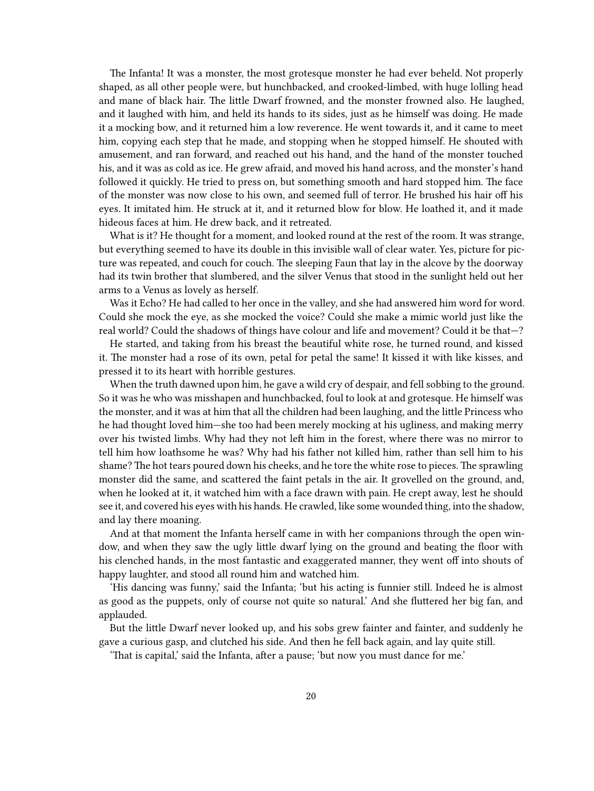The Infanta! It was a monster, the most grotesque monster he had ever beheld. Not properly shaped, as all other people were, but hunchbacked, and crooked-limbed, with huge lolling head and mane of black hair. The little Dwarf frowned, and the monster frowned also. He laughed, and it laughed with him, and held its hands to its sides, just as he himself was doing. He made it a mocking bow, and it returned him a low reverence. He went towards it, and it came to meet him, copying each step that he made, and stopping when he stopped himself. He shouted with amusement, and ran forward, and reached out his hand, and the hand of the monster touched his, and it was as cold as ice. He grew afraid, and moved his hand across, and the monster's hand followed it quickly. He tried to press on, but something smooth and hard stopped him. The face of the monster was now close to his own, and seemed full of terror. He brushed his hair off his eyes. It imitated him. He struck at it, and it returned blow for blow. He loathed it, and it made hideous faces at him. He drew back, and it retreated.

What is it? He thought for a moment, and looked round at the rest of the room. It was strange, but everything seemed to have its double in this invisible wall of clear water. Yes, picture for picture was repeated, and couch for couch. The sleeping Faun that lay in the alcove by the doorway had its twin brother that slumbered, and the silver Venus that stood in the sunlight held out her arms to a Venus as lovely as herself.

Was it Echo? He had called to her once in the valley, and she had answered him word for word. Could she mock the eye, as she mocked the voice? Could she make a mimic world just like the real world? Could the shadows of things have colour and life and movement? Could it be that—?

He started, and taking from his breast the beautiful white rose, he turned round, and kissed it. The monster had a rose of its own, petal for petal the same! It kissed it with like kisses, and pressed it to its heart with horrible gestures.

When the truth dawned upon him, he gave a wild cry of despair, and fell sobbing to the ground. So it was he who was misshapen and hunchbacked, foul to look at and grotesque. He himself was the monster, and it was at him that all the children had been laughing, and the little Princess who he had thought loved him—she too had been merely mocking at his ugliness, and making merry over his twisted limbs. Why had they not left him in the forest, where there was no mirror to tell him how loathsome he was? Why had his father not killed him, rather than sell him to his shame? The hot tears poured down his cheeks, and he tore the white rose to pieces. The sprawling monster did the same, and scattered the faint petals in the air. It grovelled on the ground, and, when he looked at it, it watched him with a face drawn with pain. He crept away, lest he should see it, and covered his eyes with his hands. He crawled, like some wounded thing, into the shadow, and lay there moaning.

And at that moment the Infanta herself came in with her companions through the open window, and when they saw the ugly little dwarf lying on the ground and beating the floor with his clenched hands, in the most fantastic and exaggerated manner, they went off into shouts of happy laughter, and stood all round him and watched him.

'His dancing was funny,' said the Infanta; 'but his acting is funnier still. Indeed he is almost as good as the puppets, only of course not quite so natural.' And she fluttered her big fan, and applauded.

But the little Dwarf never looked up, and his sobs grew fainter and fainter, and suddenly he gave a curious gasp, and clutched his side. And then he fell back again, and lay quite still.

'That is capital,' said the Infanta, after a pause; 'but now you must dance for me.'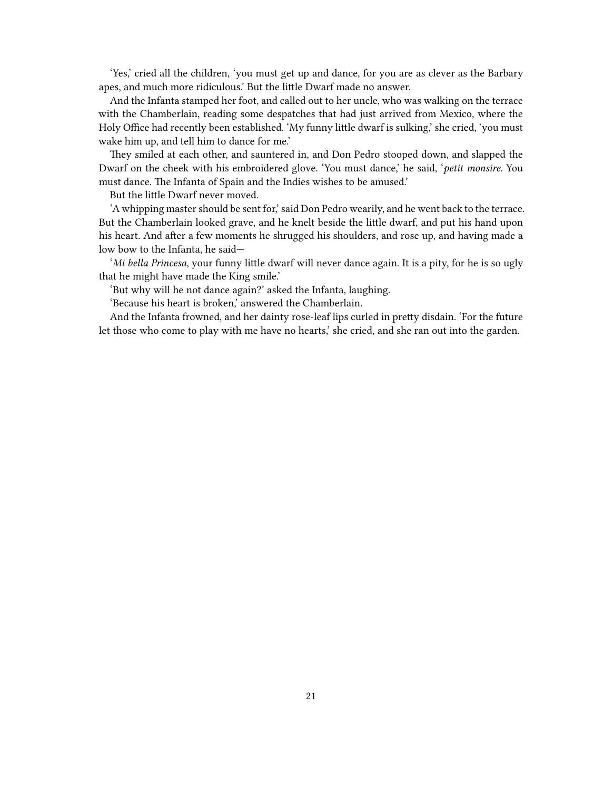'Yes,' cried all the children, 'you must get up and dance, for you are as clever as the Barbary apes, and much more ridiculous.' But the little Dwarf made no answer.

And the Infanta stamped her foot, and called out to her uncle, who was walking on the terrace with the Chamberlain, reading some despatches that had just arrived from Mexico, where the Holy Office had recently been established. 'My funny little dwarf is sulking,' she cried, 'you must wake him up, and tell him to dance for me.'

They smiled at each other, and sauntered in, and Don Pedro stooped down, and slapped the Dwarf on the cheek with his embroidered glove. 'You must dance,' he said, '*petit monsire*. You must dance. The Infanta of Spain and the Indies wishes to be amused.'

But the little Dwarf never moved.

'A whipping master should be sent for,' said Don Pedro wearily, and he went back to the terrace. But the Chamberlain looked grave, and he knelt beside the little dwarf, and put his hand upon his heart. And after a few moments he shrugged his shoulders, and rose up, and having made a low bow to the Infanta, he said—

'*Mi bella Princesa*, your funny little dwarf will never dance again. It is a pity, for he is so ugly that he might have made the King smile.'

'But why will he not dance again?' asked the Infanta, laughing.

'Because his heart is broken,' answered the Chamberlain.

And the Infanta frowned, and her dainty rose-leaf lips curled in pretty disdain. 'For the future let those who come to play with me have no hearts,' she cried, and she ran out into the garden.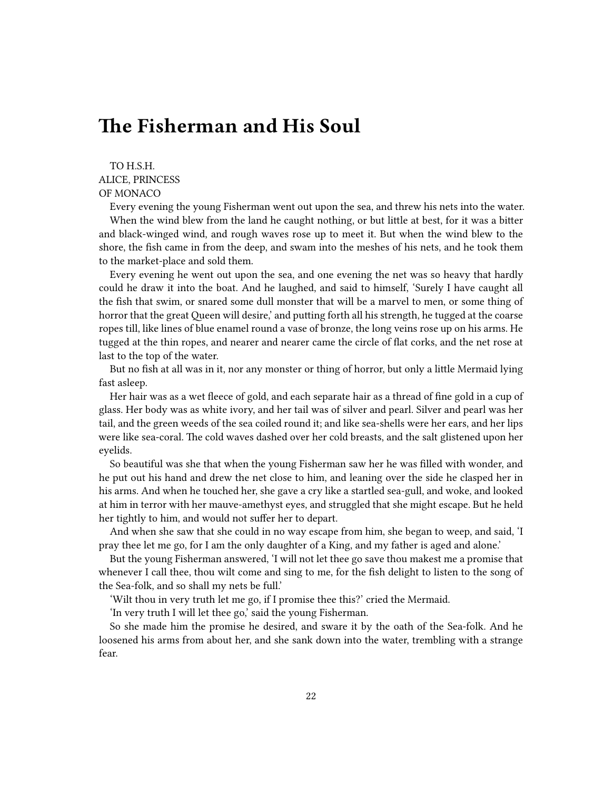### <span id="page-21-0"></span>**The Fisherman and His Soul**

TO H.S.H. ALICE, PRINCESS OF MONACO

Every evening the young Fisherman went out upon the sea, and threw his nets into the water. When the wind blew from the land he caught nothing, or but little at best, for it was a bitter and black-winged wind, and rough waves rose up to meet it. But when the wind blew to the shore, the fish came in from the deep, and swam into the meshes of his nets, and he took them to the market-place and sold them.

Every evening he went out upon the sea, and one evening the net was so heavy that hardly could he draw it into the boat. And he laughed, and said to himself, 'Surely I have caught all the fish that swim, or snared some dull monster that will be a marvel to men, or some thing of horror that the great Queen will desire,' and putting forth all his strength, he tugged at the coarse ropes till, like lines of blue enamel round a vase of bronze, the long veins rose up on his arms. He tugged at the thin ropes, and nearer and nearer came the circle of flat corks, and the net rose at last to the top of the water.

But no fish at all was in it, nor any monster or thing of horror, but only a little Mermaid lying fast asleep.

Her hair was as a wet fleece of gold, and each separate hair as a thread of fine gold in a cup of glass. Her body was as white ivory, and her tail was of silver and pearl. Silver and pearl was her tail, and the green weeds of the sea coiled round it; and like sea-shells were her ears, and her lips were like sea-coral. The cold waves dashed over her cold breasts, and the salt glistened upon her eyelids.

So beautiful was she that when the young Fisherman saw her he was filled with wonder, and he put out his hand and drew the net close to him, and leaning over the side he clasped her in his arms. And when he touched her, she gave a cry like a startled sea-gull, and woke, and looked at him in terror with her mauve-amethyst eyes, and struggled that she might escape. But he held her tightly to him, and would not suffer her to depart.

And when she saw that she could in no way escape from him, she began to weep, and said, 'I pray thee let me go, for I am the only daughter of a King, and my father is aged and alone.'

But the young Fisherman answered, 'I will not let thee go save thou makest me a promise that whenever I call thee, thou wilt come and sing to me, for the fish delight to listen to the song of the Sea-folk, and so shall my nets be full.'

'Wilt thou in very truth let me go, if I promise thee this?' cried the Mermaid.

'In very truth I will let thee go,' said the young Fisherman.

So she made him the promise he desired, and sware it by the oath of the Sea-folk. And he loosened his arms from about her, and she sank down into the water, trembling with a strange fear.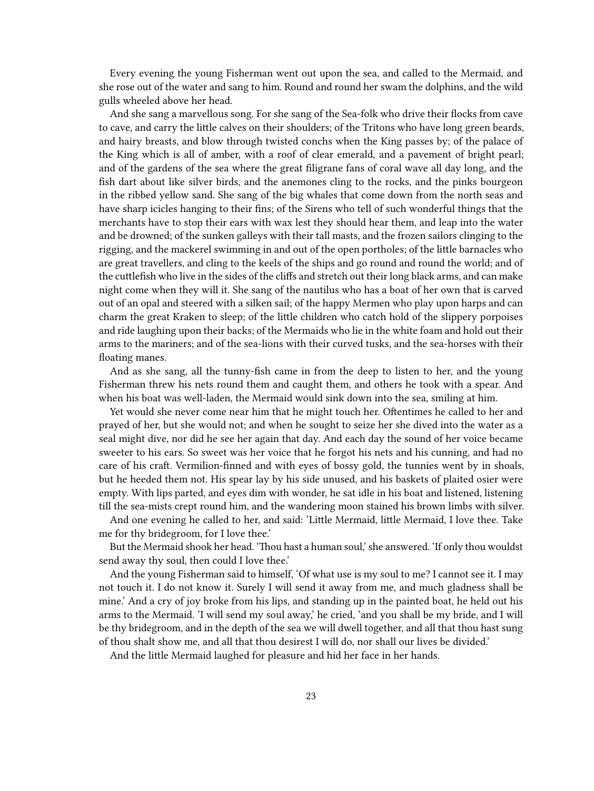Every evening the young Fisherman went out upon the sea, and called to the Mermaid, and she rose out of the water and sang to him. Round and round her swam the dolphins, and the wild gulls wheeled above her head.

And she sang a marvellous song. For she sang of the Sea-folk who drive their flocks from cave to cave, and carry the little calves on their shoulders; of the Tritons who have long green beards, and hairy breasts, and blow through twisted conchs when the King passes by; of the palace of the King which is all of amber, with a roof of clear emerald, and a pavement of bright pearl; and of the gardens of the sea where the great filigrane fans of coral wave all day long, and the fish dart about like silver birds, and the anemones cling to the rocks, and the pinks bourgeon in the ribbed yellow sand. She sang of the big whales that come down from the north seas and have sharp icicles hanging to their fins; of the Sirens who tell of such wonderful things that the merchants have to stop their ears with wax lest they should hear them, and leap into the water and be drowned; of the sunken galleys with their tall masts, and the frozen sailors clinging to the rigging, and the mackerel swimming in and out of the open portholes; of the little barnacles who are great travellers, and cling to the keels of the ships and go round and round the world; and of the cuttlefish who live in the sides of the cliffs and stretch out their long black arms, and can make night come when they will it. She sang of the nautilus who has a boat of her own that is carved out of an opal and steered with a silken sail; of the happy Mermen who play upon harps and can charm the great Kraken to sleep; of the little children who catch hold of the slippery porpoises and ride laughing upon their backs; of the Mermaids who lie in the white foam and hold out their arms to the mariners; and of the sea-lions with their curved tusks, and the sea-horses with their floating manes.

And as she sang, all the tunny-fish came in from the deep to listen to her, and the young Fisherman threw his nets round them and caught them, and others he took with a spear. And when his boat was well-laden, the Mermaid would sink down into the sea, smiling at him.

Yet would she never come near him that he might touch her. Oftentimes he called to her and prayed of her, but she would not; and when he sought to seize her she dived into the water as a seal might dive, nor did he see her again that day. And each day the sound of her voice became sweeter to his ears. So sweet was her voice that he forgot his nets and his cunning, and had no care of his craft. Vermilion-finned and with eyes of bossy gold, the tunnies went by in shoals, but he heeded them not. His spear lay by his side unused, and his baskets of plaited osier were empty. With lips parted, and eyes dim with wonder, he sat idle in his boat and listened, listening till the sea-mists crept round him, and the wandering moon stained his brown limbs with silver.

And one evening he called to her, and said: 'Little Mermaid, little Mermaid, I love thee. Take me for thy bridegroom, for I love thee.'

But the Mermaid shook her head. 'Thou hast a human soul,' she answered. 'If only thou wouldst send away thy soul, then could I love thee.'

And the young Fisherman said to himself, 'Of what use is my soul to me? I cannot see it. I may not touch it. I do not know it. Surely I will send it away from me, and much gladness shall be mine.' And a cry of joy broke from his lips, and standing up in the painted boat, he held out his arms to the Mermaid. 'I will send my soul away,' he cried, 'and you shall be my bride, and I will be thy bridegroom, and in the depth of the sea we will dwell together, and all that thou hast sung of thou shalt show me, and all that thou desirest I will do, nor shall our lives be divided.'

And the little Mermaid laughed for pleasure and hid her face in her hands.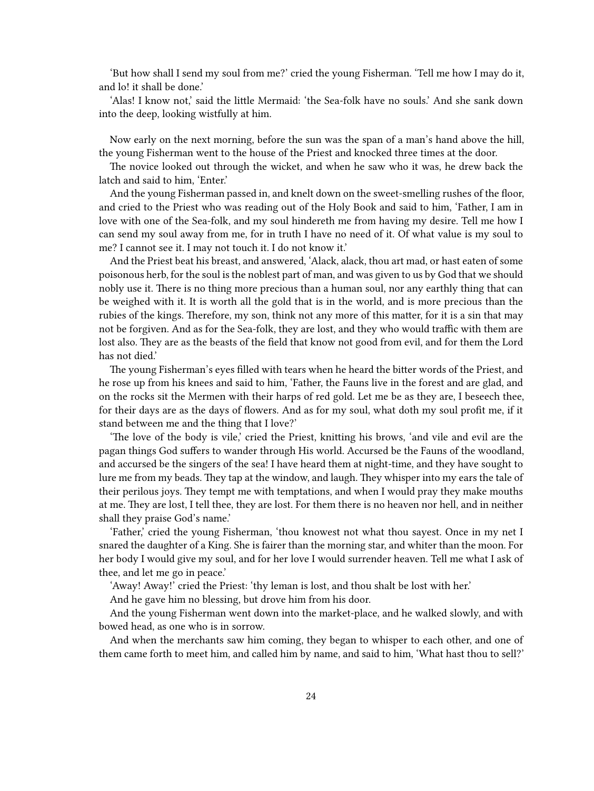'But how shall I send my soul from me?' cried the young Fisherman. 'Tell me how I may do it, and lo! it shall be done.'

'Alas! I know not,' said the little Mermaid: 'the Sea-folk have no souls.' And she sank down into the deep, looking wistfully at him.

Now early on the next morning, before the sun was the span of a man's hand above the hill, the young Fisherman went to the house of the Priest and knocked three times at the door.

The novice looked out through the wicket, and when he saw who it was, he drew back the latch and said to him, 'Enter.'

And the young Fisherman passed in, and knelt down on the sweet-smelling rushes of the floor, and cried to the Priest who was reading out of the Holy Book and said to him, 'Father, I am in love with one of the Sea-folk, and my soul hindereth me from having my desire. Tell me how I can send my soul away from me, for in truth I have no need of it. Of what value is my soul to me? I cannot see it. I may not touch it. I do not know it.'

And the Priest beat his breast, and answered, 'Alack, alack, thou art mad, or hast eaten of some poisonous herb, for the soul is the noblest part of man, and was given to us by God that we should nobly use it. There is no thing more precious than a human soul, nor any earthly thing that can be weighed with it. It is worth all the gold that is in the world, and is more precious than the rubies of the kings. Therefore, my son, think not any more of this matter, for it is a sin that may not be forgiven. And as for the Sea-folk, they are lost, and they who would traffic with them are lost also. They are as the beasts of the field that know not good from evil, and for them the Lord has not died.'

The young Fisherman's eyes filled with tears when he heard the bitter words of the Priest, and he rose up from his knees and said to him, 'Father, the Fauns live in the forest and are glad, and on the rocks sit the Mermen with their harps of red gold. Let me be as they are, I beseech thee, for their days are as the days of flowers. And as for my soul, what doth my soul profit me, if it stand between me and the thing that I love?'

'The love of the body is vile,' cried the Priest, knitting his brows, 'and vile and evil are the pagan things God suffers to wander through His world. Accursed be the Fauns of the woodland, and accursed be the singers of the sea! I have heard them at night-time, and they have sought to lure me from my beads. They tap at the window, and laugh. They whisper into my ears the tale of their perilous joys. They tempt me with temptations, and when I would pray they make mouths at me. They are lost, I tell thee, they are lost. For them there is no heaven nor hell, and in neither shall they praise God's name.'

'Father,' cried the young Fisherman, 'thou knowest not what thou sayest. Once in my net I snared the daughter of a King. She is fairer than the morning star, and whiter than the moon. For her body I would give my soul, and for her love I would surrender heaven. Tell me what I ask of thee, and let me go in peace.'

'Away! Away!' cried the Priest: 'thy leman is lost, and thou shalt be lost with her.'

And he gave him no blessing, but drove him from his door.

And the young Fisherman went down into the market-place, and he walked slowly, and with bowed head, as one who is in sorrow.

And when the merchants saw him coming, they began to whisper to each other, and one of them came forth to meet him, and called him by name, and said to him, 'What hast thou to sell?'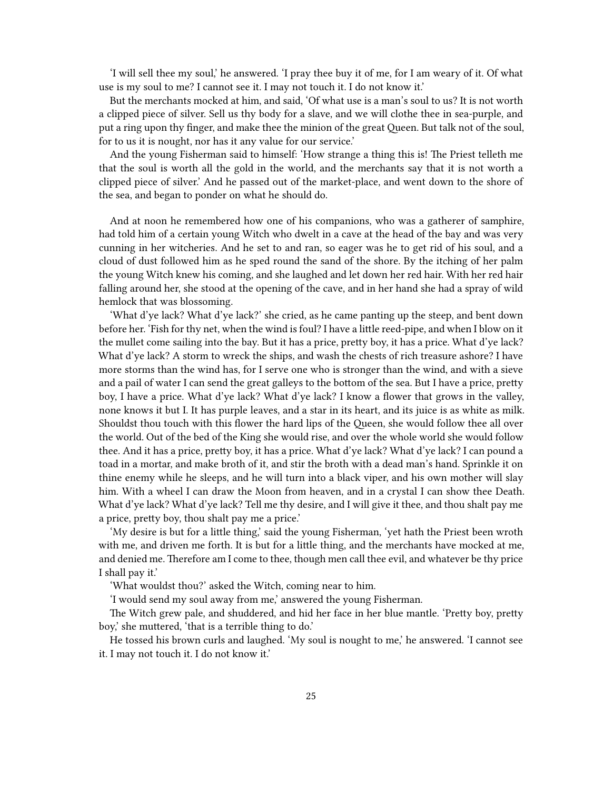'I will sell thee my soul,' he answered. 'I pray thee buy it of me, for I am weary of it. Of what use is my soul to me? I cannot see it. I may not touch it. I do not know it.'

But the merchants mocked at him, and said, 'Of what use is a man's soul to us? It is not worth a clipped piece of silver. Sell us thy body for a slave, and we will clothe thee in sea-purple, and put a ring upon thy finger, and make thee the minion of the great Queen. But talk not of the soul, for to us it is nought, nor has it any value for our service.'

And the young Fisherman said to himself: 'How strange a thing this is! The Priest telleth me that the soul is worth all the gold in the world, and the merchants say that it is not worth a clipped piece of silver.' And he passed out of the market-place, and went down to the shore of the sea, and began to ponder on what he should do.

And at noon he remembered how one of his companions, who was a gatherer of samphire, had told him of a certain young Witch who dwelt in a cave at the head of the bay and was very cunning in her witcheries. And he set to and ran, so eager was he to get rid of his soul, and a cloud of dust followed him as he sped round the sand of the shore. By the itching of her palm the young Witch knew his coming, and she laughed and let down her red hair. With her red hair falling around her, she stood at the opening of the cave, and in her hand she had a spray of wild hemlock that was blossoming.

'What d'ye lack? What d'ye lack?' she cried, as he came panting up the steep, and bent down before her. 'Fish for thy net, when the wind is foul? I have a little reed-pipe, and when I blow on it the mullet come sailing into the bay. But it has a price, pretty boy, it has a price. What d'ye lack? What d'ye lack? A storm to wreck the ships, and wash the chests of rich treasure ashore? I have more storms than the wind has, for I serve one who is stronger than the wind, and with a sieve and a pail of water I can send the great galleys to the bottom of the sea. But I have a price, pretty boy, I have a price. What d'ye lack? What d'ye lack? I know a flower that grows in the valley, none knows it but I. It has purple leaves, and a star in its heart, and its juice is as white as milk. Shouldst thou touch with this flower the hard lips of the Queen, she would follow thee all over the world. Out of the bed of the King she would rise, and over the whole world she would follow thee. And it has a price, pretty boy, it has a price. What d'ye lack? What d'ye lack? I can pound a toad in a mortar, and make broth of it, and stir the broth with a dead man's hand. Sprinkle it on thine enemy while he sleeps, and he will turn into a black viper, and his own mother will slay him. With a wheel I can draw the Moon from heaven, and in a crystal I can show thee Death. What d'ye lack? What d'ye lack? Tell me thy desire, and I will give it thee, and thou shalt pay me a price, pretty boy, thou shalt pay me a price.'

'My desire is but for a little thing,' said the young Fisherman, 'yet hath the Priest been wroth with me, and driven me forth. It is but for a little thing, and the merchants have mocked at me, and denied me. Therefore am I come to thee, though men call thee evil, and whatever be thy price I shall pay it.'

'What wouldst thou?' asked the Witch, coming near to him.

'I would send my soul away from me,' answered the young Fisherman.

The Witch grew pale, and shuddered, and hid her face in her blue mantle. 'Pretty boy, pretty boy,' she muttered, 'that is a terrible thing to do.'

He tossed his brown curls and laughed. 'My soul is nought to me,' he answered. 'I cannot see it. I may not touch it. I do not know it.'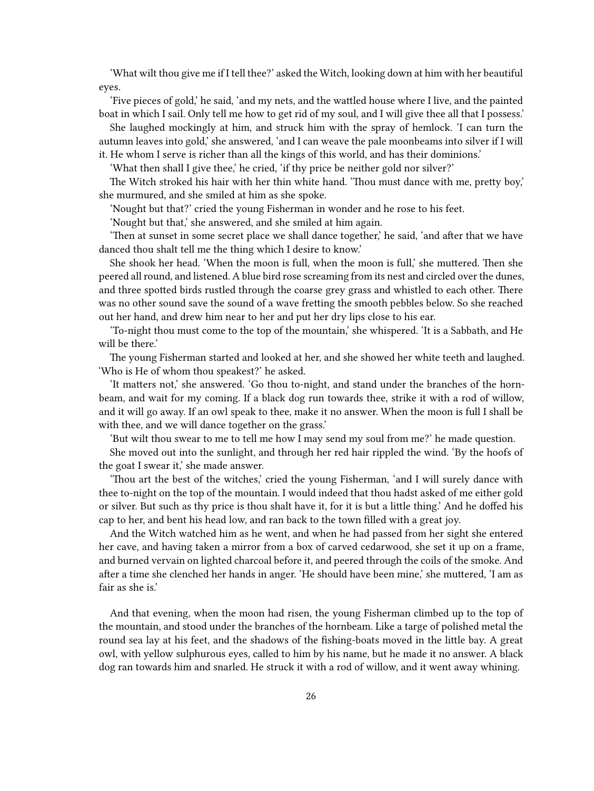'What wilt thou give me if I tell thee?' asked the Witch, looking down at him with her beautiful eyes.

'Five pieces of gold,' he said, 'and my nets, and the wattled house where I live, and the painted boat in which I sail. Only tell me how to get rid of my soul, and I will give thee all that I possess.' She laughed mockingly at him, and struck him with the spray of hemlock. 'I can turn the

autumn leaves into gold,' she answered, 'and I can weave the pale moonbeams into silver if I will it. He whom I serve is richer than all the kings of this world, and has their dominions.'

'What then shall I give thee,' he cried, 'if thy price be neither gold nor silver?'

The Witch stroked his hair with her thin white hand. 'Thou must dance with me, pretty boy,' she murmured, and she smiled at him as she spoke.

'Nought but that?' cried the young Fisherman in wonder and he rose to his feet.

'Nought but that,' she answered, and she smiled at him again.

'Then at sunset in some secret place we shall dance together,' he said, 'and after that we have danced thou shalt tell me the thing which I desire to know.'

She shook her head. 'When the moon is full, when the moon is full,' she muttered. Then she peered all round, and listened. A blue bird rose screaming from its nest and circled over the dunes, and three spotted birds rustled through the coarse grey grass and whistled to each other. There was no other sound save the sound of a wave fretting the smooth pebbles below. So she reached out her hand, and drew him near to her and put her dry lips close to his ear.

'To-night thou must come to the top of the mountain,' she whispered. 'It is a Sabbath, and He will be there.'

The young Fisherman started and looked at her, and she showed her white teeth and laughed. 'Who is He of whom thou speakest?' he asked.

'It matters not,' she answered. 'Go thou to-night, and stand under the branches of the hornbeam, and wait for my coming. If a black dog run towards thee, strike it with a rod of willow, and it will go away. If an owl speak to thee, make it no answer. When the moon is full I shall be with thee, and we will dance together on the grass.'

'But wilt thou swear to me to tell me how I may send my soul from me?' he made question.

She moved out into the sunlight, and through her red hair rippled the wind. 'By the hoofs of the goat I swear it,' she made answer.

'Thou art the best of the witches,' cried the young Fisherman, 'and I will surely dance with thee to-night on the top of the mountain. I would indeed that thou hadst asked of me either gold or silver. But such as thy price is thou shalt have it, for it is but a little thing.' And he doffed his cap to her, and bent his head low, and ran back to the town filled with a great joy.

And the Witch watched him as he went, and when he had passed from her sight she entered her cave, and having taken a mirror from a box of carved cedarwood, she set it up on a frame, and burned vervain on lighted charcoal before it, and peered through the coils of the smoke. And after a time she clenched her hands in anger. 'He should have been mine,' she muttered, 'I am as fair as she is.'

And that evening, when the moon had risen, the young Fisherman climbed up to the top of the mountain, and stood under the branches of the hornbeam. Like a targe of polished metal the round sea lay at his feet, and the shadows of the fishing-boats moved in the little bay. A great owl, with yellow sulphurous eyes, called to him by his name, but he made it no answer. A black dog ran towards him and snarled. He struck it with a rod of willow, and it went away whining.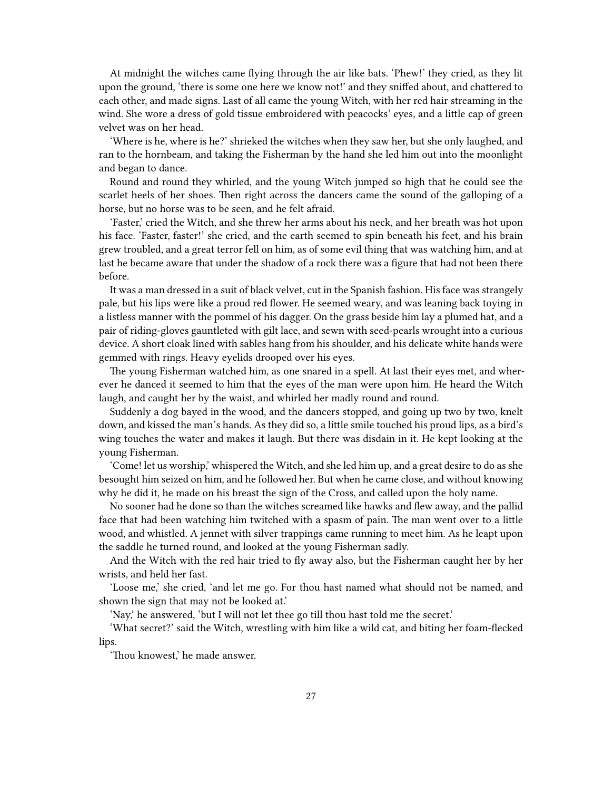At midnight the witches came flying through the air like bats. 'Phew!' they cried, as they lit upon the ground, 'there is some one here we know not!' and they sniffed about, and chattered to each other, and made signs. Last of all came the young Witch, with her red hair streaming in the wind. She wore a dress of gold tissue embroidered with peacocks' eyes, and a little cap of green velvet was on her head.

'Where is he, where is he?' shrieked the witches when they saw her, but she only laughed, and ran to the hornbeam, and taking the Fisherman by the hand she led him out into the moonlight and began to dance.

Round and round they whirled, and the young Witch jumped so high that he could see the scarlet heels of her shoes. Then right across the dancers came the sound of the galloping of a horse, but no horse was to be seen, and he felt afraid.

'Faster,' cried the Witch, and she threw her arms about his neck, and her breath was hot upon his face. 'Faster, faster!' she cried, and the earth seemed to spin beneath his feet, and his brain grew troubled, and a great terror fell on him, as of some evil thing that was watching him, and at last he became aware that under the shadow of a rock there was a figure that had not been there before.

It was a man dressed in a suit of black velvet, cut in the Spanish fashion. His face was strangely pale, but his lips were like a proud red flower. He seemed weary, and was leaning back toying in a listless manner with the pommel of his dagger. On the grass beside him lay a plumed hat, and a pair of riding-gloves gauntleted with gilt lace, and sewn with seed-pearls wrought into a curious device. A short cloak lined with sables hang from his shoulder, and his delicate white hands were gemmed with rings. Heavy eyelids drooped over his eyes.

The young Fisherman watched him, as one snared in a spell. At last their eyes met, and wherever he danced it seemed to him that the eyes of the man were upon him. He heard the Witch laugh, and caught her by the waist, and whirled her madly round and round.

Suddenly a dog bayed in the wood, and the dancers stopped, and going up two by two, knelt down, and kissed the man's hands. As they did so, a little smile touched his proud lips, as a bird's wing touches the water and makes it laugh. But there was disdain in it. He kept looking at the young Fisherman.

'Come! let us worship,' whispered the Witch, and she led him up, and a great desire to do as she besought him seized on him, and he followed her. But when he came close, and without knowing why he did it, he made on his breast the sign of the Cross, and called upon the holy name.

No sooner had he done so than the witches screamed like hawks and flew away, and the pallid face that had been watching him twitched with a spasm of pain. The man went over to a little wood, and whistled. A jennet with silver trappings came running to meet him. As he leapt upon the saddle he turned round, and looked at the young Fisherman sadly.

And the Witch with the red hair tried to fly away also, but the Fisherman caught her by her wrists, and held her fast.

'Loose me,' she cried, 'and let me go. For thou hast named what should not be named, and shown the sign that may not be looked at.'

'Nay,' he answered, 'but I will not let thee go till thou hast told me the secret.'

'What secret?' said the Witch, wrestling with him like a wild cat, and biting her foam-flecked lips.

'Thou knowest,' he made answer.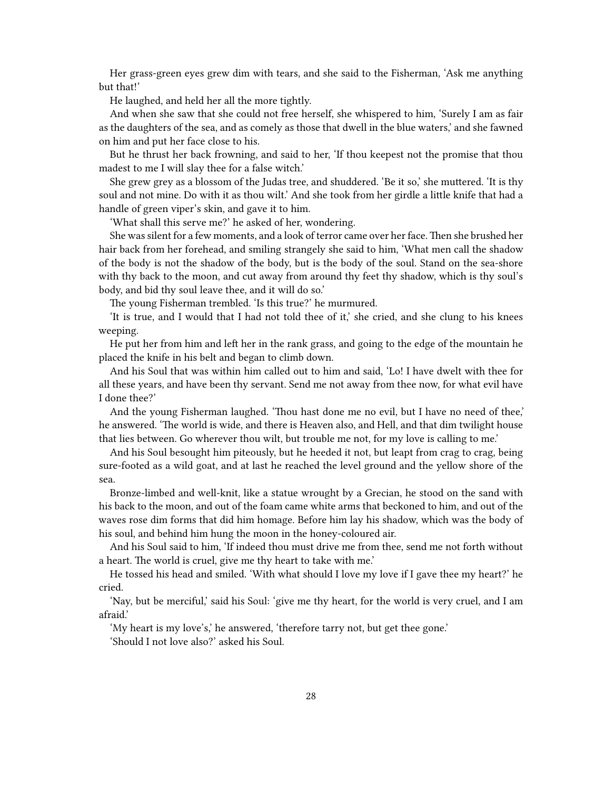Her grass-green eyes grew dim with tears, and she said to the Fisherman, 'Ask me anything but that!'

He laughed, and held her all the more tightly.

And when she saw that she could not free herself, she whispered to him, 'Surely I am as fair as the daughters of the sea, and as comely as those that dwell in the blue waters,' and she fawned on him and put her face close to his.

But he thrust her back frowning, and said to her, 'If thou keepest not the promise that thou madest to me I will slay thee for a false witch.'

She grew grey as a blossom of the Judas tree, and shuddered. 'Be it so,' she muttered. 'It is thy soul and not mine. Do with it as thou wilt.' And she took from her girdle a little knife that had a handle of green viper's skin, and gave it to him.

'What shall this serve me?' he asked of her, wondering.

She was silent for a few moments, and a look of terror came over her face. Then she brushed her hair back from her forehead, and smiling strangely she said to him, 'What men call the shadow of the body is not the shadow of the body, but is the body of the soul. Stand on the sea-shore with thy back to the moon, and cut away from around thy feet thy shadow, which is thy soul's body, and bid thy soul leave thee, and it will do so.'

The young Fisherman trembled. 'Is this true?' he murmured.

'It is true, and I would that I had not told thee of it,' she cried, and she clung to his knees weeping.

He put her from him and left her in the rank grass, and going to the edge of the mountain he placed the knife in his belt and began to climb down.

And his Soul that was within him called out to him and said, 'Lo! I have dwelt with thee for all these years, and have been thy servant. Send me not away from thee now, for what evil have I done thee?'

And the young Fisherman laughed. 'Thou hast done me no evil, but I have no need of thee,' he answered. 'The world is wide, and there is Heaven also, and Hell, and that dim twilight house that lies between. Go wherever thou wilt, but trouble me not, for my love is calling to me.'

And his Soul besought him piteously, but he heeded it not, but leapt from crag to crag, being sure-footed as a wild goat, and at last he reached the level ground and the yellow shore of the sea.

Bronze-limbed and well-knit, like a statue wrought by a Grecian, he stood on the sand with his back to the moon, and out of the foam came white arms that beckoned to him, and out of the waves rose dim forms that did him homage. Before him lay his shadow, which was the body of his soul, and behind him hung the moon in the honey-coloured air.

And his Soul said to him, 'If indeed thou must drive me from thee, send me not forth without a heart. The world is cruel, give me thy heart to take with me.'

He tossed his head and smiled. 'With what should I love my love if I gave thee my heart?' he cried.

'Nay, but be merciful,' said his Soul: 'give me thy heart, for the world is very cruel, and I am afraid.'

'My heart is my love's,' he answered, 'therefore tarry not, but get thee gone.'

'Should I not love also?' asked his Soul.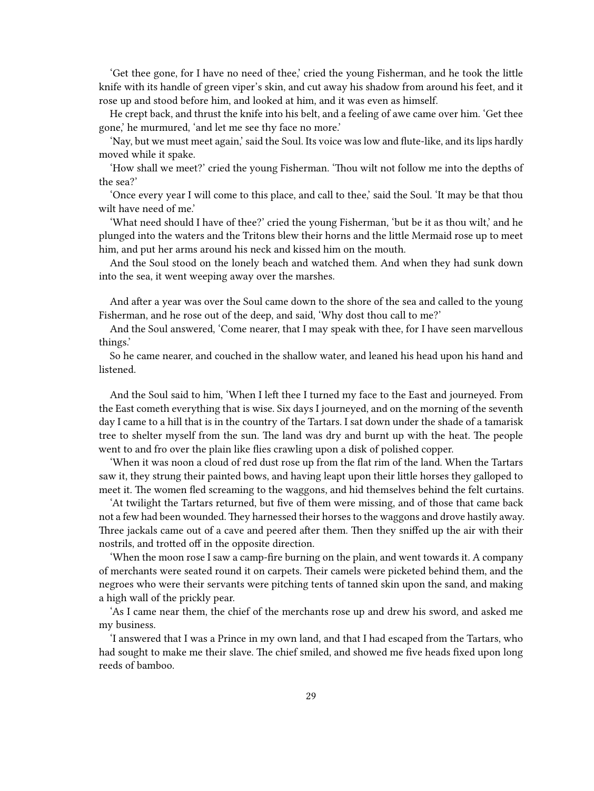'Get thee gone, for I have no need of thee,' cried the young Fisherman, and he took the little knife with its handle of green viper's skin, and cut away his shadow from around his feet, and it rose up and stood before him, and looked at him, and it was even as himself.

He crept back, and thrust the knife into his belt, and a feeling of awe came over him. 'Get thee gone,' he murmured, 'and let me see thy face no more.'

'Nay, but we must meet again,' said the Soul. Its voice was low and flute-like, and its lips hardly moved while it spake.

'How shall we meet?' cried the young Fisherman. 'Thou wilt not follow me into the depths of the sea?'

'Once every year I will come to this place, and call to thee,' said the Soul. 'It may be that thou wilt have need of me.'

'What need should I have of thee?' cried the young Fisherman, 'but be it as thou wilt,' and he plunged into the waters and the Tritons blew their horns and the little Mermaid rose up to meet him, and put her arms around his neck and kissed him on the mouth.

And the Soul stood on the lonely beach and watched them. And when they had sunk down into the sea, it went weeping away over the marshes.

And after a year was over the Soul came down to the shore of the sea and called to the young Fisherman, and he rose out of the deep, and said, 'Why dost thou call to me?'

And the Soul answered, 'Come nearer, that I may speak with thee, for I have seen marvellous things.'

So he came nearer, and couched in the shallow water, and leaned his head upon his hand and listened.

And the Soul said to him, 'When I left thee I turned my face to the East and journeyed. From the East cometh everything that is wise. Six days I journeyed, and on the morning of the seventh day I came to a hill that is in the country of the Tartars. I sat down under the shade of a tamarisk tree to shelter myself from the sun. The land was dry and burnt up with the heat. The people went to and fro over the plain like flies crawling upon a disk of polished copper.

'When it was noon a cloud of red dust rose up from the flat rim of the land. When the Tartars saw it, they strung their painted bows, and having leapt upon their little horses they galloped to meet it. The women fled screaming to the waggons, and hid themselves behind the felt curtains.

'At twilight the Tartars returned, but five of them were missing, and of those that came back not a few had been wounded. They harnessed their horses to the waggons and drove hastily away. Three jackals came out of a cave and peered after them. Then they sniffed up the air with their nostrils, and trotted off in the opposite direction.

'When the moon rose I saw a camp-fire burning on the plain, and went towards it. A company of merchants were seated round it on carpets. Their camels were picketed behind them, and the negroes who were their servants were pitching tents of tanned skin upon the sand, and making a high wall of the prickly pear.

'As I came near them, the chief of the merchants rose up and drew his sword, and asked me my business.

'I answered that I was a Prince in my own land, and that I had escaped from the Tartars, who had sought to make me their slave. The chief smiled, and showed me five heads fixed upon long reeds of bamboo.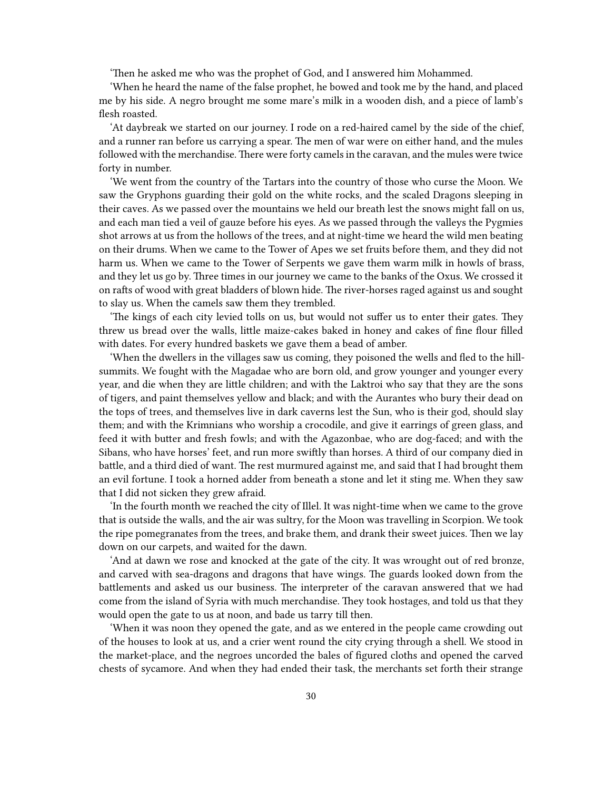'Then he asked me who was the prophet of God, and I answered him Mohammed.

'When he heard the name of the false prophet, he bowed and took me by the hand, and placed me by his side. A negro brought me some mare's milk in a wooden dish, and a piece of lamb's flesh roasted.

'At daybreak we started on our journey. I rode on a red-haired camel by the side of the chief, and a runner ran before us carrying a spear. The men of war were on either hand, and the mules followed with the merchandise. There were forty camels in the caravan, and the mules were twice forty in number.

'We went from the country of the Tartars into the country of those who curse the Moon. We saw the Gryphons guarding their gold on the white rocks, and the scaled Dragons sleeping in their caves. As we passed over the mountains we held our breath lest the snows might fall on us, and each man tied a veil of gauze before his eyes. As we passed through the valleys the Pygmies shot arrows at us from the hollows of the trees, and at night-time we heard the wild men beating on their drums. When we came to the Tower of Apes we set fruits before them, and they did not harm us. When we came to the Tower of Serpents we gave them warm milk in howls of brass, and they let us go by. Three times in our journey we came to the banks of the Oxus. We crossed it on rafts of wood with great bladders of blown hide. The river-horses raged against us and sought to slay us. When the camels saw them they trembled.

'The kings of each city levied tolls on us, but would not suffer us to enter their gates. They threw us bread over the walls, little maize-cakes baked in honey and cakes of fine flour filled with dates. For every hundred baskets we gave them a bead of amber.

'When the dwellers in the villages saw us coming, they poisoned the wells and fled to the hillsummits. We fought with the Magadae who are born old, and grow younger and younger every year, and die when they are little children; and with the Laktroi who say that they are the sons of tigers, and paint themselves yellow and black; and with the Aurantes who bury their dead on the tops of trees, and themselves live in dark caverns lest the Sun, who is their god, should slay them; and with the Krimnians who worship a crocodile, and give it earrings of green glass, and feed it with butter and fresh fowls; and with the Agazonbae, who are dog-faced; and with the Sibans, who have horses' feet, and run more swiftly than horses. A third of our company died in battle, and a third died of want. The rest murmured against me, and said that I had brought them an evil fortune. I took a horned adder from beneath a stone and let it sting me. When they saw that I did not sicken they grew afraid.

'In the fourth month we reached the city of Illel. It was night-time when we came to the grove that is outside the walls, and the air was sultry, for the Moon was travelling in Scorpion. We took the ripe pomegranates from the trees, and brake them, and drank their sweet juices. Then we lay down on our carpets, and waited for the dawn.

'And at dawn we rose and knocked at the gate of the city. It was wrought out of red bronze, and carved with sea-dragons and dragons that have wings. The guards looked down from the battlements and asked us our business. The interpreter of the caravan answered that we had come from the island of Syria with much merchandise. They took hostages, and told us that they would open the gate to us at noon, and bade us tarry till then.

'When it was noon they opened the gate, and as we entered in the people came crowding out of the houses to look at us, and a crier went round the city crying through a shell. We stood in the market-place, and the negroes uncorded the bales of figured cloths and opened the carved chests of sycamore. And when they had ended their task, the merchants set forth their strange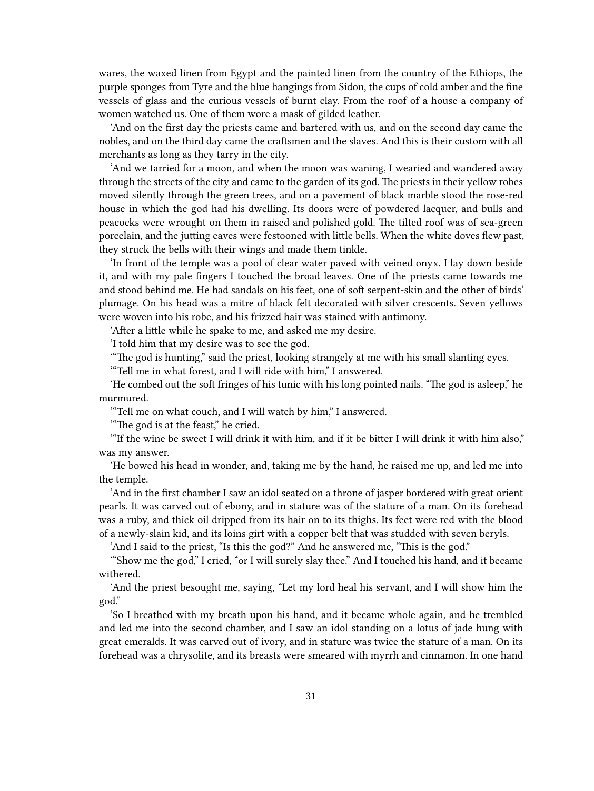wares, the waxed linen from Egypt and the painted linen from the country of the Ethiops, the purple sponges from Tyre and the blue hangings from Sidon, the cups of cold amber and the fine vessels of glass and the curious vessels of burnt clay. From the roof of a house a company of women watched us. One of them wore a mask of gilded leather.

'And on the first day the priests came and bartered with us, and on the second day came the nobles, and on the third day came the craftsmen and the slaves. And this is their custom with all merchants as long as they tarry in the city.

'And we tarried for a moon, and when the moon was waning, I wearied and wandered away through the streets of the city and came to the garden of its god. The priests in their yellow robes moved silently through the green trees, and on a pavement of black marble stood the rose-red house in which the god had his dwelling. Its doors were of powdered lacquer, and bulls and peacocks were wrought on them in raised and polished gold. The tilted roof was of sea-green porcelain, and the jutting eaves were festooned with little bells. When the white doves flew past, they struck the bells with their wings and made them tinkle.

'In front of the temple was a pool of clear water paved with veined onyx. I lay down beside it, and with my pale fingers I touched the broad leaves. One of the priests came towards me and stood behind me. He had sandals on his feet, one of soft serpent-skin and the other of birds' plumage. On his head was a mitre of black felt decorated with silver crescents. Seven yellows were woven into his robe, and his frizzed hair was stained with antimony.

'After a little while he spake to me, and asked me my desire.

'I told him that my desire was to see the god.

'"The god is hunting," said the priest, looking strangely at me with his small slanting eyes.

'"Tell me in what forest, and I will ride with him," I answered.

'He combed out the soft fringes of his tunic with his long pointed nails. "The god is asleep," he murmured.

'"Tell me on what couch, and I will watch by him," I answered.

'"The god is at the feast," he cried.

'"If the wine be sweet I will drink it with him, and if it be bitter I will drink it with him also," was my answer.

'He bowed his head in wonder, and, taking me by the hand, he raised me up, and led me into the temple.

'And in the first chamber I saw an idol seated on a throne of jasper bordered with great orient pearls. It was carved out of ebony, and in stature was of the stature of a man. On its forehead was a ruby, and thick oil dripped from its hair on to its thighs. Its feet were red with the blood of a newly-slain kid, and its loins girt with a copper belt that was studded with seven beryls.

'And I said to the priest, "Is this the god?" And he answered me, "This is the god."

'"Show me the god," I cried, "or I will surely slay thee." And I touched his hand, and it became withered.

'And the priest besought me, saying, "Let my lord heal his servant, and I will show him the god."

'So I breathed with my breath upon his hand, and it became whole again, and he trembled and led me into the second chamber, and I saw an idol standing on a lotus of jade hung with great emeralds. It was carved out of ivory, and in stature was twice the stature of a man. On its forehead was a chrysolite, and its breasts were smeared with myrrh and cinnamon. In one hand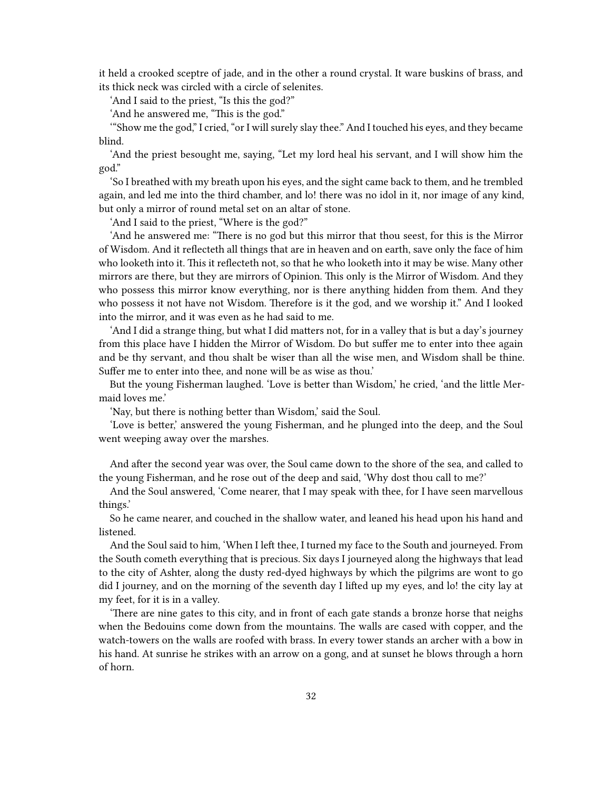it held a crooked sceptre of jade, and in the other a round crystal. It ware buskins of brass, and its thick neck was circled with a circle of selenites.

'And I said to the priest, "Is this the god?"

'And he answered me, "This is the god."

'"Show me the god," I cried, "or I will surely slay thee." And I touched his eyes, and they became blind.

'And the priest besought me, saying, "Let my lord heal his servant, and I will show him the god."

'So I breathed with my breath upon his eyes, and the sight came back to them, and he trembled again, and led me into the third chamber, and lo! there was no idol in it, nor image of any kind, but only a mirror of round metal set on an altar of stone.

'And I said to the priest, "Where is the god?"

'And he answered me: "There is no god but this mirror that thou seest, for this is the Mirror of Wisdom. And it reflecteth all things that are in heaven and on earth, save only the face of him who looketh into it. This it reflecteth not, so that he who looketh into it may be wise. Many other mirrors are there, but they are mirrors of Opinion. This only is the Mirror of Wisdom. And they who possess this mirror know everything, nor is there anything hidden from them. And they who possess it not have not Wisdom. Therefore is it the god, and we worship it." And I looked into the mirror, and it was even as he had said to me.

'And I did a strange thing, but what I did matters not, for in a valley that is but a day's journey from this place have I hidden the Mirror of Wisdom. Do but suffer me to enter into thee again and be thy servant, and thou shalt be wiser than all the wise men, and Wisdom shall be thine. Suffer me to enter into thee, and none will be as wise as thou.'

But the young Fisherman laughed. 'Love is better than Wisdom,' he cried, 'and the little Mermaid loves me.'

'Nay, but there is nothing better than Wisdom,' said the Soul.

'Love is better,' answered the young Fisherman, and he plunged into the deep, and the Soul went weeping away over the marshes.

And after the second year was over, the Soul came down to the shore of the sea, and called to the young Fisherman, and he rose out of the deep and said, 'Why dost thou call to me?'

And the Soul answered, 'Come nearer, that I may speak with thee, for I have seen marvellous things.'

So he came nearer, and couched in the shallow water, and leaned his head upon his hand and listened.

And the Soul said to him, 'When I left thee, I turned my face to the South and journeyed. From the South cometh everything that is precious. Six days I journeyed along the highways that lead to the city of Ashter, along the dusty red-dyed highways by which the pilgrims are wont to go did I journey, and on the morning of the seventh day I lifted up my eyes, and lo! the city lay at my feet, for it is in a valley.

'There are nine gates to this city, and in front of each gate stands a bronze horse that neighs when the Bedouins come down from the mountains. The walls are cased with copper, and the watch-towers on the walls are roofed with brass. In every tower stands an archer with a bow in his hand. At sunrise he strikes with an arrow on a gong, and at sunset he blows through a horn of horn.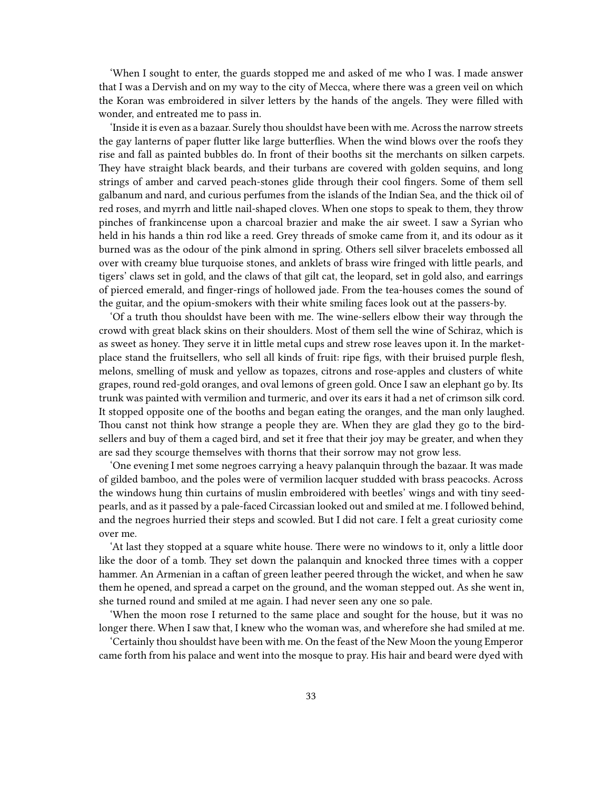'When I sought to enter, the guards stopped me and asked of me who I was. I made answer that I was a Dervish and on my way to the city of Mecca, where there was a green veil on which the Koran was embroidered in silver letters by the hands of the angels. They were filled with wonder, and entreated me to pass in.

'Inside it is even as a bazaar. Surely thou shouldst have been with me. Across the narrow streets the gay lanterns of paper flutter like large butterflies. When the wind blows over the roofs they rise and fall as painted bubbles do. In front of their booths sit the merchants on silken carpets. They have straight black beards, and their turbans are covered with golden sequins, and long strings of amber and carved peach-stones glide through their cool fingers. Some of them sell galbanum and nard, and curious perfumes from the islands of the Indian Sea, and the thick oil of red roses, and myrrh and little nail-shaped cloves. When one stops to speak to them, they throw pinches of frankincense upon a charcoal brazier and make the air sweet. I saw a Syrian who held in his hands a thin rod like a reed. Grey threads of smoke came from it, and its odour as it burned was as the odour of the pink almond in spring. Others sell silver bracelets embossed all over with creamy blue turquoise stones, and anklets of brass wire fringed with little pearls, and tigers' claws set in gold, and the claws of that gilt cat, the leopard, set in gold also, and earrings of pierced emerald, and finger-rings of hollowed jade. From the tea-houses comes the sound of the guitar, and the opium-smokers with their white smiling faces look out at the passers-by.

'Of a truth thou shouldst have been with me. The wine-sellers elbow their way through the crowd with great black skins on their shoulders. Most of them sell the wine of Schiraz, which is as sweet as honey. They serve it in little metal cups and strew rose leaves upon it. In the marketplace stand the fruitsellers, who sell all kinds of fruit: ripe figs, with their bruised purple flesh, melons, smelling of musk and yellow as topazes, citrons and rose-apples and clusters of white grapes, round red-gold oranges, and oval lemons of green gold. Once I saw an elephant go by. Its trunk was painted with vermilion and turmeric, and over its ears it had a net of crimson silk cord. It stopped opposite one of the booths and began eating the oranges, and the man only laughed. Thou canst not think how strange a people they are. When they are glad they go to the birdsellers and buy of them a caged bird, and set it free that their joy may be greater, and when they are sad they scourge themselves with thorns that their sorrow may not grow less.

'One evening I met some negroes carrying a heavy palanquin through the bazaar. It was made of gilded bamboo, and the poles were of vermilion lacquer studded with brass peacocks. Across the windows hung thin curtains of muslin embroidered with beetles' wings and with tiny seedpearls, and as it passed by a pale-faced Circassian looked out and smiled at me. I followed behind, and the negroes hurried their steps and scowled. But I did not care. I felt a great curiosity come over me.

'At last they stopped at a square white house. There were no windows to it, only a little door like the door of a tomb. They set down the palanquin and knocked three times with a copper hammer. An Armenian in a caftan of green leather peered through the wicket, and when he saw them he opened, and spread a carpet on the ground, and the woman stepped out. As she went in, she turned round and smiled at me again. I had never seen any one so pale.

'When the moon rose I returned to the same place and sought for the house, but it was no longer there. When I saw that, I knew who the woman was, and wherefore she had smiled at me.

'Certainly thou shouldst have been with me. On the feast of the New Moon the young Emperor came forth from his palace and went into the mosque to pray. His hair and beard were dyed with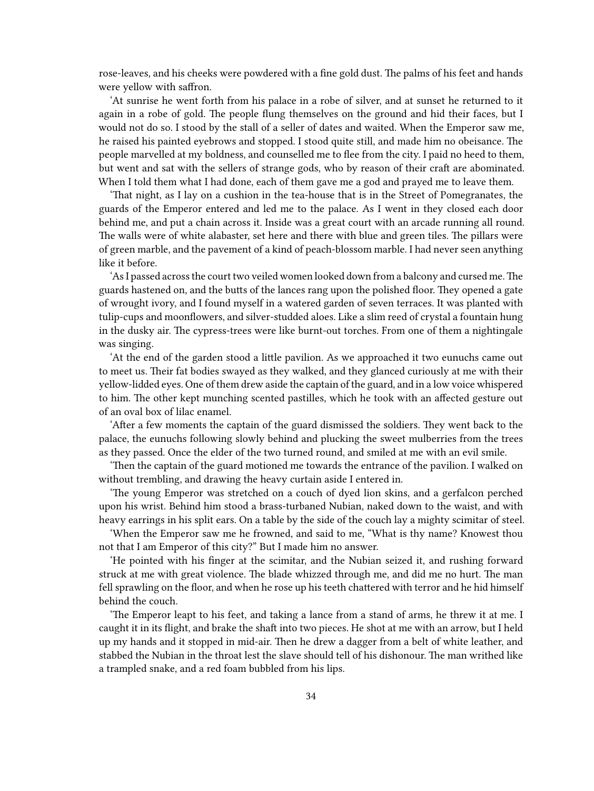rose-leaves, and his cheeks were powdered with a fine gold dust. The palms of his feet and hands were yellow with saffron.

'At sunrise he went forth from his palace in a robe of silver, and at sunset he returned to it again in a robe of gold. The people flung themselves on the ground and hid their faces, but I would not do so. I stood by the stall of a seller of dates and waited. When the Emperor saw me, he raised his painted eyebrows and stopped. I stood quite still, and made him no obeisance. The people marvelled at my boldness, and counselled me to flee from the city. I paid no heed to them, but went and sat with the sellers of strange gods, who by reason of their craft are abominated. When I told them what I had done, each of them gave me a god and prayed me to leave them.

'That night, as I lay on a cushion in the tea-house that is in the Street of Pomegranates, the guards of the Emperor entered and led me to the palace. As I went in they closed each door behind me, and put a chain across it. Inside was a great court with an arcade running all round. The walls were of white alabaster, set here and there with blue and green tiles. The pillars were of green marble, and the pavement of a kind of peach-blossom marble. I had never seen anything like it before.

'As I passed across the court two veiled women looked down from a balcony and cursed me.The guards hastened on, and the butts of the lances rang upon the polished floor. They opened a gate of wrought ivory, and I found myself in a watered garden of seven terraces. It was planted with tulip-cups and moonflowers, and silver-studded aloes. Like a slim reed of crystal a fountain hung in the dusky air. The cypress-trees were like burnt-out torches. From one of them a nightingale was singing.

'At the end of the garden stood a little pavilion. As we approached it two eunuchs came out to meet us. Their fat bodies swayed as they walked, and they glanced curiously at me with their yellow-lidded eyes. One of them drew aside the captain of the guard, and in a low voice whispered to him. The other kept munching scented pastilles, which he took with an affected gesture out of an oval box of lilac enamel.

'After a few moments the captain of the guard dismissed the soldiers. They went back to the palace, the eunuchs following slowly behind and plucking the sweet mulberries from the trees as they passed. Once the elder of the two turned round, and smiled at me with an evil smile.

'Then the captain of the guard motioned me towards the entrance of the pavilion. I walked on without trembling, and drawing the heavy curtain aside I entered in.

'The young Emperor was stretched on a couch of dyed lion skins, and a gerfalcon perched upon his wrist. Behind him stood a brass-turbaned Nubian, naked down to the waist, and with heavy earrings in his split ears. On a table by the side of the couch lay a mighty scimitar of steel.

'When the Emperor saw me he frowned, and said to me, "What is thy name? Knowest thou not that I am Emperor of this city?" But I made him no answer.

'He pointed with his finger at the scimitar, and the Nubian seized it, and rushing forward struck at me with great violence. The blade whizzed through me, and did me no hurt. The man fell sprawling on the floor, and when he rose up his teeth chattered with terror and he hid himself behind the couch.

'The Emperor leapt to his feet, and taking a lance from a stand of arms, he threw it at me. I caught it in its flight, and brake the shaft into two pieces. He shot at me with an arrow, but I held up my hands and it stopped in mid-air. Then he drew a dagger from a belt of white leather, and stabbed the Nubian in the throat lest the slave should tell of his dishonour. The man writhed like a trampled snake, and a red foam bubbled from his lips.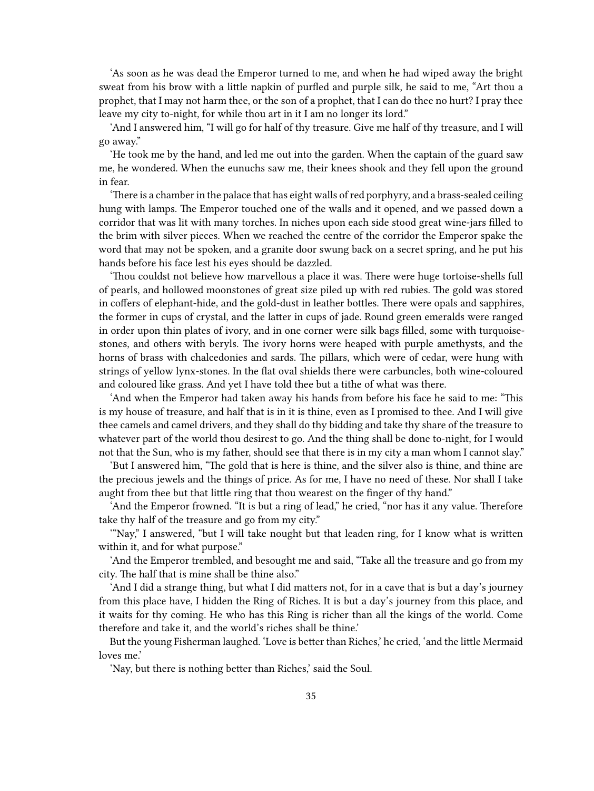'As soon as he was dead the Emperor turned to me, and when he had wiped away the bright sweat from his brow with a little napkin of purfled and purple silk, he said to me, "Art thou a prophet, that I may not harm thee, or the son of a prophet, that I can do thee no hurt? I pray thee leave my city to-night, for while thou art in it I am no longer its lord."

'And I answered him, "I will go for half of thy treasure. Give me half of thy treasure, and I will go away."

'He took me by the hand, and led me out into the garden. When the captain of the guard saw me, he wondered. When the eunuchs saw me, their knees shook and they fell upon the ground in fear.

'There is a chamber in the palace that has eight walls of red porphyry, and a brass-sealed ceiling hung with lamps. The Emperor touched one of the walls and it opened, and we passed down a corridor that was lit with many torches. In niches upon each side stood great wine-jars filled to the brim with silver pieces. When we reached the centre of the corridor the Emperor spake the word that may not be spoken, and a granite door swung back on a secret spring, and he put his hands before his face lest his eyes should be dazzled.

'Thou couldst not believe how marvellous a place it was. There were huge tortoise-shells full of pearls, and hollowed moonstones of great size piled up with red rubies. The gold was stored in coffers of elephant-hide, and the gold-dust in leather bottles. There were opals and sapphires, the former in cups of crystal, and the latter in cups of jade. Round green emeralds were ranged in order upon thin plates of ivory, and in one corner were silk bags filled, some with turquoisestones, and others with beryls. The ivory horns were heaped with purple amethysts, and the horns of brass with chalcedonies and sards. The pillars, which were of cedar, were hung with strings of yellow lynx-stones. In the flat oval shields there were carbuncles, both wine-coloured and coloured like grass. And yet I have told thee but a tithe of what was there.

'And when the Emperor had taken away his hands from before his face he said to me: "This is my house of treasure, and half that is in it is thine, even as I promised to thee. And I will give thee camels and camel drivers, and they shall do thy bidding and take thy share of the treasure to whatever part of the world thou desirest to go. And the thing shall be done to-night, for I would not that the Sun, who is my father, should see that there is in my city a man whom I cannot slay."

'But I answered him, "The gold that is here is thine, and the silver also is thine, and thine are the precious jewels and the things of price. As for me, I have no need of these. Nor shall I take aught from thee but that little ring that thou wearest on the finger of thy hand."

'And the Emperor frowned. "It is but a ring of lead," he cried, "nor has it any value. Therefore take thy half of the treasure and go from my city."

'"Nay," I answered, "but I will take nought but that leaden ring, for I know what is written within it, and for what purpose."

'And the Emperor trembled, and besought me and said, "Take all the treasure and go from my city. The half that is mine shall be thine also."

'And I did a strange thing, but what I did matters not, for in a cave that is but a day's journey from this place have, I hidden the Ring of Riches. It is but a day's journey from this place, and it waits for thy coming. He who has this Ring is richer than all the kings of the world. Come therefore and take it, and the world's riches shall be thine.'

But the young Fisherman laughed. 'Love is better than Riches,' he cried, 'and the little Mermaid loves me.'

'Nay, but there is nothing better than Riches,' said the Soul.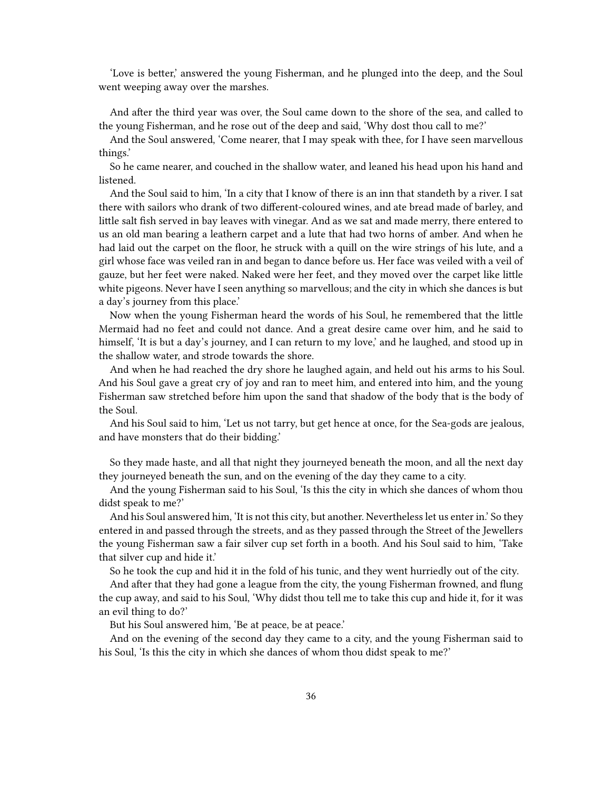'Love is better,' answered the young Fisherman, and he plunged into the deep, and the Soul went weeping away over the marshes.

And after the third year was over, the Soul came down to the shore of the sea, and called to the young Fisherman, and he rose out of the deep and said, 'Why dost thou call to me?'

And the Soul answered, 'Come nearer, that I may speak with thee, for I have seen marvellous things.'

So he came nearer, and couched in the shallow water, and leaned his head upon his hand and listened.

And the Soul said to him, 'In a city that I know of there is an inn that standeth by a river. I sat there with sailors who drank of two different-coloured wines, and ate bread made of barley, and little salt fish served in bay leaves with vinegar. And as we sat and made merry, there entered to us an old man bearing a leathern carpet and a lute that had two horns of amber. And when he had laid out the carpet on the floor, he struck with a quill on the wire strings of his lute, and a girl whose face was veiled ran in and began to dance before us. Her face was veiled with a veil of gauze, but her feet were naked. Naked were her feet, and they moved over the carpet like little white pigeons. Never have I seen anything so marvellous; and the city in which she dances is but a day's journey from this place.'

Now when the young Fisherman heard the words of his Soul, he remembered that the little Mermaid had no feet and could not dance. And a great desire came over him, and he said to himself, 'It is but a day's journey, and I can return to my love,' and he laughed, and stood up in the shallow water, and strode towards the shore.

And when he had reached the dry shore he laughed again, and held out his arms to his Soul. And his Soul gave a great cry of joy and ran to meet him, and entered into him, and the young Fisherman saw stretched before him upon the sand that shadow of the body that is the body of the Soul.

And his Soul said to him, 'Let us not tarry, but get hence at once, for the Sea-gods are jealous, and have monsters that do their bidding.'

So they made haste, and all that night they journeyed beneath the moon, and all the next day they journeyed beneath the sun, and on the evening of the day they came to a city.

And the young Fisherman said to his Soul, 'Is this the city in which she dances of whom thou didst speak to me?'

And his Soul answered him, 'It is not this city, but another. Nevertheless let us enter in.' So they entered in and passed through the streets, and as they passed through the Street of the Jewellers the young Fisherman saw a fair silver cup set forth in a booth. And his Soul said to him, 'Take that silver cup and hide it.'

So he took the cup and hid it in the fold of his tunic, and they went hurriedly out of the city.

And after that they had gone a league from the city, the young Fisherman frowned, and flung the cup away, and said to his Soul, 'Why didst thou tell me to take this cup and hide it, for it was an evil thing to do?'

But his Soul answered him, 'Be at peace, be at peace.'

And on the evening of the second day they came to a city, and the young Fisherman said to his Soul, 'Is this the city in which she dances of whom thou didst speak to me?'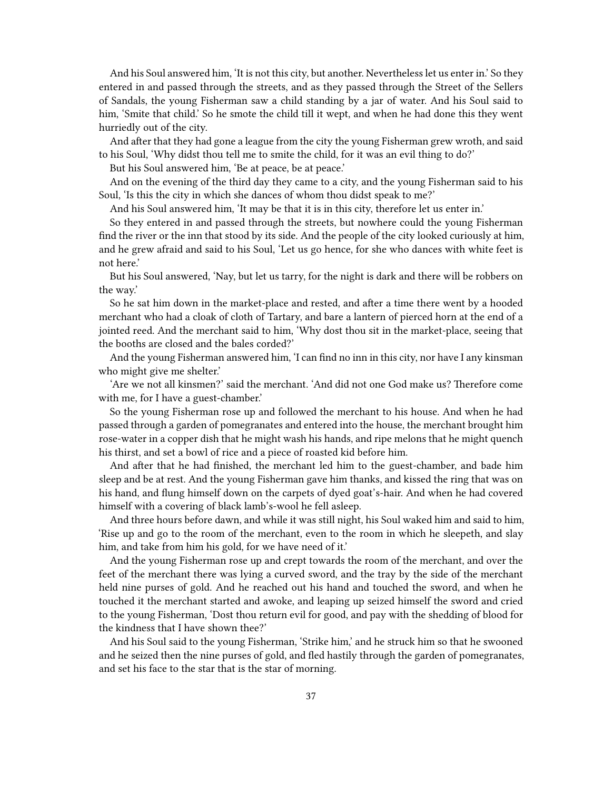And his Soul answered him, 'It is not this city, but another. Nevertheless let us enter in.' So they entered in and passed through the streets, and as they passed through the Street of the Sellers of Sandals, the young Fisherman saw a child standing by a jar of water. And his Soul said to him, 'Smite that child.' So he smote the child till it wept, and when he had done this they went hurriedly out of the city.

And after that they had gone a league from the city the young Fisherman grew wroth, and said to his Soul, 'Why didst thou tell me to smite the child, for it was an evil thing to do?'

But his Soul answered him, 'Be at peace, be at peace.'

And on the evening of the third day they came to a city, and the young Fisherman said to his Soul, 'Is this the city in which she dances of whom thou didst speak to me?'

And his Soul answered him, 'It may be that it is in this city, therefore let us enter in.'

So they entered in and passed through the streets, but nowhere could the young Fisherman find the river or the inn that stood by its side. And the people of the city looked curiously at him, and he grew afraid and said to his Soul, 'Let us go hence, for she who dances with white feet is not here.'

But his Soul answered, 'Nay, but let us tarry, for the night is dark and there will be robbers on the way.'

So he sat him down in the market-place and rested, and after a time there went by a hooded merchant who had a cloak of cloth of Tartary, and bare a lantern of pierced horn at the end of a jointed reed. And the merchant said to him, 'Why dost thou sit in the market-place, seeing that the booths are closed and the bales corded?'

And the young Fisherman answered him, 'I can find no inn in this city, nor have I any kinsman who might give me shelter.'

'Are we not all kinsmen?' said the merchant. 'And did not one God make us? Therefore come with me, for I have a guest-chamber.'

So the young Fisherman rose up and followed the merchant to his house. And when he had passed through a garden of pomegranates and entered into the house, the merchant brought him rose-water in a copper dish that he might wash his hands, and ripe melons that he might quench his thirst, and set a bowl of rice and a piece of roasted kid before him.

And after that he had finished, the merchant led him to the guest-chamber, and bade him sleep and be at rest. And the young Fisherman gave him thanks, and kissed the ring that was on his hand, and flung himself down on the carpets of dyed goat's-hair. And when he had covered himself with a covering of black lamb's-wool he fell asleep.

And three hours before dawn, and while it was still night, his Soul waked him and said to him, 'Rise up and go to the room of the merchant, even to the room in which he sleepeth, and slay him, and take from him his gold, for we have need of it.'

And the young Fisherman rose up and crept towards the room of the merchant, and over the feet of the merchant there was lying a curved sword, and the tray by the side of the merchant held nine purses of gold. And he reached out his hand and touched the sword, and when he touched it the merchant started and awoke, and leaping up seized himself the sword and cried to the young Fisherman, 'Dost thou return evil for good, and pay with the shedding of blood for the kindness that I have shown thee?'

And his Soul said to the young Fisherman, 'Strike him,' and he struck him so that he swooned and he seized then the nine purses of gold, and fled hastily through the garden of pomegranates, and set his face to the star that is the star of morning.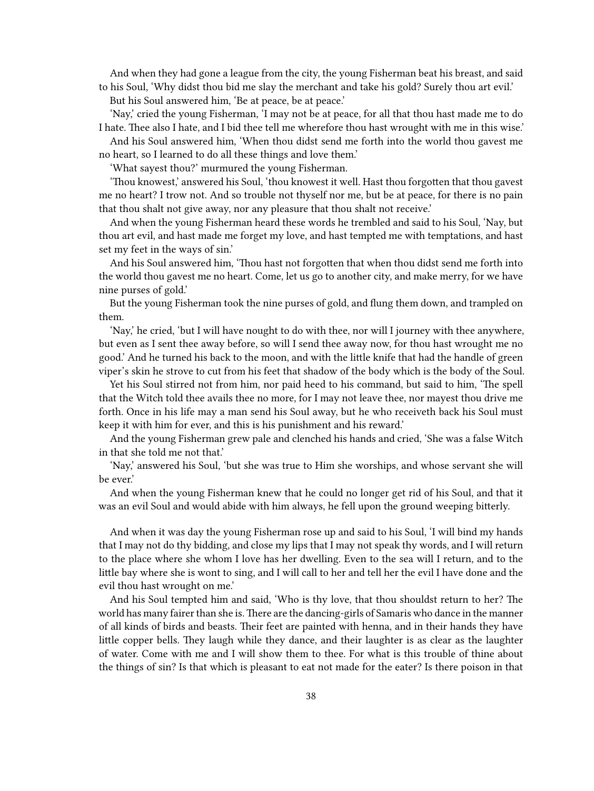And when they had gone a league from the city, the young Fisherman beat his breast, and said to his Soul, 'Why didst thou bid me slay the merchant and take his gold? Surely thou art evil.'

But his Soul answered him, 'Be at peace, be at peace.'

'Nay,' cried the young Fisherman, 'I may not be at peace, for all that thou hast made me to do I hate. Thee also I hate, and I bid thee tell me wherefore thou hast wrought with me in this wise.'

And his Soul answered him, 'When thou didst send me forth into the world thou gavest me no heart, so I learned to do all these things and love them.'

'What sayest thou?' murmured the young Fisherman.

'Thou knowest,' answered his Soul, 'thou knowest it well. Hast thou forgotten that thou gavest me no heart? I trow not. And so trouble not thyself nor me, but be at peace, for there is no pain that thou shalt not give away, nor any pleasure that thou shalt not receive.'

And when the young Fisherman heard these words he trembled and said to his Soul, 'Nay, but thou art evil, and hast made me forget my love, and hast tempted me with temptations, and hast set my feet in the ways of sin.'

And his Soul answered him, 'Thou hast not forgotten that when thou didst send me forth into the world thou gavest me no heart. Come, let us go to another city, and make merry, for we have nine purses of gold.'

But the young Fisherman took the nine purses of gold, and flung them down, and trampled on them.

'Nay,' he cried, 'but I will have nought to do with thee, nor will I journey with thee anywhere, but even as I sent thee away before, so will I send thee away now, for thou hast wrought me no good.' And he turned his back to the moon, and with the little knife that had the handle of green viper's skin he strove to cut from his feet that shadow of the body which is the body of the Soul.

Yet his Soul stirred not from him, nor paid heed to his command, but said to him, 'The spell that the Witch told thee avails thee no more, for I may not leave thee, nor mayest thou drive me forth. Once in his life may a man send his Soul away, but he who receiveth back his Soul must keep it with him for ever, and this is his punishment and his reward.'

And the young Fisherman grew pale and clenched his hands and cried, 'She was a false Witch in that she told me not that.'

'Nay,' answered his Soul, 'but she was true to Him she worships, and whose servant she will be ever.'

And when the young Fisherman knew that he could no longer get rid of his Soul, and that it was an evil Soul and would abide with him always, he fell upon the ground weeping bitterly.

And when it was day the young Fisherman rose up and said to his Soul, 'I will bind my hands that I may not do thy bidding, and close my lips that I may not speak thy words, and I will return to the place where she whom I love has her dwelling. Even to the sea will I return, and to the little bay where she is wont to sing, and I will call to her and tell her the evil I have done and the evil thou hast wrought on me.'

And his Soul tempted him and said, 'Who is thy love, that thou shouldst return to her? The world has many fairer than she is.There are the dancing-girls of Samaris who dance in the manner of all kinds of birds and beasts. Their feet are painted with henna, and in their hands they have little copper bells. They laugh while they dance, and their laughter is as clear as the laughter of water. Come with me and I will show them to thee. For what is this trouble of thine about the things of sin? Is that which is pleasant to eat not made for the eater? Is there poison in that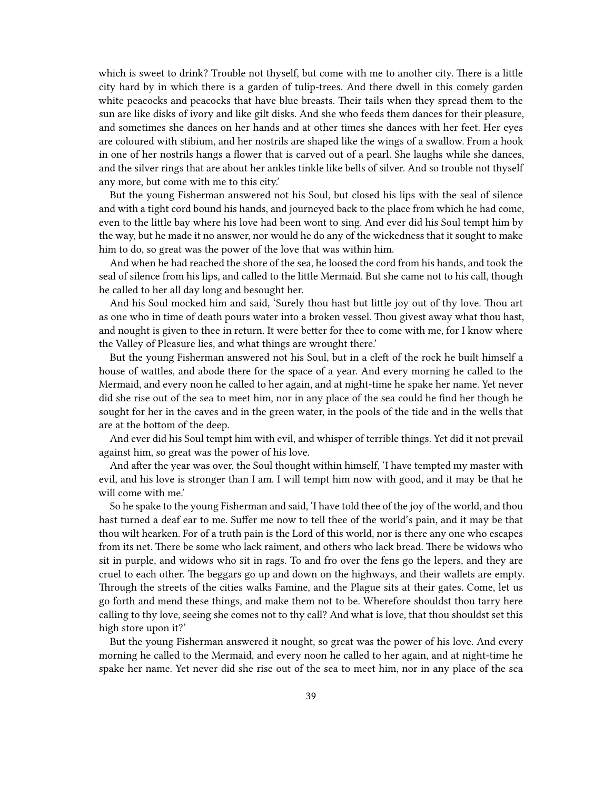which is sweet to drink? Trouble not thyself, but come with me to another city. There is a little city hard by in which there is a garden of tulip-trees. And there dwell in this comely garden white peacocks and peacocks that have blue breasts. Their tails when they spread them to the sun are like disks of ivory and like gilt disks. And she who feeds them dances for their pleasure, and sometimes she dances on her hands and at other times she dances with her feet. Her eyes are coloured with stibium, and her nostrils are shaped like the wings of a swallow. From a hook in one of her nostrils hangs a flower that is carved out of a pearl. She laughs while she dances, and the silver rings that are about her ankles tinkle like bells of silver. And so trouble not thyself any more, but come with me to this city.'

But the young Fisherman answered not his Soul, but closed his lips with the seal of silence and with a tight cord bound his hands, and journeyed back to the place from which he had come, even to the little bay where his love had been wont to sing. And ever did his Soul tempt him by the way, but he made it no answer, nor would he do any of the wickedness that it sought to make him to do, so great was the power of the love that was within him.

And when he had reached the shore of the sea, he loosed the cord from his hands, and took the seal of silence from his lips, and called to the little Mermaid. But she came not to his call, though he called to her all day long and besought her.

And his Soul mocked him and said, 'Surely thou hast but little joy out of thy love. Thou art as one who in time of death pours water into a broken vessel. Thou givest away what thou hast, and nought is given to thee in return. It were better for thee to come with me, for I know where the Valley of Pleasure lies, and what things are wrought there.'

But the young Fisherman answered not his Soul, but in a cleft of the rock he built himself a house of wattles, and abode there for the space of a year. And every morning he called to the Mermaid, and every noon he called to her again, and at night-time he spake her name. Yet never did she rise out of the sea to meet him, nor in any place of the sea could he find her though he sought for her in the caves and in the green water, in the pools of the tide and in the wells that are at the bottom of the deep.

And ever did his Soul tempt him with evil, and whisper of terrible things. Yet did it not prevail against him, so great was the power of his love.

And after the year was over, the Soul thought within himself, 'I have tempted my master with evil, and his love is stronger than I am. I will tempt him now with good, and it may be that he will come with me.'

So he spake to the young Fisherman and said, 'I have told thee of the joy of the world, and thou hast turned a deaf ear to me. Suffer me now to tell thee of the world's pain, and it may be that thou wilt hearken. For of a truth pain is the Lord of this world, nor is there any one who escapes from its net. There be some who lack raiment, and others who lack bread. There be widows who sit in purple, and widows who sit in rags. To and fro over the fens go the lepers, and they are cruel to each other. The beggars go up and down on the highways, and their wallets are empty. Through the streets of the cities walks Famine, and the Plague sits at their gates. Come, let us go forth and mend these things, and make them not to be. Wherefore shouldst thou tarry here calling to thy love, seeing she comes not to thy call? And what is love, that thou shouldst set this high store upon it?'

But the young Fisherman answered it nought, so great was the power of his love. And every morning he called to the Mermaid, and every noon he called to her again, and at night-time he spake her name. Yet never did she rise out of the sea to meet him, nor in any place of the sea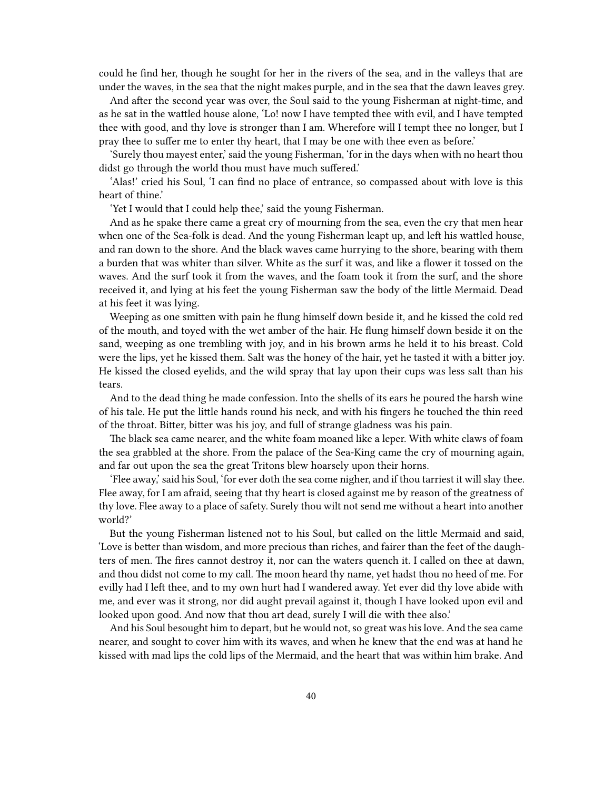could he find her, though he sought for her in the rivers of the sea, and in the valleys that are under the waves, in the sea that the night makes purple, and in the sea that the dawn leaves grey.

And after the second year was over, the Soul said to the young Fisherman at night-time, and as he sat in the wattled house alone, 'Lo! now I have tempted thee with evil, and I have tempted thee with good, and thy love is stronger than I am. Wherefore will I tempt thee no longer, but I pray thee to suffer me to enter thy heart, that I may be one with thee even as before.'

'Surely thou mayest enter,' said the young Fisherman, 'for in the days when with no heart thou didst go through the world thou must have much suffered.'

'Alas!' cried his Soul, 'I can find no place of entrance, so compassed about with love is this heart of thine.'

'Yet I would that I could help thee,' said the young Fisherman.

And as he spake there came a great cry of mourning from the sea, even the cry that men hear when one of the Sea-folk is dead. And the young Fisherman leapt up, and left his wattled house, and ran down to the shore. And the black waves came hurrying to the shore, bearing with them a burden that was whiter than silver. White as the surf it was, and like a flower it tossed on the waves. And the surf took it from the waves, and the foam took it from the surf, and the shore received it, and lying at his feet the young Fisherman saw the body of the little Mermaid. Dead at his feet it was lying.

Weeping as one smitten with pain he flung himself down beside it, and he kissed the cold red of the mouth, and toyed with the wet amber of the hair. He flung himself down beside it on the sand, weeping as one trembling with joy, and in his brown arms he held it to his breast. Cold were the lips, yet he kissed them. Salt was the honey of the hair, yet he tasted it with a bitter joy. He kissed the closed eyelids, and the wild spray that lay upon their cups was less salt than his tears.

And to the dead thing he made confession. Into the shells of its ears he poured the harsh wine of his tale. He put the little hands round his neck, and with his fingers he touched the thin reed of the throat. Bitter, bitter was his joy, and full of strange gladness was his pain.

The black sea came nearer, and the white foam moaned like a leper. With white claws of foam the sea grabbled at the shore. From the palace of the Sea-King came the cry of mourning again, and far out upon the sea the great Tritons blew hoarsely upon their horns.

'Flee away,' said his Soul, 'for ever doth the sea come nigher, and if thou tarriest it will slay thee. Flee away, for I am afraid, seeing that thy heart is closed against me by reason of the greatness of thy love. Flee away to a place of safety. Surely thou wilt not send me without a heart into another world?'

But the young Fisherman listened not to his Soul, but called on the little Mermaid and said, 'Love is better than wisdom, and more precious than riches, and fairer than the feet of the daughters of men. The fires cannot destroy it, nor can the waters quench it. I called on thee at dawn, and thou didst not come to my call. The moon heard thy name, yet hadst thou no heed of me. For evilly had I left thee, and to my own hurt had I wandered away. Yet ever did thy love abide with me, and ever was it strong, nor did aught prevail against it, though I have looked upon evil and looked upon good. And now that thou art dead, surely I will die with thee also.'

And his Soul besought him to depart, but he would not, so great was his love. And the sea came nearer, and sought to cover him with its waves, and when he knew that the end was at hand he kissed with mad lips the cold lips of the Mermaid, and the heart that was within him brake. And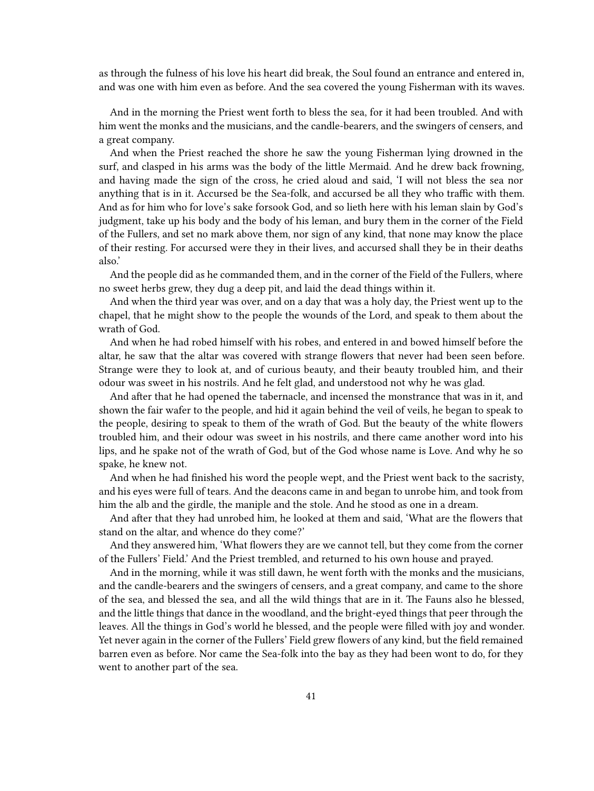as through the fulness of his love his heart did break, the Soul found an entrance and entered in, and was one with him even as before. And the sea covered the young Fisherman with its waves.

And in the morning the Priest went forth to bless the sea, for it had been troubled. And with him went the monks and the musicians, and the candle-bearers, and the swingers of censers, and a great company.

And when the Priest reached the shore he saw the young Fisherman lying drowned in the surf, and clasped in his arms was the body of the little Mermaid. And he drew back frowning, and having made the sign of the cross, he cried aloud and said, 'I will not bless the sea nor anything that is in it. Accursed be the Sea-folk, and accursed be all they who traffic with them. And as for him who for love's sake forsook God, and so lieth here with his leman slain by God's judgment, take up his body and the body of his leman, and bury them in the corner of the Field of the Fullers, and set no mark above them, nor sign of any kind, that none may know the place of their resting. For accursed were they in their lives, and accursed shall they be in their deaths also.'

And the people did as he commanded them, and in the corner of the Field of the Fullers, where no sweet herbs grew, they dug a deep pit, and laid the dead things within it.

And when the third year was over, and on a day that was a holy day, the Priest went up to the chapel, that he might show to the people the wounds of the Lord, and speak to them about the wrath of God.

And when he had robed himself with his robes, and entered in and bowed himself before the altar, he saw that the altar was covered with strange flowers that never had been seen before. Strange were they to look at, and of curious beauty, and their beauty troubled him, and their odour was sweet in his nostrils. And he felt glad, and understood not why he was glad.

And after that he had opened the tabernacle, and incensed the monstrance that was in it, and shown the fair wafer to the people, and hid it again behind the veil of veils, he began to speak to the people, desiring to speak to them of the wrath of God. But the beauty of the white flowers troubled him, and their odour was sweet in his nostrils, and there came another word into his lips, and he spake not of the wrath of God, but of the God whose name is Love. And why he so spake, he knew not.

And when he had finished his word the people wept, and the Priest went back to the sacristy, and his eyes were full of tears. And the deacons came in and began to unrobe him, and took from him the alb and the girdle, the maniple and the stole. And he stood as one in a dream.

And after that they had unrobed him, he looked at them and said, 'What are the flowers that stand on the altar, and whence do they come?'

And they answered him, 'What flowers they are we cannot tell, but they come from the corner of the Fullers' Field.' And the Priest trembled, and returned to his own house and prayed.

And in the morning, while it was still dawn, he went forth with the monks and the musicians, and the candle-bearers and the swingers of censers, and a great company, and came to the shore of the sea, and blessed the sea, and all the wild things that are in it. The Fauns also he blessed, and the little things that dance in the woodland, and the bright-eyed things that peer through the leaves. All the things in God's world he blessed, and the people were filled with joy and wonder. Yet never again in the corner of the Fullers' Field grew flowers of any kind, but the field remained barren even as before. Nor came the Sea-folk into the bay as they had been wont to do, for they went to another part of the sea.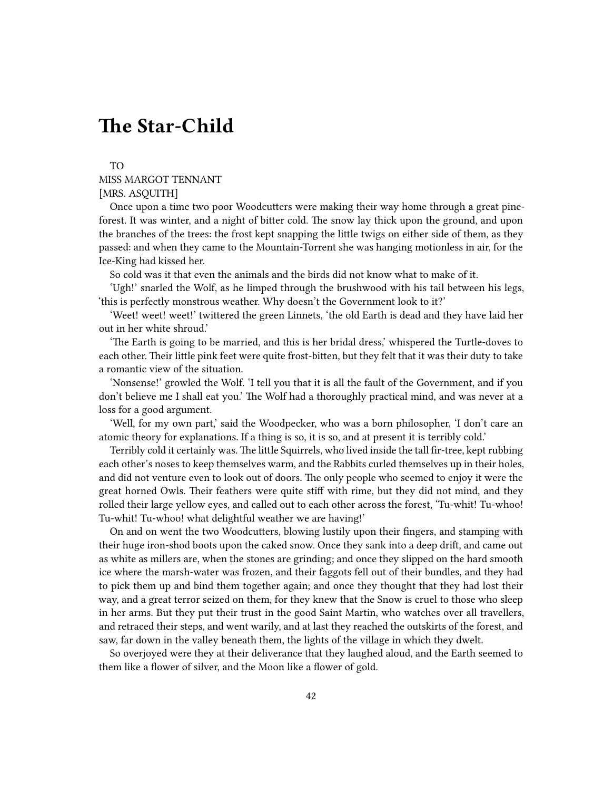# <span id="page-41-0"></span>**The Star-Child**

TO

### MISS MARGOT TENNANT [MRS. ASQUITH]

Once upon a time two poor Woodcutters were making their way home through a great pineforest. It was winter, and a night of bitter cold. The snow lay thick upon the ground, and upon the branches of the trees: the frost kept snapping the little twigs on either side of them, as they passed: and when they came to the Mountain-Torrent she was hanging motionless in air, for the Ice-King had kissed her.

So cold was it that even the animals and the birds did not know what to make of it.

'Ugh!' snarled the Wolf, as he limped through the brushwood with his tail between his legs, 'this is perfectly monstrous weather. Why doesn't the Government look to it?'

'Weet! weet! weet!' twittered the green Linnets, 'the old Earth is dead and they have laid her out in her white shroud.'

'The Earth is going to be married, and this is her bridal dress,' whispered the Turtle-doves to each other. Their little pink feet were quite frost-bitten, but they felt that it was their duty to take a romantic view of the situation.

'Nonsense!' growled the Wolf. 'I tell you that it is all the fault of the Government, and if you don't believe me I shall eat you.' The Wolf had a thoroughly practical mind, and was never at a loss for a good argument.

'Well, for my own part,' said the Woodpecker, who was a born philosopher, 'I don't care an atomic theory for explanations. If a thing is so, it is so, and at present it is terribly cold.'

Terribly cold it certainly was. The little Squirrels, who lived inside the tall fir-tree, kept rubbing each other's noses to keep themselves warm, and the Rabbits curled themselves up in their holes, and did not venture even to look out of doors. The only people who seemed to enjoy it were the great horned Owls. Their feathers were quite stiff with rime, but they did not mind, and they rolled their large yellow eyes, and called out to each other across the forest, 'Tu-whit! Tu-whoo! Tu-whit! Tu-whoo! what delightful weather we are having!'

On and on went the two Woodcutters, blowing lustily upon their fingers, and stamping with their huge iron-shod boots upon the caked snow. Once they sank into a deep drift, and came out as white as millers are, when the stones are grinding; and once they slipped on the hard smooth ice where the marsh-water was frozen, and their faggots fell out of their bundles, and they had to pick them up and bind them together again; and once they thought that they had lost their way, and a great terror seized on them, for they knew that the Snow is cruel to those who sleep in her arms. But they put their trust in the good Saint Martin, who watches over all travellers, and retraced their steps, and went warily, and at last they reached the outskirts of the forest, and saw, far down in the valley beneath them, the lights of the village in which they dwelt.

So overjoyed were they at their deliverance that they laughed aloud, and the Earth seemed to them like a flower of silver, and the Moon like a flower of gold.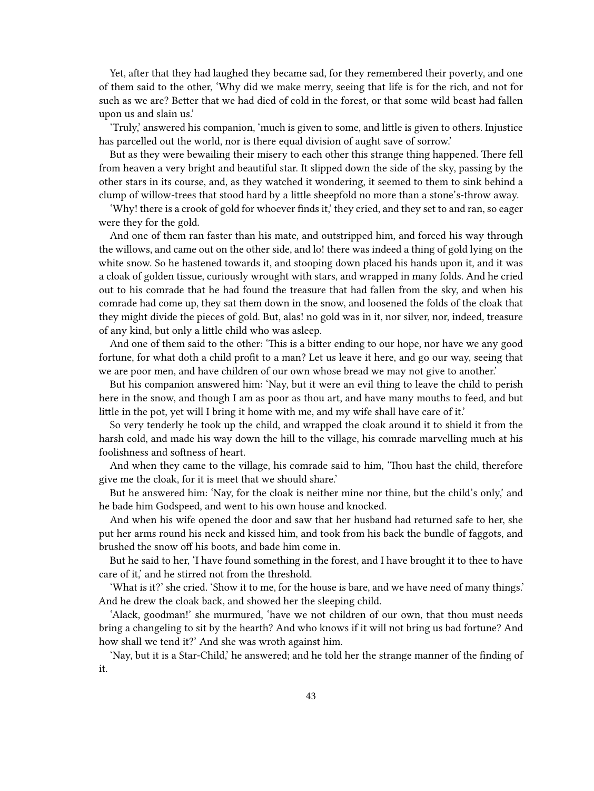Yet, after that they had laughed they became sad, for they remembered their poverty, and one of them said to the other, 'Why did we make merry, seeing that life is for the rich, and not for such as we are? Better that we had died of cold in the forest, or that some wild beast had fallen upon us and slain us.'

'Truly,' answered his companion, 'much is given to some, and little is given to others. Injustice has parcelled out the world, nor is there equal division of aught save of sorrow.'

But as they were bewailing their misery to each other this strange thing happened. There fell from heaven a very bright and beautiful star. It slipped down the side of the sky, passing by the other stars in its course, and, as they watched it wondering, it seemed to them to sink behind a clump of willow-trees that stood hard by a little sheepfold no more than a stone's-throw away.

'Why! there is a crook of gold for whoever finds it,' they cried, and they set to and ran, so eager were they for the gold.

And one of them ran faster than his mate, and outstripped him, and forced his way through the willows, and came out on the other side, and lo! there was indeed a thing of gold lying on the white snow. So he hastened towards it, and stooping down placed his hands upon it, and it was a cloak of golden tissue, curiously wrought with stars, and wrapped in many folds. And he cried out to his comrade that he had found the treasure that had fallen from the sky, and when his comrade had come up, they sat them down in the snow, and loosened the folds of the cloak that they might divide the pieces of gold. But, alas! no gold was in it, nor silver, nor, indeed, treasure of any kind, but only a little child who was asleep.

And one of them said to the other: 'This is a bitter ending to our hope, nor have we any good fortune, for what doth a child profit to a man? Let us leave it here, and go our way, seeing that we are poor men, and have children of our own whose bread we may not give to another.'

But his companion answered him: 'Nay, but it were an evil thing to leave the child to perish here in the snow, and though I am as poor as thou art, and have many mouths to feed, and but little in the pot, yet will I bring it home with me, and my wife shall have care of it.'

So very tenderly he took up the child, and wrapped the cloak around it to shield it from the harsh cold, and made his way down the hill to the village, his comrade marvelling much at his foolishness and softness of heart.

And when they came to the village, his comrade said to him, 'Thou hast the child, therefore give me the cloak, for it is meet that we should share.'

But he answered him: 'Nay, for the cloak is neither mine nor thine, but the child's only,' and he bade him Godspeed, and went to his own house and knocked.

And when his wife opened the door and saw that her husband had returned safe to her, she put her arms round his neck and kissed him, and took from his back the bundle of faggots, and brushed the snow off his boots, and bade him come in.

But he said to her, 'I have found something in the forest, and I have brought it to thee to have care of it,' and he stirred not from the threshold.

'What is it?' she cried. 'Show it to me, for the house is bare, and we have need of many things.' And he drew the cloak back, and showed her the sleeping child.

'Alack, goodman!' she murmured, 'have we not children of our own, that thou must needs bring a changeling to sit by the hearth? And who knows if it will not bring us bad fortune? And how shall we tend it?' And she was wroth against him.

'Nay, but it is a Star-Child,' he answered; and he told her the strange manner of the finding of it.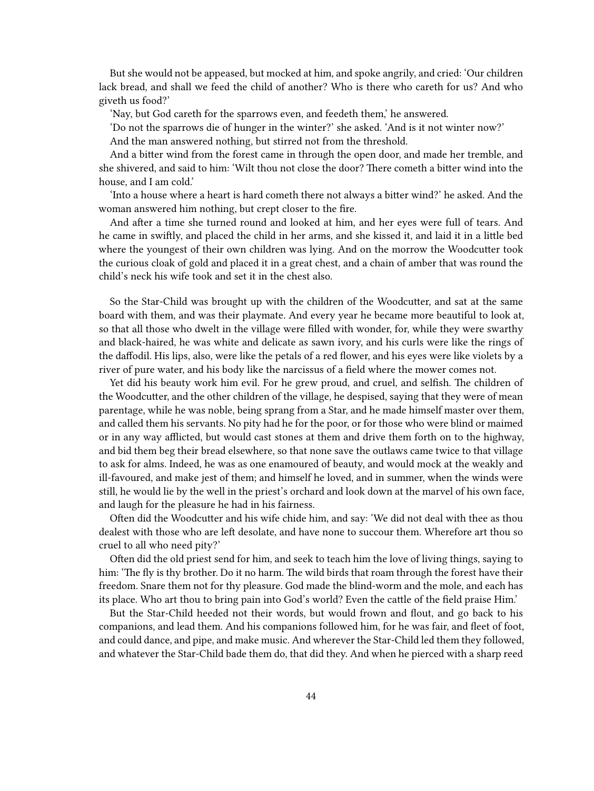But she would not be appeased, but mocked at him, and spoke angrily, and cried: 'Our children lack bread, and shall we feed the child of another? Who is there who careth for us? And who giveth us food?'

'Nay, but God careth for the sparrows even, and feedeth them,' he answered.

'Do not the sparrows die of hunger in the winter?' she asked. 'And is it not winter now?'

And the man answered nothing, but stirred not from the threshold.

And a bitter wind from the forest came in through the open door, and made her tremble, and she shivered, and said to him: 'Wilt thou not close the door? There cometh a bitter wind into the house, and I am cold.'

'Into a house where a heart is hard cometh there not always a bitter wind?' he asked. And the woman answered him nothing, but crept closer to the fire.

And after a time she turned round and looked at him, and her eyes were full of tears. And he came in swiftly, and placed the child in her arms, and she kissed it, and laid it in a little bed where the youngest of their own children was lying. And on the morrow the Woodcutter took the curious cloak of gold and placed it in a great chest, and a chain of amber that was round the child's neck his wife took and set it in the chest also.

So the Star-Child was brought up with the children of the Woodcutter, and sat at the same board with them, and was their playmate. And every year he became more beautiful to look at, so that all those who dwelt in the village were filled with wonder, for, while they were swarthy and black-haired, he was white and delicate as sawn ivory, and his curls were like the rings of the daffodil. His lips, also, were like the petals of a red flower, and his eyes were like violets by a river of pure water, and his body like the narcissus of a field where the mower comes not.

Yet did his beauty work him evil. For he grew proud, and cruel, and selfish. The children of the Woodcutter, and the other children of the village, he despised, saying that they were of mean parentage, while he was noble, being sprang from a Star, and he made himself master over them, and called them his servants. No pity had he for the poor, or for those who were blind or maimed or in any way afflicted, but would cast stones at them and drive them forth on to the highway, and bid them beg their bread elsewhere, so that none save the outlaws came twice to that village to ask for alms. Indeed, he was as one enamoured of beauty, and would mock at the weakly and ill-favoured, and make jest of them; and himself he loved, and in summer, when the winds were still, he would lie by the well in the priest's orchard and look down at the marvel of his own face, and laugh for the pleasure he had in his fairness.

Often did the Woodcutter and his wife chide him, and say: 'We did not deal with thee as thou dealest with those who are left desolate, and have none to succour them. Wherefore art thou so cruel to all who need pity?'

Often did the old priest send for him, and seek to teach him the love of living things, saying to him: 'The fly is thy brother. Do it no harm. The wild birds that roam through the forest have their freedom. Snare them not for thy pleasure. God made the blind-worm and the mole, and each has its place. Who art thou to bring pain into God's world? Even the cattle of the field praise Him.'

But the Star-Child heeded not their words, but would frown and flout, and go back to his companions, and lead them. And his companions followed him, for he was fair, and fleet of foot, and could dance, and pipe, and make music. And wherever the Star-Child led them they followed, and whatever the Star-Child bade them do, that did they. And when he pierced with a sharp reed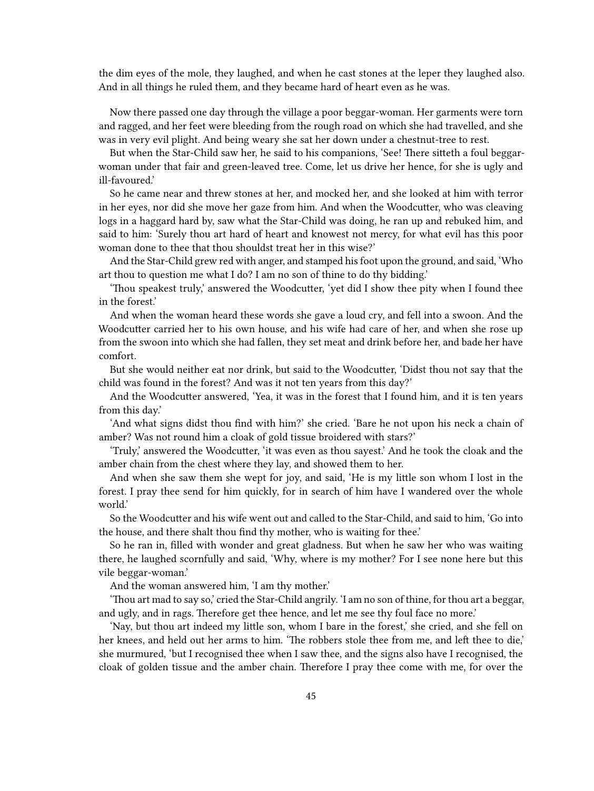the dim eyes of the mole, they laughed, and when he cast stones at the leper they laughed also. And in all things he ruled them, and they became hard of heart even as he was.

Now there passed one day through the village a poor beggar-woman. Her garments were torn and ragged, and her feet were bleeding from the rough road on which she had travelled, and she was in very evil plight. And being weary she sat her down under a chestnut-tree to rest.

But when the Star-Child saw her, he said to his companions, 'See! There sitteth a foul beggarwoman under that fair and green-leaved tree. Come, let us drive her hence, for she is ugly and ill-favoured.'

So he came near and threw stones at her, and mocked her, and she looked at him with terror in her eyes, nor did she move her gaze from him. And when the Woodcutter, who was cleaving logs in a haggard hard by, saw what the Star-Child was doing, he ran up and rebuked him, and said to him: 'Surely thou art hard of heart and knowest not mercy, for what evil has this poor woman done to thee that thou shouldst treat her in this wise?'

And the Star-Child grew red with anger, and stamped his foot upon the ground, and said, 'Who art thou to question me what I do? I am no son of thine to do thy bidding.'

'Thou speakest truly,' answered the Woodcutter, 'yet did I show thee pity when I found thee in the forest.'

And when the woman heard these words she gave a loud cry, and fell into a swoon. And the Woodcutter carried her to his own house, and his wife had care of her, and when she rose up from the swoon into which she had fallen, they set meat and drink before her, and bade her have comfort.

But she would neither eat nor drink, but said to the Woodcutter, 'Didst thou not say that the child was found in the forest? And was it not ten years from this day?'

And the Woodcutter answered, 'Yea, it was in the forest that I found him, and it is ten years from this day.'

'And what signs didst thou find with him?' she cried. 'Bare he not upon his neck a chain of amber? Was not round him a cloak of gold tissue broidered with stars?'

'Truly,' answered the Woodcutter, 'it was even as thou sayest.' And he took the cloak and the amber chain from the chest where they lay, and showed them to her.

And when she saw them she wept for joy, and said, 'He is my little son whom I lost in the forest. I pray thee send for him quickly, for in search of him have I wandered over the whole world.'

So the Woodcutter and his wife went out and called to the Star-Child, and said to him, 'Go into the house, and there shalt thou find thy mother, who is waiting for thee.'

So he ran in, filled with wonder and great gladness. But when he saw her who was waiting there, he laughed scornfully and said, 'Why, where is my mother? For I see none here but this vile beggar-woman.'

And the woman answered him, 'I am thy mother.'

'Thou art mad to say so,' cried the Star-Child angrily. 'I am no son of thine, for thou art a beggar, and ugly, and in rags. Therefore get thee hence, and let me see thy foul face no more.'

'Nay, but thou art indeed my little son, whom I bare in the forest,' she cried, and she fell on her knees, and held out her arms to him. 'The robbers stole thee from me, and left thee to die,' she murmured, 'but I recognised thee when I saw thee, and the signs also have I recognised, the cloak of golden tissue and the amber chain. Therefore I pray thee come with me, for over the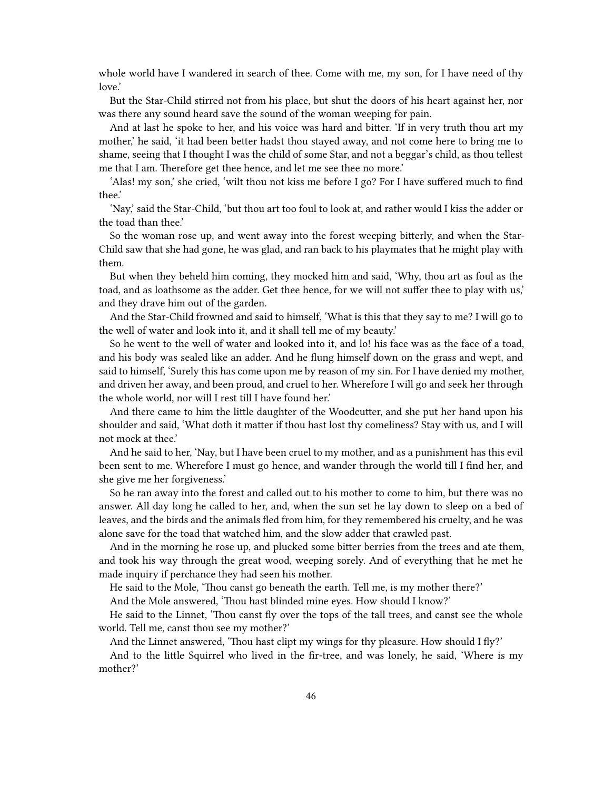whole world have I wandered in search of thee. Come with me, my son, for I have need of thy love.'

But the Star-Child stirred not from his place, but shut the doors of his heart against her, nor was there any sound heard save the sound of the woman weeping for pain.

And at last he spoke to her, and his voice was hard and bitter. 'If in very truth thou art my mother,' he said, 'it had been better hadst thou stayed away, and not come here to bring me to shame, seeing that I thought I was the child of some Star, and not a beggar's child, as thou tellest me that I am. Therefore get thee hence, and let me see thee no more.'

'Alas! my son,' she cried, 'wilt thou not kiss me before I go? For I have suffered much to find thee.'

'Nay,' said the Star-Child, 'but thou art too foul to look at, and rather would I kiss the adder or the toad than thee.'

So the woman rose up, and went away into the forest weeping bitterly, and when the Star-Child saw that she had gone, he was glad, and ran back to his playmates that he might play with them.

But when they beheld him coming, they mocked him and said, 'Why, thou art as foul as the toad, and as loathsome as the adder. Get thee hence, for we will not suffer thee to play with us,' and they drave him out of the garden.

And the Star-Child frowned and said to himself, 'What is this that they say to me? I will go to the well of water and look into it, and it shall tell me of my beauty.'

So he went to the well of water and looked into it, and lo! his face was as the face of a toad, and his body was sealed like an adder. And he flung himself down on the grass and wept, and said to himself, 'Surely this has come upon me by reason of my sin. For I have denied my mother, and driven her away, and been proud, and cruel to her. Wherefore I will go and seek her through the whole world, nor will I rest till I have found her.'

And there came to him the little daughter of the Woodcutter, and she put her hand upon his shoulder and said, 'What doth it matter if thou hast lost thy comeliness? Stay with us, and I will not mock at thee.'

And he said to her, 'Nay, but I have been cruel to my mother, and as a punishment has this evil been sent to me. Wherefore I must go hence, and wander through the world till I find her, and she give me her forgiveness.'

So he ran away into the forest and called out to his mother to come to him, but there was no answer. All day long he called to her, and, when the sun set he lay down to sleep on a bed of leaves, and the birds and the animals fled from him, for they remembered his cruelty, and he was alone save for the toad that watched him, and the slow adder that crawled past.

And in the morning he rose up, and plucked some bitter berries from the trees and ate them, and took his way through the great wood, weeping sorely. And of everything that he met he made inquiry if perchance they had seen his mother.

He said to the Mole, 'Thou canst go beneath the earth. Tell me, is my mother there?'

And the Mole answered, 'Thou hast blinded mine eyes. How should I know?'

He said to the Linnet, 'Thou canst fly over the tops of the tall trees, and canst see the whole world. Tell me, canst thou see my mother?'

And the Linnet answered, 'Thou hast clipt my wings for thy pleasure. How should I fly?'

And to the little Squirrel who lived in the fir-tree, and was lonely, he said, 'Where is my mother?'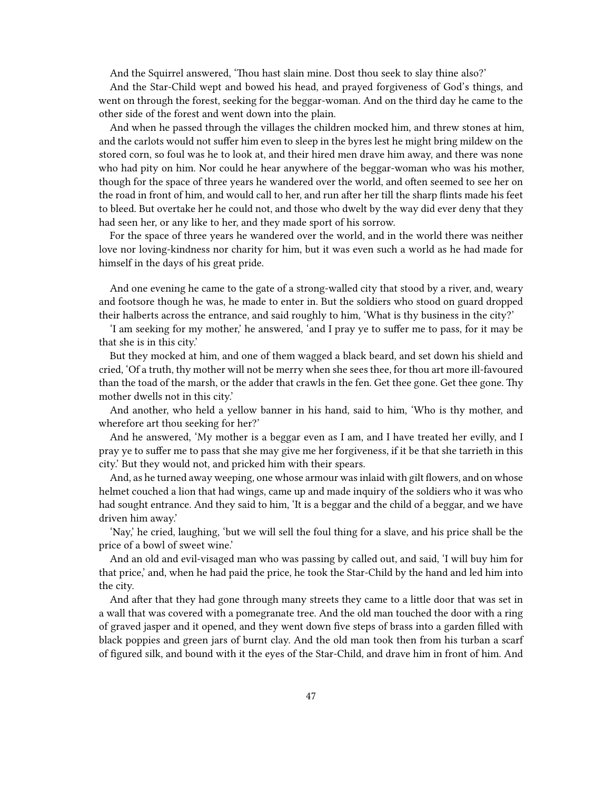And the Squirrel answered, 'Thou hast slain mine. Dost thou seek to slay thine also?'

And the Star-Child wept and bowed his head, and prayed forgiveness of God's things, and went on through the forest, seeking for the beggar-woman. And on the third day he came to the other side of the forest and went down into the plain.

And when he passed through the villages the children mocked him, and threw stones at him, and the carlots would not suffer him even to sleep in the byres lest he might bring mildew on the stored corn, so foul was he to look at, and their hired men drave him away, and there was none who had pity on him. Nor could he hear anywhere of the beggar-woman who was his mother, though for the space of three years he wandered over the world, and often seemed to see her on the road in front of him, and would call to her, and run after her till the sharp flints made his feet to bleed. But overtake her he could not, and those who dwelt by the way did ever deny that they had seen her, or any like to her, and they made sport of his sorrow.

For the space of three years he wandered over the world, and in the world there was neither love nor loving-kindness nor charity for him, but it was even such a world as he had made for himself in the days of his great pride.

And one evening he came to the gate of a strong-walled city that stood by a river, and, weary and footsore though he was, he made to enter in. But the soldiers who stood on guard dropped their halberts across the entrance, and said roughly to him, 'What is thy business in the city?'

'I am seeking for my mother,' he answered, 'and I pray ye to suffer me to pass, for it may be that she is in this city.'

But they mocked at him, and one of them wagged a black beard, and set down his shield and cried, 'Of a truth, thy mother will not be merry when she sees thee, for thou art more ill-favoured than the toad of the marsh, or the adder that crawls in the fen. Get thee gone. Get thee gone. Thy mother dwells not in this city.'

And another, who held a yellow banner in his hand, said to him, 'Who is thy mother, and wherefore art thou seeking for her?'

And he answered, 'My mother is a beggar even as I am, and I have treated her evilly, and I pray ye to suffer me to pass that she may give me her forgiveness, if it be that she tarrieth in this city.' But they would not, and pricked him with their spears.

And, as he turned away weeping, one whose armour was inlaid with gilt flowers, and on whose helmet couched a lion that had wings, came up and made inquiry of the soldiers who it was who had sought entrance. And they said to him, 'It is a beggar and the child of a beggar, and we have driven him away.'

'Nay,' he cried, laughing, 'but we will sell the foul thing for a slave, and his price shall be the price of a bowl of sweet wine.'

And an old and evil-visaged man who was passing by called out, and said, 'I will buy him for that price,' and, when he had paid the price, he took the Star-Child by the hand and led him into the city.

And after that they had gone through many streets they came to a little door that was set in a wall that was covered with a pomegranate tree. And the old man touched the door with a ring of graved jasper and it opened, and they went down five steps of brass into a garden filled with black poppies and green jars of burnt clay. And the old man took then from his turban a scarf of figured silk, and bound with it the eyes of the Star-Child, and drave him in front of him. And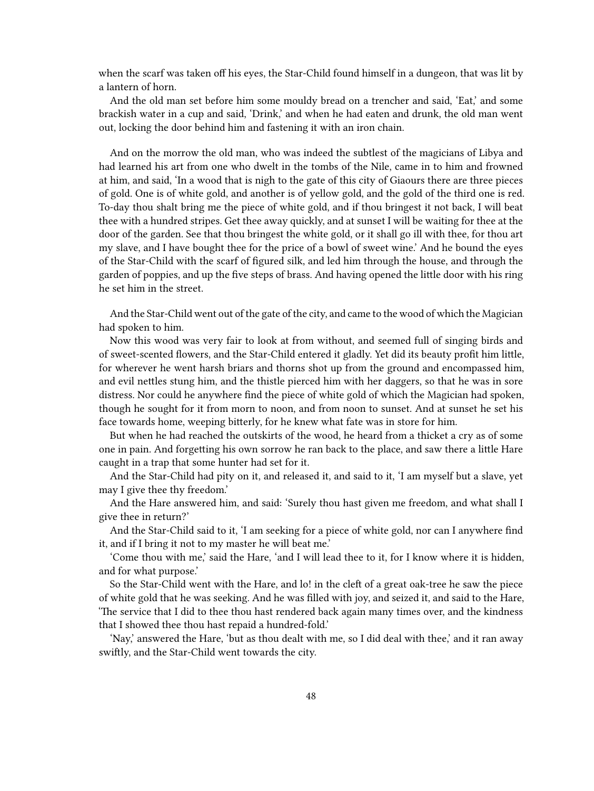when the scarf was taken off his eyes, the Star-Child found himself in a dungeon, that was lit by a lantern of horn.

And the old man set before him some mouldy bread on a trencher and said, 'Eat,' and some brackish water in a cup and said, 'Drink,' and when he had eaten and drunk, the old man went out, locking the door behind him and fastening it with an iron chain.

And on the morrow the old man, who was indeed the subtlest of the magicians of Libya and had learned his art from one who dwelt in the tombs of the Nile, came in to him and frowned at him, and said, 'In a wood that is nigh to the gate of this city of Giaours there are three pieces of gold. One is of white gold, and another is of yellow gold, and the gold of the third one is red. To-day thou shalt bring me the piece of white gold, and if thou bringest it not back, I will beat thee with a hundred stripes. Get thee away quickly, and at sunset I will be waiting for thee at the door of the garden. See that thou bringest the white gold, or it shall go ill with thee, for thou art my slave, and I have bought thee for the price of a bowl of sweet wine.' And he bound the eyes of the Star-Child with the scarf of figured silk, and led him through the house, and through the garden of poppies, and up the five steps of brass. And having opened the little door with his ring he set him in the street.

And the Star-Child went out of the gate of the city, and came to the wood of which the Magician had spoken to him.

Now this wood was very fair to look at from without, and seemed full of singing birds and of sweet-scented flowers, and the Star-Child entered it gladly. Yet did its beauty profit him little, for wherever he went harsh briars and thorns shot up from the ground and encompassed him, and evil nettles stung him, and the thistle pierced him with her daggers, so that he was in sore distress. Nor could he anywhere find the piece of white gold of which the Magician had spoken, though he sought for it from morn to noon, and from noon to sunset. And at sunset he set his face towards home, weeping bitterly, for he knew what fate was in store for him.

But when he had reached the outskirts of the wood, he heard from a thicket a cry as of some one in pain. And forgetting his own sorrow he ran back to the place, and saw there a little Hare caught in a trap that some hunter had set for it.

And the Star-Child had pity on it, and released it, and said to it, 'I am myself but a slave, yet may I give thee thy freedom.'

And the Hare answered him, and said: 'Surely thou hast given me freedom, and what shall I give thee in return?'

And the Star-Child said to it, 'I am seeking for a piece of white gold, nor can I anywhere find it, and if I bring it not to my master he will beat me.'

'Come thou with me,' said the Hare, 'and I will lead thee to it, for I know where it is hidden, and for what purpose.'

So the Star-Child went with the Hare, and lo! in the cleft of a great oak-tree he saw the piece of white gold that he was seeking. And he was filled with joy, and seized it, and said to the Hare, 'The service that I did to thee thou hast rendered back again many times over, and the kindness that I showed thee thou hast repaid a hundred-fold.'

'Nay,' answered the Hare, 'but as thou dealt with me, so I did deal with thee,' and it ran away swiftly, and the Star-Child went towards the city.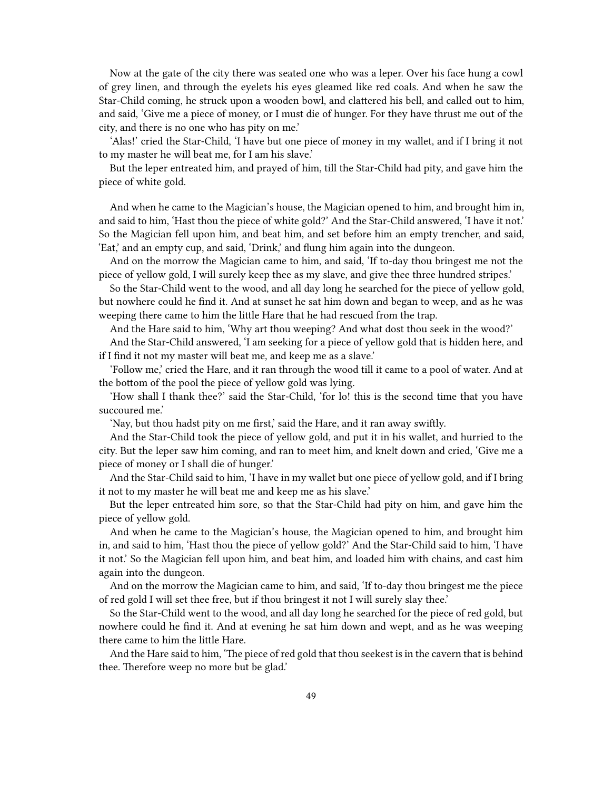Now at the gate of the city there was seated one who was a leper. Over his face hung a cowl of grey linen, and through the eyelets his eyes gleamed like red coals. And when he saw the Star-Child coming, he struck upon a wooden bowl, and clattered his bell, and called out to him, and said, 'Give me a piece of money, or I must die of hunger. For they have thrust me out of the city, and there is no one who has pity on me.'

'Alas!' cried the Star-Child, 'I have but one piece of money in my wallet, and if I bring it not to my master he will beat me, for I am his slave.'

But the leper entreated him, and prayed of him, till the Star-Child had pity, and gave him the piece of white gold.

And when he came to the Magician's house, the Magician opened to him, and brought him in, and said to him, 'Hast thou the piece of white gold?' And the Star-Child answered, 'I have it not.' So the Magician fell upon him, and beat him, and set before him an empty trencher, and said, 'Eat,' and an empty cup, and said, 'Drink,' and flung him again into the dungeon.

And on the morrow the Magician came to him, and said, 'If to-day thou bringest me not the piece of yellow gold, I will surely keep thee as my slave, and give thee three hundred stripes.'

So the Star-Child went to the wood, and all day long he searched for the piece of yellow gold, but nowhere could he find it. And at sunset he sat him down and began to weep, and as he was weeping there came to him the little Hare that he had rescued from the trap.

And the Hare said to him, 'Why art thou weeping? And what dost thou seek in the wood?'

And the Star-Child answered, 'I am seeking for a piece of yellow gold that is hidden here, and if I find it not my master will beat me, and keep me as a slave.'

'Follow me,' cried the Hare, and it ran through the wood till it came to a pool of water. And at the bottom of the pool the piece of yellow gold was lying.

'How shall I thank thee?' said the Star-Child, 'for lo! this is the second time that you have succoured me.'

'Nay, but thou hadst pity on me first,' said the Hare, and it ran away swiftly.

And the Star-Child took the piece of yellow gold, and put it in his wallet, and hurried to the city. But the leper saw him coming, and ran to meet him, and knelt down and cried, 'Give me a piece of money or I shall die of hunger.'

And the Star-Child said to him, 'I have in my wallet but one piece of yellow gold, and if I bring it not to my master he will beat me and keep me as his slave.'

But the leper entreated him sore, so that the Star-Child had pity on him, and gave him the piece of yellow gold.

And when he came to the Magician's house, the Magician opened to him, and brought him in, and said to him, 'Hast thou the piece of yellow gold?' And the Star-Child said to him, 'I have it not.' So the Magician fell upon him, and beat him, and loaded him with chains, and cast him again into the dungeon.

And on the morrow the Magician came to him, and said, 'If to-day thou bringest me the piece of red gold I will set thee free, but if thou bringest it not I will surely slay thee.'

So the Star-Child went to the wood, and all day long he searched for the piece of red gold, but nowhere could he find it. And at evening he sat him down and wept, and as he was weeping there came to him the little Hare.

And the Hare said to him, 'The piece of red gold that thou seekest is in the cavern that is behind thee. Therefore weep no more but be glad.'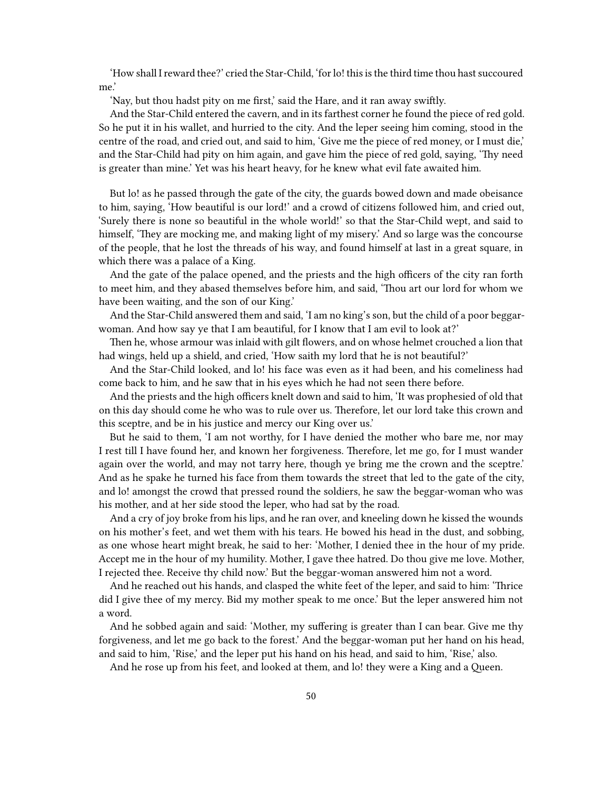'How shall I reward thee?' cried the Star-Child, 'for lo! this is the third time thou hast succoured me.'

'Nay, but thou hadst pity on me first,' said the Hare, and it ran away swiftly.

And the Star-Child entered the cavern, and in its farthest corner he found the piece of red gold. So he put it in his wallet, and hurried to the city. And the leper seeing him coming, stood in the centre of the road, and cried out, and said to him, 'Give me the piece of red money, or I must die,' and the Star-Child had pity on him again, and gave him the piece of red gold, saying, 'Thy need is greater than mine.' Yet was his heart heavy, for he knew what evil fate awaited him.

But lo! as he passed through the gate of the city, the guards bowed down and made obeisance to him, saying, 'How beautiful is our lord!' and a crowd of citizens followed him, and cried out, 'Surely there is none so beautiful in the whole world!' so that the Star-Child wept, and said to himself, 'They are mocking me, and making light of my misery.' And so large was the concourse of the people, that he lost the threads of his way, and found himself at last in a great square, in which there was a palace of a King.

And the gate of the palace opened, and the priests and the high officers of the city ran forth to meet him, and they abased themselves before him, and said, 'Thou art our lord for whom we have been waiting, and the son of our King.'

And the Star-Child answered them and said, 'I am no king's son, but the child of a poor beggarwoman. And how say ye that I am beautiful, for I know that I am evil to look at?'

Then he, whose armour was inlaid with gilt flowers, and on whose helmet crouched a lion that had wings, held up a shield, and cried, 'How saith my lord that he is not beautiful?'

And the Star-Child looked, and lo! his face was even as it had been, and his comeliness had come back to him, and he saw that in his eyes which he had not seen there before.

And the priests and the high officers knelt down and said to him, 'It was prophesied of old that on this day should come he who was to rule over us. Therefore, let our lord take this crown and this sceptre, and be in his justice and mercy our King over us.'

But he said to them, 'I am not worthy, for I have denied the mother who bare me, nor may I rest till I have found her, and known her forgiveness. Therefore, let me go, for I must wander again over the world, and may not tarry here, though ye bring me the crown and the sceptre.' And as he spake he turned his face from them towards the street that led to the gate of the city, and lo! amongst the crowd that pressed round the soldiers, he saw the beggar-woman who was his mother, and at her side stood the leper, who had sat by the road.

And a cry of joy broke from his lips, and he ran over, and kneeling down he kissed the wounds on his mother's feet, and wet them with his tears. He bowed his head in the dust, and sobbing, as one whose heart might break, he said to her: 'Mother, I denied thee in the hour of my pride. Accept me in the hour of my humility. Mother, I gave thee hatred. Do thou give me love. Mother, I rejected thee. Receive thy child now.' But the beggar-woman answered him not a word.

And he reached out his hands, and clasped the white feet of the leper, and said to him: 'Thrice did I give thee of my mercy. Bid my mother speak to me once.' But the leper answered him not a word.

And he sobbed again and said: 'Mother, my suffering is greater than I can bear. Give me thy forgiveness, and let me go back to the forest.' And the beggar-woman put her hand on his head, and said to him, 'Rise,' and the leper put his hand on his head, and said to him, 'Rise,' also.

And he rose up from his feet, and looked at them, and lo! they were a King and a Queen.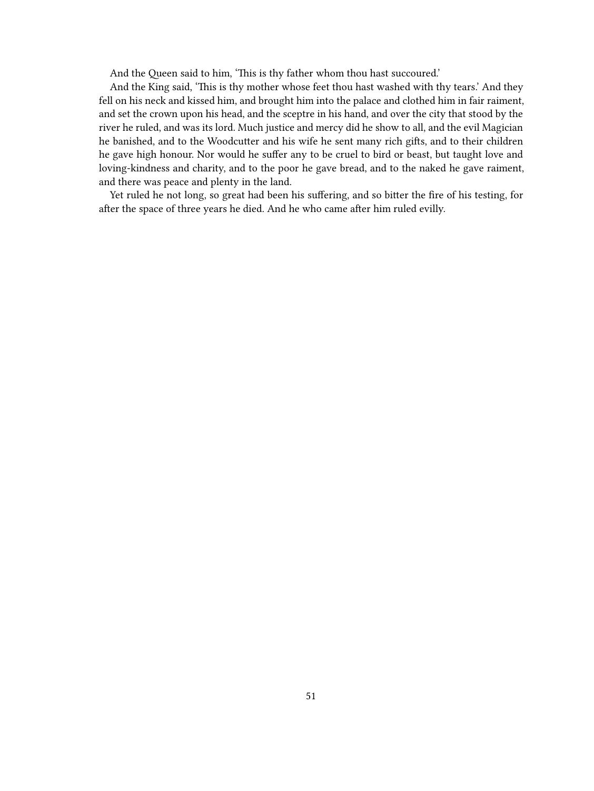And the Queen said to him, 'This is thy father whom thou hast succoured.'

And the King said, 'This is thy mother whose feet thou hast washed with thy tears.' And they fell on his neck and kissed him, and brought him into the palace and clothed him in fair raiment, and set the crown upon his head, and the sceptre in his hand, and over the city that stood by the river he ruled, and was its lord. Much justice and mercy did he show to all, and the evil Magician he banished, and to the Woodcutter and his wife he sent many rich gifts, and to their children he gave high honour. Nor would he suffer any to be cruel to bird or beast, but taught love and loving-kindness and charity, and to the poor he gave bread, and to the naked he gave raiment, and there was peace and plenty in the land.

Yet ruled he not long, so great had been his suffering, and so bitter the fire of his testing, for after the space of three years he died. And he who came after him ruled evilly.